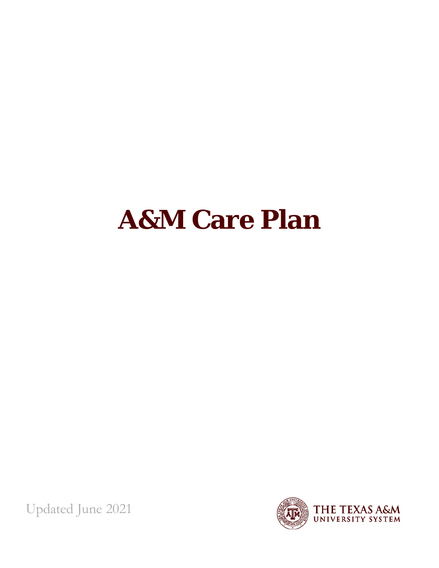# <span id="page-0-1"></span><span id="page-0-0"></span>**A&M Care Plan**

Updated June 2021

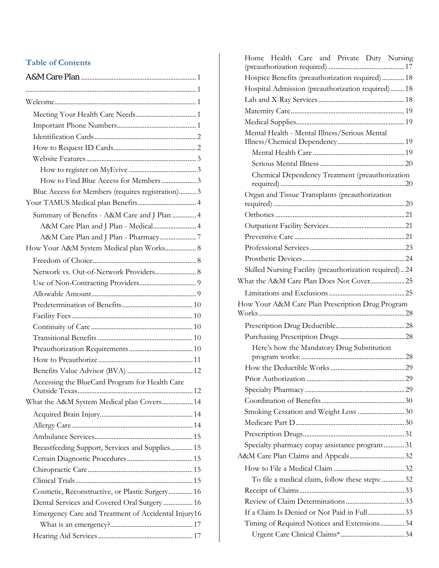#### **Table of Contents**

| How to Find Blue Access for Members  3              |
|-----------------------------------------------------|
| Blue Access for Members (requires registration) 3   |
|                                                     |
| Summary of Benefits - A&M Care and J Plan  4        |
| A&M Care Plan and J Plan - Medical 4                |
|                                                     |
| How Your A&M System Medical plan Works 8            |
|                                                     |
| Network vs. Out-of-Network Providers 8              |
|                                                     |
|                                                     |
|                                                     |
|                                                     |
|                                                     |
|                                                     |
|                                                     |
|                                                     |
|                                                     |
| Accessing the BlueCard Program for Health Care      |
|                                                     |
| What the A&M System Medical plan Covers 14          |
|                                                     |
|                                                     |
|                                                     |
| Breastfeeding Support, Services and Supplies 15     |
|                                                     |
|                                                     |
|                                                     |
| Cosmetic, Reconstructive, or Plastic Surgery 16     |
| Dental Services and Covered Oral Surgery  16        |
| Emergency Care and Treatment of Accidental Injury16 |
|                                                     |
|                                                     |

| Home Health Care and Private Duty Nursing              |
|--------------------------------------------------------|
|                                                        |
| Hospice Benefits (preauthorization required)  18       |
| Hospital Admission (preauthorization required) 18      |
|                                                        |
|                                                        |
| Mental Health - Mental Illness/Serious Mental          |
|                                                        |
|                                                        |
|                                                        |
| Chemical Dependency Treatment (preauthorization        |
| Organ and Tissue Transplants (preauthorization         |
|                                                        |
|                                                        |
|                                                        |
|                                                        |
|                                                        |
|                                                        |
| Skilled Nursing Facility (preauthorization required)24 |
| What the A&M Care Plan Does Not Cover 25               |
|                                                        |
|                                                        |
| How Your A&M Care Plan Prescription Drug Program       |
|                                                        |
|                                                        |
|                                                        |
| Here's how the Mandatory Drug Substitution             |
|                                                        |
|                                                        |
|                                                        |
|                                                        |
|                                                        |
| Smoking Cessation and Weight Loss  30                  |
|                                                        |
|                                                        |
| Specialty pharmacy copay assistance program 31         |
|                                                        |
|                                                        |
| To file a medical claim, follow these steps:  32       |
|                                                        |
| If a Claim Is Denied or Not Paid in Full 33            |
| Timing of Required Notices and Extensions 34           |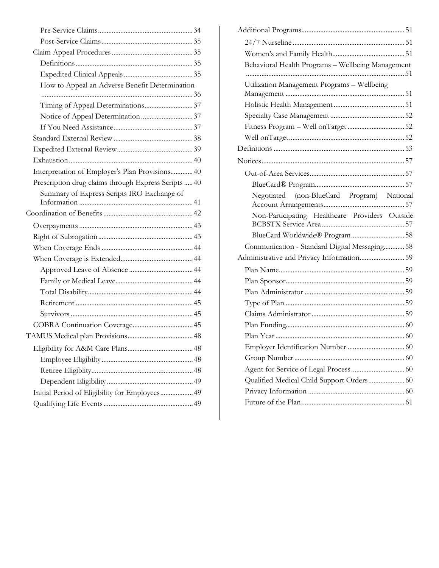| How to Appeal an Adverse Benefit Determination       |  |
|------------------------------------------------------|--|
|                                                      |  |
|                                                      |  |
|                                                      |  |
|                                                      |  |
|                                                      |  |
|                                                      |  |
|                                                      |  |
| Interpretation of Employer's Plan Provisions 40      |  |
| Prescription drug claims through Express Scripts  40 |  |
| Summary of Express Scripts IRO Exchange of           |  |
|                                                      |  |
|                                                      |  |
|                                                      |  |
|                                                      |  |
|                                                      |  |
|                                                      |  |
|                                                      |  |
|                                                      |  |
|                                                      |  |
|                                                      |  |
|                                                      |  |
|                                                      |  |
|                                                      |  |
|                                                      |  |
|                                                      |  |
|                                                      |  |
|                                                      |  |
| Initial Period of Eligibility for Employees 49       |  |
|                                                      |  |
|                                                      |  |

| Behavioral Health Programs - Wellbeing Management |
|---------------------------------------------------|
| Utilization Management Programs - Wellbeing       |
|                                                   |
|                                                   |
|                                                   |
|                                                   |
|                                                   |
|                                                   |
|                                                   |
|                                                   |
|                                                   |
| Negotiated (non-BlueCard Program) National        |
| Non-Participating Healthcare Providers Outside    |
|                                                   |
| Communication - Standard Digital Messaging 58     |
|                                                   |
|                                                   |
|                                                   |
|                                                   |
|                                                   |
|                                                   |
|                                                   |
|                                                   |
|                                                   |
|                                                   |
|                                                   |
| Qualified Medical Child Support Orders 60         |
|                                                   |
|                                                   |
|                                                   |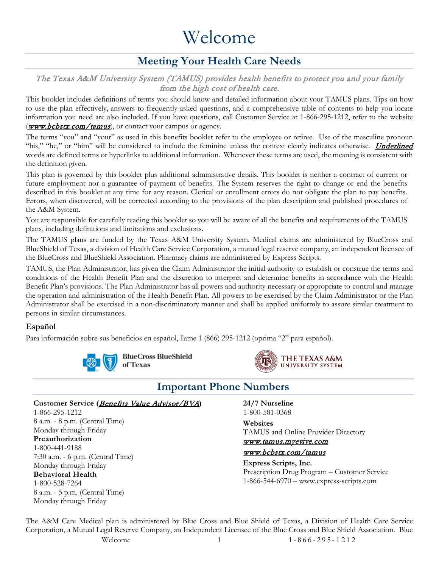# Welcome

# **Meeting Your Health Care Needs**

#### <span id="page-3-1"></span><span id="page-3-0"></span>The Texas A&M University System (TAMUS) provides health benefits to protect you and your family from the high cost of health care.

This booklet includes definitions of terms you should know and detailed information about your TAMUS plans. Tips on how to use the plan effectively, answers to frequently asked questions, and a comprehensive table of contents to help you locate information you need are also included. If you have questions, call Customer Service at 1-866-295-1212, refer to the website (**[www.bcbstx.com/tamus](http://www.bcbstx.com/tamus)**), or contact your campus or agency.

The terms "you" and "your" as used in this benefits booklet refer to the employee or retiree. Use of the masculine pronoun "his," "he," or "him" will be considered to include the feminine unless the context clearly indicates otherwise. Underlined words are defined terms or hyperlinks to additional information. Whenever these terms are used, the meaning is consistent with the definition given.

This plan is governed by this booklet plus additional administrative details. This booklet is neither a contract of current or future employment nor a guarantee of payment of benefits. The System reserves the right to change or end the benefits described in this booklet at any time for any reason. Clerical or enrollment errors do not obligate the plan to pay benefits. Errors, when discovered, will be corrected according to the provisions of the plan description and published procedures of the A&M System.

You are responsible for carefully reading this booklet so you will be aware of all the benefits and requirements of the TAMUS plans, including definitions and limitations and exclusions.

The TAMUS plans are funded by the Texas A&M University System. Medical claims are administered by BlueCross and BlueShield of Texas, a division of Health Care Service Corporation, a mutual legal reserve company, an independent licensee of the BlueCross and BlueShield Association. Pharmacy claims are administered by Express Scripts.

TAMUS, the Plan Administrator, has given the Claim Administrator the initial authority to establish or construe the terms and conditions of the Health Benefit Plan and the discretion to interpret and determine benefits in accordance with the Health Benefit Plan's provisions. The Plan Administrator has all powers and authority necessary or appropriate to control and manage the operation and administration of the Health Benefit Plan. All powers to be exercised by the Claim Administrator or the Plan Administrator shall be exercised in a non-discriminatory manner and shall be applied uniformly to assure similar treatment to persons in similar circumstances.

#### **Español**

Para información sobre sus beneficios en español, llame 1 (866) 295-1212 (oprima "2" para español).





## **Important Phone Numbers**

#### <span id="page-3-2"></span>Customer Service (*[Benefits Value Advisor/BVA](#page-14-0)*)

1-866-295-1212 8 a.m. - 8 p.m. (Central Time) Monday through Friday **Preauthorization** 1-800-441-9188 7:30 a.m. - 6 p.m. (Central Time) Monday through Friday **Behavioral Health** 1-800-528-7264 8 a.m. - 5 p.m. (Central Time) Monday through Friday

**24/7 Nurseline** 1-800-581-0368

**Websites** TAMUS and Online Provider Directory [www.tamus.myevive.com](http://www.tamus.myevive.com/) 

#### [www.bcbstx.com/tamus](http://www.bcbstx.com/tamus)

**Express Scripts, Inc.** Prescription Drug Program – Customer Service 1-866-544-6970 – www.express-scripts.com

Welcome 1  $1 - 866 - 295 - 1212$ The A&M Care Medical plan is administered by Blue Cross and Blue Shield of Texas, a Division of Health Care Service Corporation, a Mutual Legal Reserve Company, an Independent Licensee of the Blue Cross and Blue Shield Association. Blue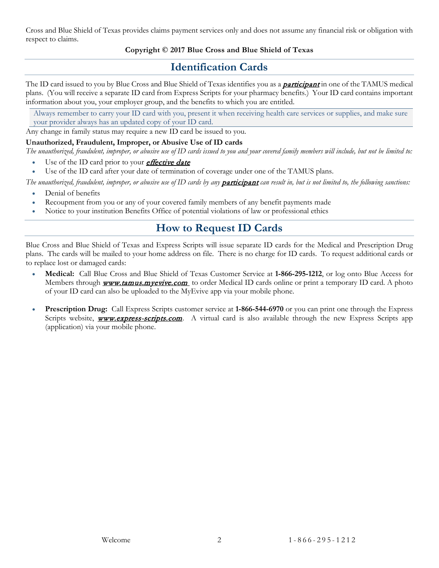Cross and Blue Shield of Texas provides claims payment services only and does not assume any financial risk or obligation with respect to claims.

#### **Copyright © 2017 Blue Cross and Blue Shield of Texas**

# **Identification Cards**

<span id="page-4-0"></span>The ID card issued to you by Blue Cross and Blue Shield of Texas identifies you as a **[participant](#page-57-0)** in one of the TAMUS medical plans. (You will receive a separate ID card from Express Scripts for your pharmacy benefits.) Your ID card contains important information about you, your employer group, and the benefits to which you are entitled.

Always remember to carry your ID card with you, present it when receiving health care services or supplies, and make sure your provider always has an updated copy of your ID card.

Any change in family status may require a new ID card be issued to you.

#### **Unauthorized, Fraudulent, Improper, or Abusive Use of ID cards**

*The unauthorized, fraudulent, improper, or abusive use of ID cards issued to you and your covered family members will include, but not be limited to:*

- Use of the ID card prior to your *[effective date](#page-56-0)*
- Use of the ID card after your date of termination of coverage under one of the TAMUS plans.

The unauthorized, fraudulent, improper, or abusive use of ID cards by any **[participant](#page-57-0)** can result in, but is not limited to, the following sanctions:

- Denial of benefits
- Recoupment from you or any of your covered family members of any benefit payments made
- <span id="page-4-1"></span>• Notice to your institution Benefits Office of potential violations of law or professional ethics

# **How to Request ID Cards**

Blue Cross and Blue Shield of Texas and Express Scripts will issue separate ID cards for the Medical and Prescription Drug plans. The cards will be mailed to your home address on file. There is no charge for ID cards. To request additional cards or to replace lost or damaged cards:

- **Medical:** Call Blue Cross and Blue Shield of Texas Customer Service at **1-866-295-1212**, or log onto Blue Access for Members through **www.tamus.myevive.com** to order Medical ID cards online or print a temporary ID card. A photo of your ID card can also be uploaded to the MyEvive app via your mobile phone.
- **Prescription Drug:** Call Express Scripts customer service at **1-866-544-6970** or you can print one through the Express Scripts website, **[www.express-scripts.com](http://www.express-scripts.com/)**. A virtual card is also available through the new Express Scripts app (application) via your mobile phone.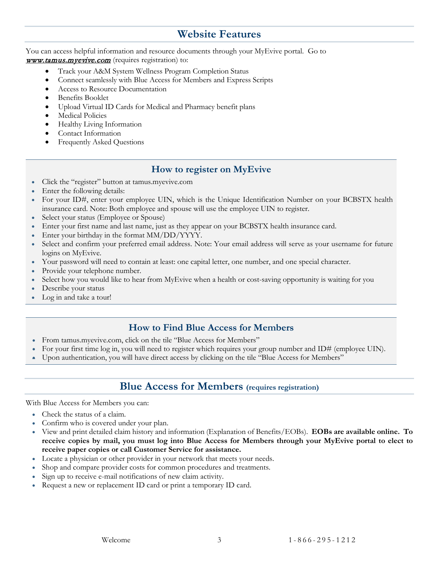## **Website Features**

<span id="page-5-0"></span>You can access helpful information and resource documents through your MyEvive portal. Go to [www.tamus.myevive.com](http://www.tamus.myevive.com/) (requires registration) to:

- Track your A&M System Wellness Program Completion Status
- Connect seamlessly with Blue Access for Members and Express Scripts
- Access to Resource Documentation
- Benefits Booklet
- Upload Virtual ID Cards for Medical and Pharmacy benefit plans
- Medical Policies
- Healthy Living Information
- Contact Information
- Frequently Asked Questions

#### **How to register on MyEvive**

- <span id="page-5-1"></span>• Click the "register" button at tamus.myevive.com
- Enter the following details:
- For your ID#, enter your employee UIN, which is the Unique Identification Number on your BCBSTX health insurance card. Note: Both employee and spouse will use the employee UIN to register.
- Select your status (Employee or Spouse)
- Enter your first name and last name, just as they appear on your BCBSTX health insurance card.
- Enter your birthday in the format MM/DD/YYYY.
- Select and confirm your preferred email address. Note: Your email address will serve as your username for future logins on MyEvive.
- Your password will need to contain at least: one capital letter, one number, and one special character.
- Provide your telephone number.
- Select how you would like to hear from MyEvive when a health or cost-saving opportunity is waiting for you
- Describe your status
- Log in and take a tour!

#### **How to Find Blue Access for Members**

- <span id="page-5-2"></span>• From tamus.myevive.com, click on the tile "Blue Access for Members"
- For your first time log in, you will need to register which requires your group number and ID# (employee UIN).
- <span id="page-5-3"></span>• Upon authentication, you will have direct access by clicking on the tile "Blue Access for Members"

#### **Blue Access for Members (requires registration)**

With Blue Access for Members you can:

- Check the status of a claim.
- Confirm who is covered under your plan.
- View and print detailed claim history and information (Explanation of Benefits/EOBs). **EOBs are available online. To receive copies by mail, you must log into Blue Access for Members through your MyEvive portal to elect to receive paper copies or call Customer Service for assistance.**
- Locate a physician or other provider in your network that meets your needs.
- Shop and compare provider costs for common procedures and treatments.
- Sign up to receive e-mail notifications of new claim activity.
- Request a new or replacement ID card or print a temporary ID card.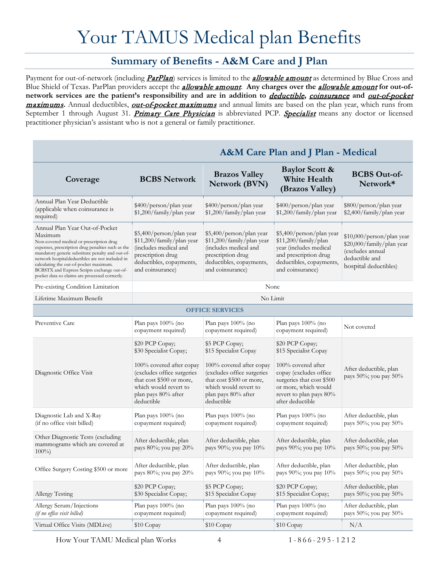# Your TAMUS Medical plan Benefits

## <span id="page-6-2"></span>**Summary of Benefits - A&M Care and J Plan**

<span id="page-6-1"></span><span id="page-6-0"></span>Payment for out-of-network (including *[ParPlan](#page-7-0)*) services is limited to the *[allowable amount](#page-55-1)* as determined by Blue Cross and Blue Shield of Texas. ParPlan providers accept the [allowable amount](#page-55-1). **Any charges over the** [allowable amount](#page-55-1) **for out-ofnetwork services are the patient's responsibility and are in addition to** [deductible](#page-56-1)**,** [coinsurance](#page-56-2) **and** [out-of-pocket](#page-57-1)  [maximums](#page-57-1)**.** Annual deductibles, [out-of-pocket maximums](#page-57-1) and annual limits are based on the plan year, which runs from September 1 through August 31. [Primary Care Physician](#page-57-2) is abbreviated PCP. [Specialist](#page-58-0) means any doctor or licensed practitioner physician's assistant who is not a general or family practitioner.

|                                                                                                                                                                                                                                                                                                                                                                                              |                                                                                                                                                                                               |                                                                                                                                                                                             | A&M Care Plan and J Plan - Medical                                                                                                                                                           |                                                                                                                       |
|----------------------------------------------------------------------------------------------------------------------------------------------------------------------------------------------------------------------------------------------------------------------------------------------------------------------------------------------------------------------------------------------|-----------------------------------------------------------------------------------------------------------------------------------------------------------------------------------------------|---------------------------------------------------------------------------------------------------------------------------------------------------------------------------------------------|----------------------------------------------------------------------------------------------------------------------------------------------------------------------------------------------|-----------------------------------------------------------------------------------------------------------------------|
| Coverage                                                                                                                                                                                                                                                                                                                                                                                     | <b>BCBS</b> Network                                                                                                                                                                           | <b>Brazos Valley</b><br><b>Network (BVN)</b>                                                                                                                                                | <b>Baylor Scott &amp;</b><br><b>White Health</b><br>(Brazos Valley)                                                                                                                          | <b>BCBS Out-of-</b><br>Network*                                                                                       |
| Annual Plan Year Deductible<br>(applicable when coinsurance is<br>required)                                                                                                                                                                                                                                                                                                                  | \$400/person/plan year<br>\$1,200/family/plan year                                                                                                                                            | \$400/person/plan year<br>\$1,200/family/plan year                                                                                                                                          | \$400/person/plan year<br>\$1,200/family/plan year                                                                                                                                           | \$800/person/plan year<br>\$2,400/family/plan year                                                                    |
| Annual Plan Year Out-of-Pocket<br>Maximum<br>Non-covered medical or prescription drug<br>expenses, prescription drug penalties such as the<br>mandatory generic substitute penalty and out-of-<br>network hospitaldeductibles are not included in<br>calculating the out-of-pocket maximum.<br>BCBSTX and Express Scripts exchange out-of-<br>pocket data so claims are processed correctly. | \$5,400/person/plan year<br>\$11,200/family/plan year<br>(includes medical and<br>prescription drug<br>deductibles, copayments,<br>and coinsurance)                                           | \$5,400/person/plan year<br>\$11,200/family/plan year<br>(includes medical and<br>prescription drug<br>deductibles, copayments,<br>and coinsurance)                                         | \$5,400/person/plan year<br>\$11,200/family/plan<br>year (includes medical<br>and prescription drug<br>deductibles, copayments,<br>and coinsurance)                                          | \$10,000/person/plan year<br>\$20,000/family/plan year<br>(excludes annual<br>deductible and<br>hospital deductibles) |
| Pre-existing Condition Limitation                                                                                                                                                                                                                                                                                                                                                            |                                                                                                                                                                                               | None                                                                                                                                                                                        |                                                                                                                                                                                              |                                                                                                                       |
| Lifetime Maximum Benefit                                                                                                                                                                                                                                                                                                                                                                     |                                                                                                                                                                                               | No Limit                                                                                                                                                                                    |                                                                                                                                                                                              |                                                                                                                       |
|                                                                                                                                                                                                                                                                                                                                                                                              |                                                                                                                                                                                               | <b>OFFICE SERVICES</b>                                                                                                                                                                      |                                                                                                                                                                                              |                                                                                                                       |
| Preventive Care                                                                                                                                                                                                                                                                                                                                                                              | Plan pays $100\%$ (no<br>copayment required)                                                                                                                                                  | Plan pays $100\%$ (no<br>copayment required)                                                                                                                                                | Plan pays $100\%$ (no<br>copayment required)                                                                                                                                                 | Not covered                                                                                                           |
| Diagnostic Office Visit                                                                                                                                                                                                                                                                                                                                                                      | \$20 PCP Copay;<br>\$30 Specialist Copay;<br>100% covered after copay<br>(excludes office surgeries<br>that cost \$500 or more,<br>which would revert to<br>plan pays 80% after<br>deductible | \$5 PCP Copay;<br>\$15 Specialist Copay<br>100% covered after copay<br>(excludes office surgeries<br>that cost \$500 or more,<br>which would revert to<br>plan pays 80% after<br>deductible | \$20 PCP Copay;<br>\$15 Specialist Copay<br>100% covered after<br>copay (excludes office<br>surgeries that cost \$500<br>or more, which would<br>revert to plan pays 80%<br>after deductible | After deductible, plan<br>pays 50%; you pay 50%                                                                       |
| Diagnostic Lab and X-Ray<br>(if no office visit billed)                                                                                                                                                                                                                                                                                                                                      | Plan pays 100% (no<br>copayment required)                                                                                                                                                     | Plan pays 100% (no<br>copayment required)                                                                                                                                                   | Plan pays 100% (no<br>copayment required)                                                                                                                                                    | After deductible, plan<br>pays 50%; you pay 50%                                                                       |
| Other Diagnostic Tests (excluding<br>mammograms which are covered at<br>$100\%$                                                                                                                                                                                                                                                                                                              | After deductible, plan<br>pays 80%; you pay 20%                                                                                                                                               | After deductible, plan<br>pays 90%; you pay 10%                                                                                                                                             | After deductible, plan<br>pays 90%; you pay 10%                                                                                                                                              | After deductible, plan<br>pays 50%; you pay 50%                                                                       |
| Office Surgery Costing \$500 or more                                                                                                                                                                                                                                                                                                                                                         | After deductible, plan<br>pays 80%; you pay 20%                                                                                                                                               | After deductible, plan<br>pays 90%; you pay 10%                                                                                                                                             | After deductible, plan<br>pays 90%; you pay 10%                                                                                                                                              | After deductible, plan<br>pays 50%; you pay 50%                                                                       |
| Allergy Testing                                                                                                                                                                                                                                                                                                                                                                              | \$20 PCP Copay;<br>\$30 Specialist Copay;                                                                                                                                                     | \$5 PCP Copay;<br>\$15 Specialist Copay                                                                                                                                                     | \$20 PCP Copay;<br>\$15 Specialist Copay;                                                                                                                                                    | After deductible, plan<br>pays 50%; you pay 50%                                                                       |
| Allergy Serum/Injections<br>(if no office visit billed)                                                                                                                                                                                                                                                                                                                                      | Plan pays 100% (no<br>copayment required)                                                                                                                                                     | Plan pays 100% (no<br>copayment required)                                                                                                                                                   | Plan pays $100\%$ (no<br>copayment required)                                                                                                                                                 | After deductible, plan<br>pays 50%; you pay 50%                                                                       |
| Virtual Office Visits (MDLive)                                                                                                                                                                                                                                                                                                                                                               | \$10 Copay                                                                                                                                                                                    | \$10 Copay                                                                                                                                                                                  | \$10 Copay                                                                                                                                                                                   | N/A                                                                                                                   |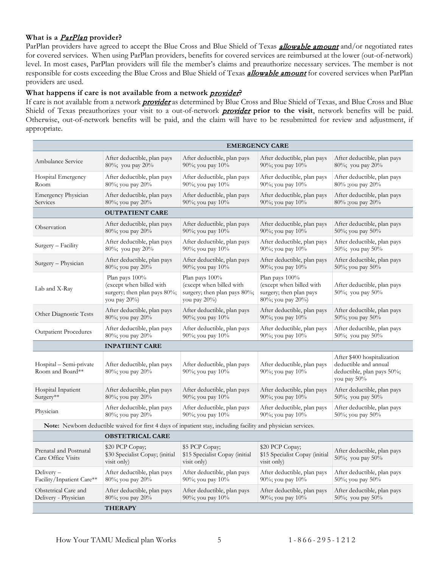#### <span id="page-7-0"></span>**What is a** [ParPlan](#page-7-0) **provider?**

ParPlan providers have agreed to accept the Blue Cross and Blue Shield of Texas *[allowable amount](#page-55-1)* and/or negotiated rates for covered services. When using ParPlan providers, benefits for covered services are reimbursed at the lower (out-of-network) level. In most cases, ParPlan providers will file the member's claims and preauthorize necessary services. The member is not responsible for costs exceeding the Blue Cross and Blue Shield of Texas *[allowable amount](#page-55-1)* for covered services when ParPlan providers are used.

#### What happens if care is not available from a network *[provider](#page-57-3)*?

If care is not available from a network **[provider](#page-57-3)** as determined by Blue Cross and Blue Shield of Texas, and Blue Cross and Blue Shield of Texas preauthorizes your visit to a out-of-network *[provider](#page-57-3)* prior to the visit, network benefits will be paid. Otherwise, out-of-network benefits will be paid, and the claim will have to be resubmitted for review and adjustment, if appropriate.

|                                                                                                                | <b>EMERGENCY CARE</b>                                                                      |                                                                                            |                                                                                            |                                                                                                   |
|----------------------------------------------------------------------------------------------------------------|--------------------------------------------------------------------------------------------|--------------------------------------------------------------------------------------------|--------------------------------------------------------------------------------------------|---------------------------------------------------------------------------------------------------|
| Ambulance Service                                                                                              | After deductible, plan pays                                                                | After deductible, plan pays                                                                | After deductible, plan pays                                                                | After deductible, plan pays                                                                       |
|                                                                                                                | 80%; you pay 20%                                                                           | 90%; you pay 10%                                                                           | 90%; you pay 10%                                                                           | 80%; you pay 20%                                                                                  |
| Hospital Emergency                                                                                             | After deductible, plan pays                                                                | After deductible, plan pays                                                                | After deductible, plan pays                                                                | After deductible, plan pays                                                                       |
| Room                                                                                                           | 80%; you pay 20%                                                                           | 90%; you pay 10%                                                                           | 90%; you pay 10%                                                                           | 80% ;you pay 20%                                                                                  |
| Emergency Physician                                                                                            | After deductible, plan pays                                                                | After deductible, plan pays                                                                | After deductible, plan pays                                                                | After deductible, plan pays                                                                       |
| Services                                                                                                       | 80%; you pay 20%                                                                           | 90%; you pay 10%                                                                           | 90%; you pay 10%                                                                           | 80% ;you pay 20%                                                                                  |
|                                                                                                                | <b>OUTPATIENT CARE</b>                                                                     |                                                                                            |                                                                                            |                                                                                                   |
| Observation                                                                                                    | After deductible, plan pays                                                                | After deductible, plan pays                                                                | After deductible, plan pays                                                                | After deductible, plan pays                                                                       |
|                                                                                                                | 80%; you pay 20%                                                                           | 90%; you pay 10%                                                                           | 90%; you pay 10%                                                                           | 50%; you pay 50%                                                                                  |
| Surgery - Facility                                                                                             | After deductible, plan pays                                                                | After deductible, plan pays                                                                | After deductible, plan pays                                                                | After deductible, plan pays                                                                       |
|                                                                                                                | 80%; you pay 20%                                                                           | 90%; you pay 10%                                                                           | 90%; you pay 10%                                                                           | 50%; you pay 50%                                                                                  |
| Surgery - Physician                                                                                            | After deductible, plan pays                                                                | After deductible, plan pays                                                                | After deductible, plan pays                                                                | After deductible, plan pays                                                                       |
|                                                                                                                | 80%; you pay 20%                                                                           | 90%; you pay 10%                                                                           | 90%; you pay 10%                                                                           | 50%; you pay 50%                                                                                  |
| Lab and X-Ray                                                                                                  | Plan pays 100%<br>(except when billed with<br>surgery; then plan pays 80%;<br>you pay 20%) | Plan pays 100%<br>(except when billed with<br>surgery; then plan pays 80%;<br>you pay 20%) | Plan pays 100%<br>(except when billed with<br>surgery; then plan pays<br>80%; you pay 20%) | After deductible, plan pays<br>50%; you pay 50%                                                   |
| Other Diagnostic Tests                                                                                         | After deductible, plan pays                                                                | After deductible, plan pays                                                                | After deductible, plan pays                                                                | After deductible, plan pays                                                                       |
|                                                                                                                | 80%; you pay 20%                                                                           | 90%; you pay 10%                                                                           | 90%; you pay 10%                                                                           | 50%; you pay 50%                                                                                  |
| <b>Outpatient Procedures</b>                                                                                   | After deductible, plan pays                                                                | After deductible, plan pays                                                                | After deductible, plan pays                                                                | After deductible, plan pays                                                                       |
|                                                                                                                | 80%; you pay 20%                                                                           | 90%; you pay 10%                                                                           | 90%; you pay 10%                                                                           | 50%; you pay $50\%$                                                                               |
|                                                                                                                | <b>INPATIENT CARE</b>                                                                      |                                                                                            |                                                                                            |                                                                                                   |
| Hospital – Semi-private<br>Room and Board**                                                                    | After deductible, plan pays<br>80%; you pay 20%                                            | After deductible, plan pays<br>90%; you pay 10%                                            | After deductible, plan pays<br>90%; you pay 10%                                            | After \$400 hospitalization<br>deductible and annual<br>deductible, plan pays 50%;<br>you pay 50% |
| Hospital Inpatient                                                                                             | After deductible, plan pays                                                                | After deductible, plan pays                                                                | After deductible, plan pays                                                                | After deductible, plan pays                                                                       |
| Surgery**                                                                                                      | 80%; you pay 20%                                                                           | 90%; you pay 10%                                                                           | 90%; you pay 10%                                                                           | 50%; you pay $50\%$                                                                               |
| Physician                                                                                                      | After deductible, plan pays                                                                | After deductible, plan pays                                                                | After deductible, plan pays                                                                | After deductible, plan pays                                                                       |
|                                                                                                                | 80%; you pay 20%                                                                           | 90%; you pay 10%                                                                           | 90%; you pay 10%                                                                           | 50%; you pay 50%                                                                                  |
| Note: Newborn deductible waived for first 4 days of inpatient stay, including facility and physician services. |                                                                                            |                                                                                            |                                                                                            |                                                                                                   |
| <b>OBSTETRICAL CARE</b>                                                                                        |                                                                                            |                                                                                            |                                                                                            |                                                                                                   |
| Prenatal and Postnatal<br>Care Office Visits                                                                   | \$20 PCP Copay;<br>\$30 Specialist Copay; (initial<br>visit only)                          | \$5 PCP Copay;<br>\$15 Specialist Copay (initial<br>visit only)                            | \$20 PCP Copay;<br>\$15 Specialist Copay (initial<br>visit only)                           | After deductible, plan pays<br>50%; you pay 50%                                                   |
| Delivery-                                                                                                      | After deductible, plan pays                                                                | After deductible, plan pays                                                                | After deductible, plan pays                                                                | After deductible, plan pays                                                                       |
| Facility/Inpatient Care**                                                                                      | 80%; you pay 20%                                                                           | 90%; you pay 10%                                                                           | 90%; you pay 10%                                                                           | 50%; you pay 50%                                                                                  |
| Obstetrical Care and                                                                                           | After deductible, plan pays                                                                | After deductible, plan pays                                                                | After deductible, plan pays                                                                | After deductible, plan pays                                                                       |
| Delivery - Physician                                                                                           | 80%; you pay 20%                                                                           | 90%; you pay 10%                                                                           | 90%; you pay 10%                                                                           | 50%; you pay 50%                                                                                  |
|                                                                                                                | <b>THERAPY</b>                                                                             |                                                                                            |                                                                                            |                                                                                                   |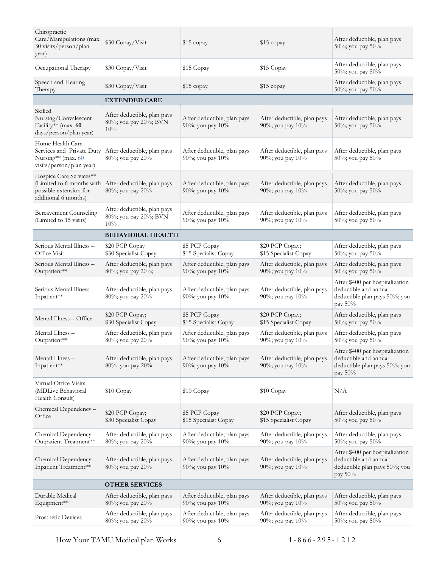| Chiropractic<br>Care/Manipulations (max.<br>30 visits/person/plan<br>year)                             | \$30 Copay/Visit                                            | \$15 copay                                      | $$15$ copay                                     | After deductible, plan pays<br>50%; you pay 50%                                                         |
|--------------------------------------------------------------------------------------------------------|-------------------------------------------------------------|-------------------------------------------------|-------------------------------------------------|---------------------------------------------------------------------------------------------------------|
| Occupational Therapy                                                                                   | \$30 Copay/Visit                                            | \$15 Copay                                      | \$15 Copay                                      | After deductible, plan pays<br>50%; you pay 50%                                                         |
| Speech and Hearing<br>Therapy                                                                          | \$30 Copay/Visit                                            | \$15 copay                                      | \$15 copay                                      | After deductible, plan pays<br>50%; you pay 50%                                                         |
|                                                                                                        | <b>EXTENDED CARE</b>                                        |                                                 |                                                 |                                                                                                         |
| Skilled<br>Nursing/Convalescent<br>Facility** (max. 60<br>days/person/plan year)                       | After deductible, plan pays<br>80%; you pay 20%; BVN<br>10% | After deductible, plan pays<br>90%; you pay 10% | After deductible, plan pays<br>90%; you pay 10% | After deductible, plan pays<br>50%; you pay 50%                                                         |
| Home Health Care<br>Services and Private Duty<br>Nursing** (max. 60<br>visits/person/plan year)        | After deductible, plan pays<br>80%; you pay 20%             | After deductible, plan pays<br>90%; you pay 10% | After deductible, plan pays<br>90%; you pay 10% | After deductible, plan pays<br>50%; you pay 50%                                                         |
| Hospice Care Services**<br>(Limited to 6 months with<br>possible extension for<br>additional 6 months) | After deductible, plan pays<br>80%; you pay 20%             | After deductible, plan pays<br>90%; you pay 10% | After deductible, plan pays<br>90%; you pay 10% | After deductible, plan pays<br>50%; you pay 50%                                                         |
| <b>Bereavement Counseling</b><br>(Limited to 15 visits)                                                | After deductible, plan pays<br>80%; you pay 20%; BVN<br>10% | After deductible, plan pays<br>90%; you pay 10% | After deductible, plan pays<br>90%; you pay 10% | After deductible, plan pays<br>50%; you pay 50%                                                         |
|                                                                                                        | <b>BEHAVIORAL HEALTH</b>                                    |                                                 |                                                 |                                                                                                         |
| Serious Mental Illness -<br>Office Visit                                                               | \$20 PCP Copay<br>\$30 Specialist Copay                     | \$5 PCP Copay<br>\$15 Specialist Copay          | \$20 PCP Copay;<br>\$15 Specialist Copay        | After deductible, plan pays<br>50%; you pay 50%                                                         |
| Serious Mental Illness -<br>Outpatient**                                                               | After deductible, plan pays<br>80%; you pay 20%;            | After deductible, plan pays<br>90%; you pay 10% | After deductible, plan pays<br>90%; you pay 10% | After deductible, plan pays<br>50%; you pay 50%                                                         |
| Serious Mental Illness -<br>Inpatient**                                                                | After deductible, plan pays<br>80%; you pay 20%             | After deductible, plan pays<br>90%; you pay 10% | After deductible, plan pays<br>90%; you pay 10% | After \$400 per hospitalization<br>deductible and annual<br>deductible plan pays 50%; you<br>pay 50%    |
| Mental Illness - Office                                                                                | \$20 PCP Copay;<br>\$30 Specialist Copay                    | \$5 PCP Copay<br>\$15 Specialist Copay          | \$20 PCP Copay;<br>\$15 Specialist Copay        | After deductible, plan pays<br>50%; you pay 50%                                                         |
| Mental Illness –<br>Outpatient**                                                                       | After deductible, plan pays<br>80%; you pay 20%             | After deductible, plan pays<br>90%; you pay 10% | After deductible, plan pays<br>90%; you pay 10% | After deductible, plan pays<br>50%; you pay 50%                                                         |
| Mental Illness -<br>Inpatient**                                                                        | After deductible, plan pays<br>80% you pay 20%              | After deductible, plan pays<br>90%; you pay 10% | After deductible, plan pays<br>90%; you pay 10% | After \$400 per hospitalization<br>deductible and annual<br>deductible plan pays 50%; you<br>pay 50%    |
| Virtual Office Visits<br>(MDLive Behavioral<br>Health Consult)                                         | \$10 Copay                                                  | \$10 Copay                                      | \$10 Copay                                      | N/A                                                                                                     |
| Chemical Dependency-<br>Office                                                                         | \$20 PCP Copay;<br>\$30 Specialist Copay                    | \$5 PCP Copay<br>\$15 Specialist Copay          | \$20 PCP Copay;<br>\$15 Specialist Copay        | After deductible, plan pays<br>50%; you pay 50%                                                         |
| Chemical Dependency -<br>Outpatient Treatment**                                                        | After deductible, plan pays<br>80%; you pay 20%             | After deductible, plan pays<br>90%; you pay 10% | After deductible, plan pays<br>90%; you pay 10% | After deductible, plan pays<br>50%; you pay 50%                                                         |
| Chemical Dependency -<br>Inpatient Treatment**                                                         | After deductible, plan pays<br>80%; you pay 20%             | After deductible, plan pays<br>90%; you pay 10% | After deductible, plan pays<br>90%; you pay 10% | After \$400 per hospitalization<br>deductible and annual<br>deductible plan pays 50%; you<br>pay $50\%$ |
|                                                                                                        | <b>OTHER SERVICES</b>                                       |                                                 |                                                 |                                                                                                         |
| Durable Medical<br>Equipment**                                                                         | After deductible, plan pays<br>80%; you pay 20%             | After deductible, plan pays<br>90%; you pay 10% | After deductible, plan pays<br>90%; you pay 10% | After deductible, plan pays<br>50%; you pay 50%                                                         |
| Prosthetic Devices                                                                                     | After deductible, plan pays<br>80%; you pay 20%             | After deductible, plan pays<br>90%; you pay 10% | After deductible, plan pays<br>90%; you pay 10% | After deductible, plan pays<br>50%; you pay 50%                                                         |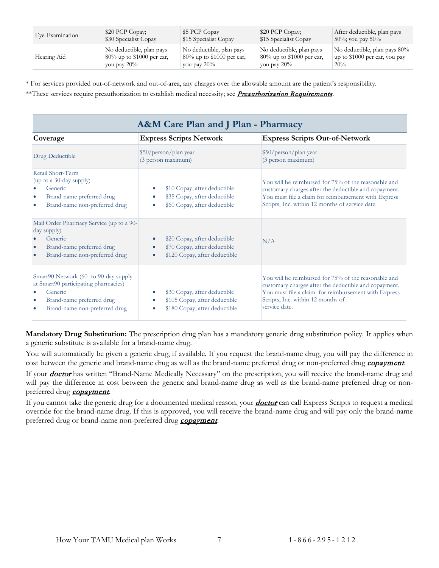| Eye Examination | \$20 PCP Copay;              | \$5 PCP Copay                | \$20 PCP Copay;              | After deductible, plan pays    |
|-----------------|------------------------------|------------------------------|------------------------------|--------------------------------|
|                 | \$30 Specialist Copay        | \$15 Specialist Copay        | \$15 Specialist Copay        | $50\%$ ; you pay $50\%$        |
| Hearing Aid     | No deductible, plan pays     | No deductible, plan pays     | No deductible, plan pays     | No deductible, plan pays 80%   |
|                 | $80\%$ up to \$1000 per ear, | $80\%$ up to \$1000 per ear, | $80\%$ up to \$1000 per ear, | up to $$1000$ per ear, you pay |
|                 | you pay $20\%$               | vou pay $20\%$               | you pay $20\%$               | 20%                            |

\* For services provided out-of-network and out-of-area, any charges over the allowable amount are the patient's responsibility.

\*\*These services require preauthorization to establish medical necessity; see *[Preauthorization Requirements](#page-12-4)*.

<span id="page-9-0"></span>

| <b>A&amp;M Care Plan and J Plan - Pharmacy</b>                                                                                                                      |                                                                                                                      |                                                                                                                                                                                                                             |  |  |
|---------------------------------------------------------------------------------------------------------------------------------------------------------------------|----------------------------------------------------------------------------------------------------------------------|-----------------------------------------------------------------------------------------------------------------------------------------------------------------------------------------------------------------------------|--|--|
| Coverage                                                                                                                                                            | <b>Express Scripts Network</b>                                                                                       | <b>Express Scripts Out-of-Network</b>                                                                                                                                                                                       |  |  |
| Drug Deductible                                                                                                                                                     | \$50/person/plan year<br>(3 person maximum)                                                                          | \$50/person/plan year<br>(3 person maximum)                                                                                                                                                                                 |  |  |
| Retail Short-Term<br>(up to a 30-day supply)<br>Generic<br>Brand-name preferred drug<br>$\bullet$<br>Brand-name non-preferred drug<br>$\bullet$                     | \$10 Copay, after deductible<br>\$35 Copay, after deductible<br>\$60 Copay, after deductible                         | You will be reimbursed for 75% of the reasonable and<br>customary charges after the deductible and copayment.<br>You must file a claim for reimbursement with Express<br>Scripts, Inc. within 12 months of service date.    |  |  |
| Mail Order Pharmacy Service (up to a 90-<br>day supply)<br>Generic<br>Brand-name preferred drug<br>$\bullet$<br>Brand-name non-preferred drug                       | \$20 Copay, after deductible<br>$\bullet$<br>\$70 Copay, after deductible<br>٠<br>\$120 Copay, after deductible<br>۰ | N/A                                                                                                                                                                                                                         |  |  |
| Smart90 Network (60- to 90-day supply<br>at Smart90 participating pharmacies)<br>Generic<br>Brand-name preferred drug<br>$\bullet$<br>Brand-name non-preferred drug | \$30 Copay, after deductible<br>\$105 Copay, after deductible<br>\$180 Copay, after deductible                       | You will be reimbursed for 75% of the reasonable and<br>customary charges after the deductible and copayment.<br>You must file a claim for reimbursement with Express<br>Scripts, Inc. within 12 months of<br>service date. |  |  |

**Mandatory Drug Substitution:** The prescription drug plan has a mandatory generic drug substitution policy. It applies when a generic substitute is available for a brand-name drug.

You will automatically be given a generic drug, if available. If you request the brand-name drug, you will pay the difference in cost between the generic and brand-name drug as well as the brand-name preferred drug or non-preferred drug [copayment](#page-56-3).

If your **[doctor](#page-56-4)** has written "Brand-Name Medically Necessary" on the prescription, you will receive the brand-name drug and will pay the difference in cost between the generic and brand-name drug as well as the brand-name preferred drug or nonpreferred drug [copayment](#page-56-3).

If you cannot take the generic drug for a documented medical reason, your *[doctor](#page-56-4)* can call Express Scripts to request a medical override for the brand-name drug. If this is approved, you will receive the brand-name drug and will pay only the brand-name preferred drug or brand-name non-preferred drug **[copayment](#page-56-3)**.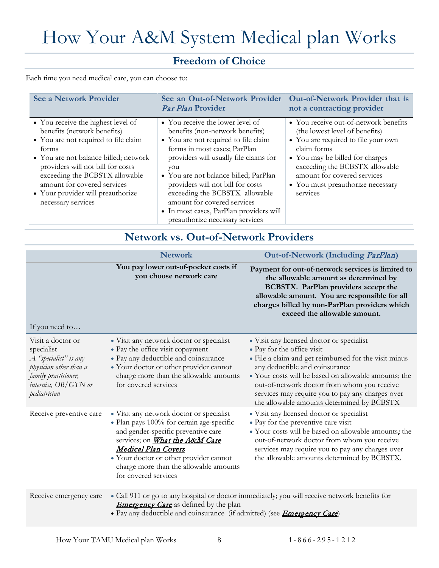# <span id="page-10-0"></span>How Your A&M System Medical plan Works

# **Freedom of Choice**

<span id="page-10-1"></span>Each time you need medical care, you can choose to:

| <b>See a Network Provider</b>                                                                                                                                                                                                                                                                                                | Par Plan Provider                                                                                                                                                                                                                                                                                                                                                                                                         | See an Out-of-Network Provider Out-of-Network Provider that is<br>not a contracting provider                                                                                                                                                                                       |
|------------------------------------------------------------------------------------------------------------------------------------------------------------------------------------------------------------------------------------------------------------------------------------------------------------------------------|---------------------------------------------------------------------------------------------------------------------------------------------------------------------------------------------------------------------------------------------------------------------------------------------------------------------------------------------------------------------------------------------------------------------------|------------------------------------------------------------------------------------------------------------------------------------------------------------------------------------------------------------------------------------------------------------------------------------|
| • You receive the highest level of<br>benefits (network benefits)<br>• You are not required to file claim<br>forms<br>• You are not balance billed; network<br>providers will not bill for costs<br>exceeding the BCBSTX allowable<br>amount for covered services<br>• Your provider will preauthorize<br>necessary services | • You receive the lower level of<br>benefits (non-network benefits)<br>• You are not required to file claim<br>forms in most cases; ParPlan<br>providers will usually file claims for<br>you<br>• You are not balance billed; ParPlan<br>providers will not bill for costs<br>exceeding the BCBSTX allowable<br>amount for covered services<br>• In most cases, ParPlan providers will<br>preauthorize necessary services | • You receive out-of-network benefits<br>(the lowest level of benefits)<br>• You are required to file your own<br>claim forms<br>• You may be billed for charges<br>exceeding the BCBSTX allowable<br>amount for covered services<br>• You must preauthorize necessary<br>services |

## **Network vs. Out-of-Network Providers**

<span id="page-10-2"></span>

|                                                                                                                                                    | <b>Network</b>                                                                                                                                                                                                                                                                                           | Out-of-Network (Including ParPlan)                                                                                                                                                                                                                                                                                                                                          |
|----------------------------------------------------------------------------------------------------------------------------------------------------|----------------------------------------------------------------------------------------------------------------------------------------------------------------------------------------------------------------------------------------------------------------------------------------------------------|-----------------------------------------------------------------------------------------------------------------------------------------------------------------------------------------------------------------------------------------------------------------------------------------------------------------------------------------------------------------------------|
| If you need to                                                                                                                                     | You pay lower out-of-pocket costs if<br>you choose network care                                                                                                                                                                                                                                          | Payment for out-of-network services is limited to<br>the allowable amount as determined by<br>BCBSTX. ParPlan providers accept the<br>allowable amount. You are responsible for all<br>charges billed by non-ParPlan providers which<br>exceed the allowable amount.                                                                                                        |
| Visit a doctor or<br>specialist<br>A "specialist" is any<br>physician other than a<br>family practitioner,<br>internist, OB/GYN or<br>pediatrician | • Visit any network doctor or specialist<br>• Pay the office visit copayment<br>• Pay any deductible and coinsurance<br>• Your doctor or other provider cannot<br>charge more than the allowable amounts<br>for covered services                                                                         | • Visit any licensed doctor or specialist<br>• Pay for the office visit<br>• File a claim and get reimbursed for the visit minus<br>any deductible and coinsurance<br>• Your costs will be based on allowable amounts; the<br>out-of-network doctor from whom you receive<br>services may require you to pay any charges over<br>the allowable amounts determined by BCBSTX |
| Receive preventive care                                                                                                                            | • Visit any network doctor or specialist<br>· Plan pays 100% for certain age-specific<br>and gender-specific preventive care<br>services; on What the A&M Care<br><b>Medical Plan Covers</b><br>• Your doctor or other provider cannot<br>charge more than the allowable amounts<br>for covered services | • Visit any licensed doctor or specialist<br>• Pay for the preventive care visit<br>· Your costs will be based on allowable amounts; the<br>out-of-network doctor from whom you receive<br>services may require you to pay any charges over<br>the allowable amounts determined by BCBSTX.                                                                                  |
| Receive emergency care                                                                                                                             | <b>Emergency Care</b> as defined by the plan<br>· Pay any deductible and coinsurance (if admitted) (see <i>Emergency Care</i> )                                                                                                                                                                          | • Call 911 or go to any hospital or doctor immediately; you will receive network benefits for                                                                                                                                                                                                                                                                               |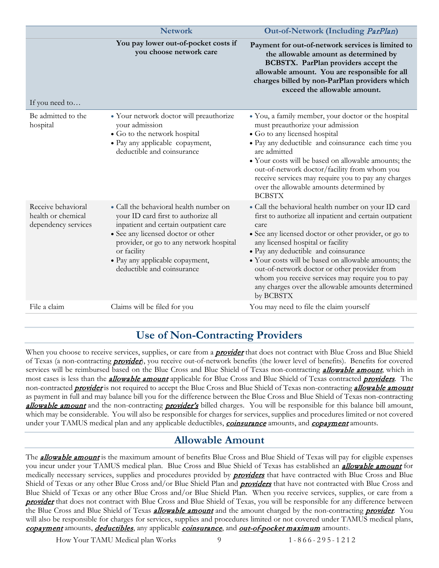|                                                                 | <b>Network</b>                                                                                                                                                                                                                                                                          | Out-of-Network (Including ParPlan)                                                                                                                                                                                                                                                                                                                                                                                                                                                         |
|-----------------------------------------------------------------|-----------------------------------------------------------------------------------------------------------------------------------------------------------------------------------------------------------------------------------------------------------------------------------------|--------------------------------------------------------------------------------------------------------------------------------------------------------------------------------------------------------------------------------------------------------------------------------------------------------------------------------------------------------------------------------------------------------------------------------------------------------------------------------------------|
| If you need to                                                  | You pay lower out-of-pocket costs if<br>you choose network care                                                                                                                                                                                                                         | Payment for out-of-network services is limited to<br>the allowable amount as determined by<br>BCBSTX. ParPlan providers accept the<br>allowable amount. You are responsible for all<br>charges billed by non-ParPlan providers which<br>exceed the allowable amount.                                                                                                                                                                                                                       |
| Be admitted to the<br>hospital                                  | • Your network doctor will preauthorize<br>your admission<br>• Go to the network hospital<br>• Pay any applicable copayment,<br>deductible and coinsurance                                                                                                                              | • You, a family member, your doctor or the hospital<br>must preauthorize your admission<br>• Go to any licensed hospital<br>· Pay any deductible and coinsurance each time you<br>are admitted<br>• Your costs will be based on allowable amounts; the<br>out-of-network doctor/facility from whom you<br>receive services may require you to pay any charges<br>over the allowable amounts determined by<br><b>BCBSTX</b>                                                                 |
| Receive behavioral<br>health or chemical<br>dependency services | • Call the behavioral health number on<br>your ID card first to authorize all<br>inpatient and certain outpatient care<br>• See any licensed doctor or other<br>provider, or go to any network hospital<br>or facility<br>• Pay any applicable copayment,<br>deductible and coinsurance | • Call the behavioral health number on your ID card<br>first to authorize all inpatient and certain outpatient<br>care<br>• See any licensed doctor or other provider, or go to<br>any licensed hospital or facility<br>• Pay any deductible and coinsurance<br>• Your costs will be based on allowable amounts; the<br>out-of-network doctor or other provider from<br>whom you receive services may require you to pay<br>any charges over the allowable amounts determined<br>by BCBSTX |
| File a claim                                                    | Claims will be filed for you                                                                                                                                                                                                                                                            | You may need to file the claim yourself                                                                                                                                                                                                                                                                                                                                                                                                                                                    |

## **Use of Non-Contracting Providers**

<span id="page-11-0"></span>When you choose to receive services, supplies, or care from a **[provider](#page-57-3)** that does not contract with Blue Cross and Blue Shield of Texas (a non-contracting **[provider](#page-57-3)**), you receive out-of-network benefits (the lower level of benefits). Benefits for covered services will be reimbursed based on the Blue Cross and Blue Shield of Texas non-contracting *[allowable amount](#page-55-1)*, which in most cases is less than the *[allowable amount](#page-55-1)* applicable for Blue Cross and Blue Shield of Texas contracted *[providers](#page-57-3)*. The non-contracted *[provider](#page-57-3)* is not required to accept the Blue Cross and Blue Shield of Texas non-contracting *[allowable amount](#page-55-1)* as payment in full and may balance bill you for the difference between the Blue Cross and Blue Shield of Texas non-contracting [allowable amount](#page-55-1) and the non-contracting [provider's](#page-57-3) billed charges. You will be responsible for this balance bill amount, which may be considerable. You will also be responsible for charges for services, supplies and procedures limited or not covered under your TAMUS medical plan and any applicable deductibles, *[coinsurance](#page-56-2)* amounts, and *[copayment](#page-56-3)* amounts.

## **Allowable Amount**

<span id="page-11-1"></span>The **[allowable amount](#page-55-1)** is the maximum amount of benefits Blue Cross and Blue Shield of Texas will pay for eligible expenses you incur under your TAMUS medical plan. Blue Cross and Blue Shield of Texas has established an **[allowable amount](#page-55-1)** for medically necessary services, supplies and procedures provided by **[providers](#page-57-3)** that have contracted with Blue Cross and Blue Shield of Texas or any other Blue Cross and/or Blue Shield Plan and **[providers](#page-57-3)** that have not contracted with Blue Cross and Blue Shield of Texas or any other Blue Cross and/or Blue Shield Plan. When you receive services, supplies, or care from a **[provider](#page-57-3)** that does not contract with Blue Cross and Blue Shield of Texas, you will be responsible for any difference between the Blue Cross and Blue Shield of Texas **[allowable amount](#page-55-1)** and the amount charged by the non-contracting **[provider](#page-57-3)**. You will also be responsible for charges for services, supplies and procedures limited or not covered under TAMUS medical plans, [copayment](#page-56-3) amounts, deductibles, any applicable [coinsurance](#page-56-2), and [out-of-pocket maximum](#page-57-1) amounts.

How Your TAMU Medical plan Works 9 1 - 866 - 295 - 1 2 1 2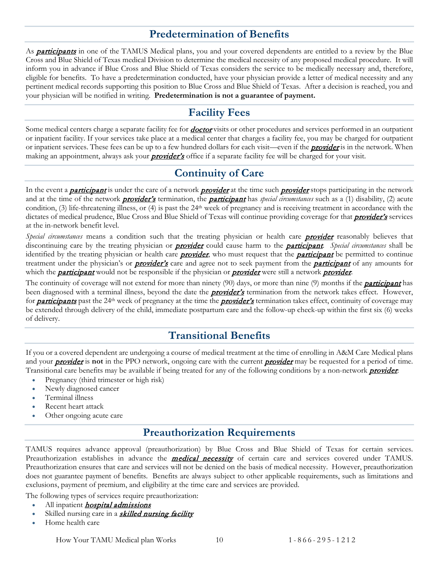# **Predetermination of Benefits**

<span id="page-12-0"></span>As **[participants](#page-57-0)** in one of the TAMUS Medical plans, you and your covered dependents are entitled to a review by the Blue Cross and Blue Shield of Texas medical Division to determine the medical necessity of any proposed medical procedure. It will inform you in advance if Blue Cross and Blue Shield of Texas considers the service to be medically necessary and, therefore, eligible for benefits. To have a predetermination conducted, have your physician provide a letter of medical necessity and any pertinent medical records supporting this position to Blue Cross and Blue Shield of Texas. After a decision is reached, you and your physician will be notified in writing. **Predetermination is not a guarantee of payment.**

## **Facility Fees**

<span id="page-12-1"></span>Some medical centers charge a separate facility fee for *[doctor](#page-56-4)* visits or other procedures and services performed in an outpatient or inpatient facility. If your services take place at a medical center that charges a facility fee, you may be charged for outpatient or inpatient services. These fees can be up to a few hundred dollars for each visit—even if the **[provider](#page-57-3)** is in the network. When making an appointment, always ask your **[provider's](#page-57-3)** office if a separate facility fee will be charged for your visit.

# **Continuity of Care**

<span id="page-12-2"></span>In the event a **[participant](#page-57-0)** is under the care of a network **[provider](#page-57-3)** at the time such **provider** stops participating in the network and at the time of the network **[provider's](#page-57-3)** termination, the **[participant](#page-57-0)** has *special circumstances* such as a (1) disability, (2) acute condition, (3) life-threatening illness, or (4) is past the 24th week of pregnancy and is receiving treatment in accordance with the dictates of medical prudence, Blue Cross and Blue Shield of Texas will continue providing coverage for that *[provider's](#page-57-3)* services at the in-network benefit level.

Special circumstances means a condition such that the treating physician or health care **[provider](#page-57-3)** reasonably believes that discontinuing care by the treating physician or [provider](#page-57-3) could cause harm to the [participant](#page-57-0). *Special circumstances* shall be identified by the treating physician or health care **[provider](#page-57-3)**, who must request that the **[participant](#page-57-0)** be permitted to continue treatment under the physician's or **[provider's](#page-57-3)** care and agree not to seek payment from the **[participant](#page-57-0)** of any amounts for which the **[participant](#page-57-0)** would not be responsible if the physician or **[provider](#page-57-3)** were still a network **provider**.

The continuity of coverage will not extend for more than ninety (90) days, or more than nine (9) months if the **[participant](#page-57-0)** has been diagnosed with a terminal illness, beyond the date the *[provider's](#page-57-3)* termination from the network takes effect. However, for **[participants](#page-57-0)** past the 24<sup>th</sup> week of pregnancy at the time the **[provider's](#page-57-3)** termination takes effect, continuity of coverage may be extended through delivery of the child, immediate postpartum care and the follow-up check-up within the first six (6) weeks of delivery.

## **Transitional Benefits**

<span id="page-12-3"></span>If you or a covered dependent are undergoing a course of medical treatment at the time of enrolling in A&M Care Medical plans and your **[provider](#page-57-3)** is **not** in the PPO network, ongoing care with the current **provider** may be requested for a period of time. Transitional care benefits may be available if being treated for any of the following conditions by a non-network **[provider](#page-57-3)**:

- Pregnancy (third trimester or high risk)
- Newly diagnosed cancer
- Terminal illness
- Recent heart attack
- <span id="page-12-4"></span>Other ongoing acute care

## **Preauthorization Requirements**

TAMUS requires advance approval (preauthorization) by Blue Cross and Blue Shield of Texas for certain services. Preauthorization establishes in advance the **medical necessity** of certain care and services covered under TAMUS. Preauthorization ensures that care and services will not be denied on the basis of medical necessity. However, preauthorization does not guarantee payment of benefits. Benefits are always subject to other applicable requirements, such as limitations and exclusions, payment of premium, and eligibility at the time care and services are provided.

The following types of services require preauthorization:

- All inpatient *[hospital admissions](#page-57-4)*
- Skilled nursing care in a **[skilled nursing facility](#page-58-1)**
- Home health care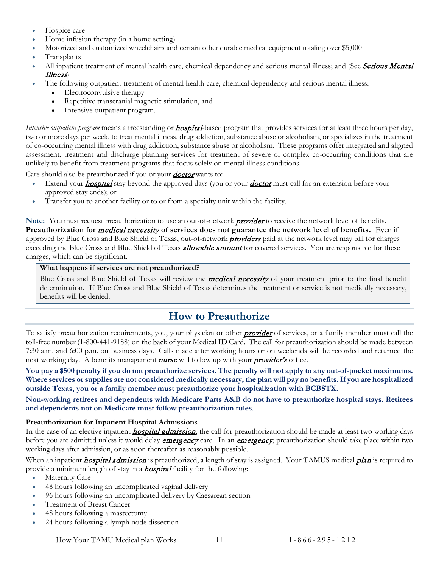- Hospice care
- Home infusion therapy (in a home setting)
- Motorized and customized wheelchairs and certain other durable medical equipment totaling over \$5,000
- Transplants
- All inpatient treatment of mental health care, chemical dependency and serious mental illness; and (See Serious Mental [Illness](#page-22-0))
- The following outpatient treatment of mental health care, chemical dependency and serious mental illness:
	- Electroconvulsive therapy
	- Repetitive transcranial magnetic stimulation, and
	- Intensive outpatient program.

*Intensive outpatient program* means a freestanding or **[hospital](#page-57-4)**-based program that provides services for at least three hours per day, two or more days per week, to treat mental illness, drug addiction, substance abuse or alcoholism, or specializes in the treatment of co-occurring mental illness with drug addiction, substance abuse or alcoholism. These programs offer integrated and aligned assessment, treatment and discharge planning services for treatment of severe or complex co-occurring conditions that are unlikely to benefit from treatment programs that focus solely on mental illness conditions.

Care should also be preauthorized if you or your **[doctor](#page-56-4)** wants to:

- Extend your **[hospital](#page-57-4)** stay beyond the approved days (you or your **[doctor](#page-56-4)** must call for an extension before your approved stay ends); or
- Transfer you to another facility or to or from a specialty unit within the facility.

Note: You must request preauthorization to use an out-of-network **[provider](#page-57-3)** to receive the network level of benefits. **Preauthorization for** medical necessity **of services does not guarantee the network level of benefits.** Even if approved by Blue Cross and Blue Shield of Texas, out-of-network **[providers](#page-57-3)** paid at the network level may bill for charges exceeding the Blue Cross and Blue Shield of Texas **[allowable amount](#page-55-1)** for covered services. You are responsible for these charges, which can be significant.

#### **What happens if services are not preauthorized?**

Blue Cross and Blue Shield of Texas will review the *medical necessity* of your treatment prior to the final benefit determination. If Blue Cross and Blue Shield of Texas determines the treatment or service is not medically necessary, benefits will be denied.

## **How to Preauthorize**

<span id="page-13-0"></span>To satisfy preauthorization requirements, you, your physician or other *[provider](#page-57-3)* of services, or a family member must call the toll-free number (1-800-441-9188) on the back of your Medical ID Card. The call for preauthorization should be made between 7:30 a.m. and 6:00 p.m. on business days. Calls made after working hours or on weekends will be recorded and returned the next working day. A benefits management **[nurse](#page-57-5)** will follow up with your **[provider's](#page-57-3)** office.

**You pay a \$500 penalty if you do not preauthorize services. The penalty will not apply to any out-of-pocket maximums. Where services or supplies are not considered medically necessary, the plan will pay no benefits. If you are hospitalized outside Texas, you or a family member must preauthorize your hospitalization with BCBSTX.** 

**Non-working retirees and dependents with Medicare Parts A&B do not have to preauthorize hospital stays. Retirees and dependents not on Medicare must follow preauthorization rules**.

#### **Preauthorization for Inpatient Hospital Admissions**

In the case of an elective inpatient **[hospital admission](#page-57-4)**, the call for preauthorization should be made at least two working days before you are admitted unless it would delay *[emergency](#page-56-5)* care. In an *emergency*, preauthorization should take place within two working days after admission, or as soon thereafter as reasonably possible.

When an inpatient *hospital admission* is preauthorized, a length of stay is assigned. Your TAMUS medical *plan* is required to provide a minimum length of stay in a **[hospital](#page-57-4)** facility for the following:

- Maternity Care
- 48 hours following an uncomplicated vaginal delivery
- 96 hours following an uncomplicated delivery by Caesarean section
- Treatment of Breast Cancer
- 48 hours following a mastectomy
- 24 hours following a lymph node dissection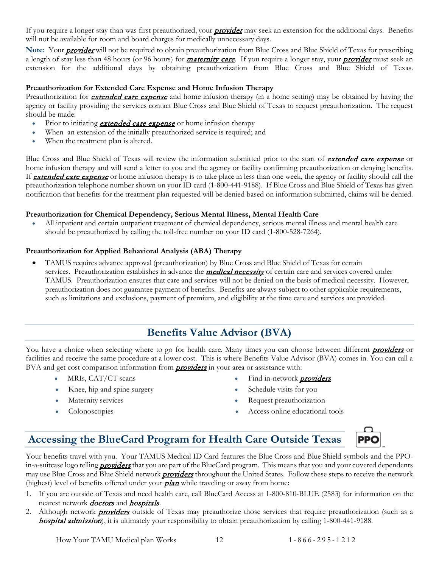If you require a longer stay than was first preauthorized, your **[provider](#page-57-3)** may seek an extension for the additional days. Benefits will not be available for room and board charges for medically unnecessary days.

Note: Your **[provider](#page-57-3)** will not be required to obtain preauthorization from Blue Cross and Blue Shield of Texas for prescribing a length of stay less than 48 hours (or 96 hours) for *[maternity care](#page-21-0)*. If you require a longer stay, your *[provider](#page-57-3)* must seek an extension for the additional days by obtaining preauthorization from Blue Cross and Blue Shield of Texas.

#### **Preauthorization for Extended Care Expense and Home Infusion Therapy**

Preauthorization for **extended care expense** and home infusion therapy (in a home setting) may be obtained by having the agency or facility providing the services contact Blue Cross and Blue Shield of Texas to request preauthorization. The request should be made:

- Prior to initiating **extended care expense** or home infusion therapy
- When an extension of the initially preauthorized service is required; and
- When the treatment plan is altered.

Blue Cross and Blue Shield of Texas will review the information submitted prior to the start of **extended care expense** or home infusion therapy and will send a letter to you and the agency or facility confirming preauthorization or denying benefits. If **extended care expense** or home infusion therapy is to take place in less than one week, the agency or facility should call the preauthorization telephone number shown on your ID card (1-800-441-9188). If Blue Cross and Blue Shield of Texas has given notification that benefits for the treatment plan requested will be denied based on information submitted, claims will be denied.

#### **Preauthorization for Chemical Dependency, Serious Mental Illness, Mental Health Care**

• All inpatient and certain outpatient treatment of chemical dependency, serious mental illness and mental health care should be preauthorized by calling the toll-free number on your ID card (1-800-528-7264).

#### **Preauthorization for Applied Behavioral Analysis (ABA) Therapy**

• TAMUS requires advance approval (preauthorization) by Blue Cross and Blue Shield of Texas for certain services. Preauthorization establishes in advance the *medical necessity* of certain care and services covered under TAMUS. Preauthorization ensures that care and services will not be denied on the basis of medical necessity. However, preauthorization does not guarantee payment of benefits. Benefits are always subject to other applicable requirements, such as limitations and exclusions, payment of premium, and eligibility at the time care and services are provided.

## **Benefits Value Advisor (BVA)**

<span id="page-14-0"></span>You have a choice when selecting where to go for health care. Many times you can choose between different *[providers](#page-57-3)* or facilities and receive the same procedure at a lower cost. This is where Benefits Value Advisor (BVA) comes in. You can call a BVA and get cost comparison information from **[providers](#page-57-3)** in your area or assistance with:

- 
- Knee, hip and spine surgery Schedule visits for you
- 
- 
- MRIs, CAT/CT scans Find in-network *[providers](#page-57-3)* 
	-
- Maternity services Request preauthorization
- Colonoscopies Access online educational tools

# <span id="page-14-1"></span>**Accessing the BlueCard Program for Health Care Outside Texas**



Your benefits travel with you. Your TAMUS Medical ID Card features the Blue Cross and Blue Shield symbols and the PPOin-a-suitcase logo telling **[providers](#page-57-3)** that you are part of the BlueCard program. This means that you and your covered dependents may use Blue Cross and Blue Shield network *[providers](#page-57-3)* throughout the United States. Follow these steps to receive the network (highest) level of benefits offered under your  $plan$  while traveling or away from home:

- 1. If you are outside of Texas and need health care, call BlueCard Access at 1-800-810-BLUE (2583) for information on the nearest network **[doctors](#page-56-4)** and **[hospitals](#page-57-4)**.
- 2. Although network **[providers](#page-57-3)** outside of Texas may preauthorize those services that require preauthorization (such as a [hospital admission](#page-57-4)), it is ultimately your responsibility to obtain preauthorization by calling 1-800-441-9188.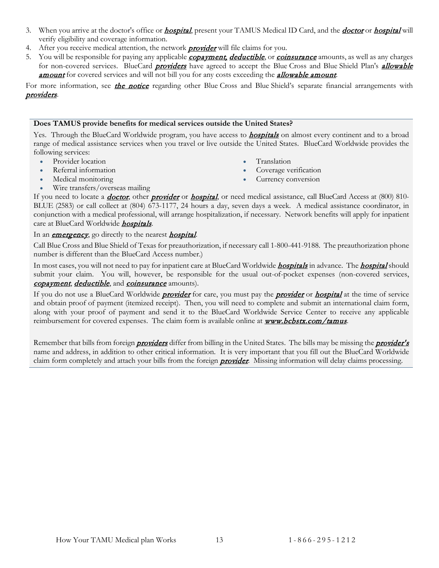- 3. When you arrive at the [doctor](#page-56-4)'s office or *[hospital](#page-57-4)*, present your TAMUS Medical ID Card, and the *doctor* or *hospital* will verify eligibility and coverage information.
- 4. After you receive medical attention, the network **[provider](#page-57-3)** will file claims for you.
- 5. You will be responsible for paying any applicable *[copayment,](#page-56-3) deductible*, or *[coinsurance](#page-56-2)* amounts, as well as any charges for non-covered services. BlueCard *[providers](#page-57-3)* have agreed to accept the Blue Cross and Blue Shield Plan's *allowable* **[amount](#page-55-1)** for covered services and will not bill you for any costs exceeding the **[allowable amount](#page-55-1)**.

For more information, see *[the notice](#page-63-1)* regarding other Blue Cross and Blue Shield's separate financial arrangements with [providers](#page-57-3).

#### **Does TAMUS provide benefits for medical services outside the United States?**

Yes. Through the BlueCard Worldwide program, you have access to **[hospitals](#page-57-4)** on almost every continent and to a broad range of medical assistance services when you travel or live outside the United States. BlueCard Worldwide provides the following services:

- Provider location
- Referral information
- Medical monitoring
- Translation
- Coverage verification
- Currency conversion

• Wire transfers/overseas mailing

If you need to locate a *[doctor](#page-56-4)*, other *[provider](#page-57-3)* or *[hospital](#page-57-4)*, or need medical assistance, call BlueCard Access at (800) 810-BLUE (2583) or call collect at (804) 673-1177, 24 hours a day, seven days a week. A medical assistance coordinator, in conjunction with a medical professional, will arrange hospitalization, if necessary. Network benefits will apply for inpatient care at BlueCard Worldwide *[hospitals](#page-57-4)*.

#### In an **[emergency](#page-56-5)**, go directly to the nearest **[hospital](#page-57-4)**.

Call Blue Cross and Blue Shield of Texas for preauthorization, if necessary call 1-800-441-9188. The preauthorization phone number is different than the BlueCard Access number.)

In most cases, you will not need to pay for inpatient care at BlueCard Worldwide *[hospitals](#page-57-4)* in advance. The *[hospital](#page-57-4)* should submit your claim. You will, however, be responsible for the usual out-of-pocket expenses (non-covered services, [copayment](#page-56-3), deductible, and [coinsurance](#page-56-2) amounts).

If you do not use a BlueCard Worldwide *[provider](#page-57-3)* for care, you must pay the *provider* or *[hospital](#page-57-4)* at the time of service and obtain proof of payment (itemized receipt). Then, you will need to complete and submit an international claim form, along with your proof of payment and send it to the BlueCard Worldwide Service Center to receive any applicable reimbursement for covered expenses. The claim form is available online at **[www.bcbstx.com/tamus](http://www.bcbstx.com/tamus)**.

Remember that bills from foreign **[providers](#page-57-3)** differ from billing in the United States. The bills may be missing the **[provider's](#page-57-3)** name and address, in addition to other critical information. It is very important that you fill out the BlueCard Worldwide claim form completely and attach your bills from the foreign **[provider](#page-57-3)**. Missing information will delay claims processing.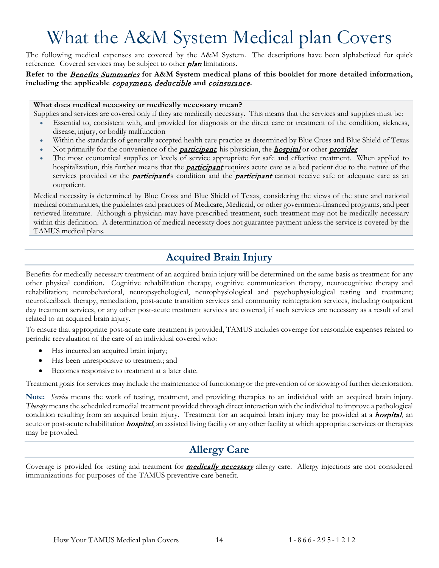# <span id="page-16-0"></span>What the A&M System Medical plan Covers

The following medical expenses are covered by the A&M System. The descriptions have been alphabetized for quick reference. Covered services may be subject to other **plan** limitations.

#### **Refer to the** [Benefits Summaries](#page-6-0) **for A&M System medical plans of this booklet for more detailed information, including the applicable** [copayment](#page-56-3)**,** deductible **and** [coinsurance](#page-56-2)**.**

#### **What does medical necessity or medically necessary mean?**

Supplies and services are covered only if they are medically necessary. This means that the services and supplies must be:

- Essential to, consistent with, and provided for diagnosis or the direct care or treatment of the condition, sickness, disease, injury, or bodily malfunction
- Within the standards of generally accepted health care practice as determined by Blue Cross and Blue Shield of Texas
- Not primarily for the convenience of the **[participant](#page-57-0)**, his physician, the **[hospital](#page-57-4)** or other **[provider](#page-57-3)**
- The most economical supplies or levels of service appropriate for safe and effective treatment. When applied to hospitalization, this further means that the **[participant](#page-57-0)** requires acute care as a bed patient due to the nature of the services provided or the **[participant](#page-57-0)'**s condition and the **participant** cannot receive safe or adequate care as an outpatient.

Medical necessity is determined by Blue Cross and Blue Shield of Texas, considering the views of the state and national medical communities, the guidelines and practices of Medicare, Medicaid, or other government-financed programs, and peer reviewed literature. Although a physician may have prescribed treatment, such treatment may not be medically necessary within this definition. A determination of medical necessity does not guarantee payment unless the service is covered by the TAMUS medical plans.

# **Acquired Brain Injury**

<span id="page-16-1"></span>Benefits for medically necessary treatment of an acquired brain injury will be determined on the same basis as treatment for any other physical condition. Cognitive rehabilitation therapy, cognitive communication therapy, neurocognitive therapy and rehabilitation; neurobehavioral, neuropsychological, neurophysiological and psychophysiological testing and treatment; neurofeedback therapy, remediation, post-acute transition services and community reintegration services, including outpatient day treatment services, or any other post-acute treatment services are covered, if such services are necessary as a result of and related to an acquired brain injury.

To ensure that appropriate post-acute care treatment is provided, TAMUS includes coverage for reasonable expenses related to periodic reevaluation of the care of an individual covered who:

- Has incurred an acquired brain injury;
- Has been unresponsive to treatment; and
- Becomes responsive to treatment at a later date.

Treatment goals for services may include the maintenance of functioning or the prevention of or slowing of further deterioration.

**Note:** *Service* means the work of testing, treatment, and providing therapies to an individual with an acquired brain injury. *Therapy* means the scheduled remedial treatment provided through direct interaction with the individual to improve a pathological condition resulting from an acquired brain injury. Treatment for an acquired brain injury may be provided at a **[hospital](#page-57-4)**, an acute or post-acute rehabilitation *[hospital](#page-57-4)*, an assisted living facility or any other facility at which appropriate services or therapies may be provided.

## **Allergy Care**

<span id="page-16-2"></span>Coverage is provided for testing and treatment for **medically necessary** allergy care. Allergy injections are not considered immunizations for purposes of the TAMUS preventive care benefit.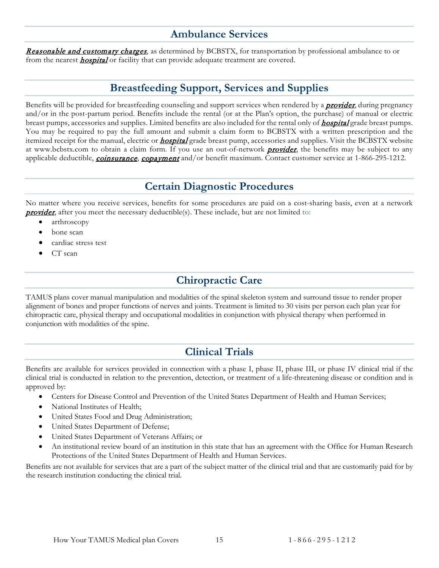## **Ambulance Services**

<span id="page-17-0"></span>[Reasonable and customary charges](#page-57-6), as determined by BCBSTX, for transportation by professional ambulance to or from the nearest **[hospital](#page-57-4)** or facility that can provide adequate treatment are covered.

# **Breastfeeding Support, Services and Supplies**

<span id="page-17-1"></span>Benefits will be provided for breastfeeding counseling and support services when rendered by a **[provider](#page-57-3)**, during pregnancy and/or in the post-partum period. Benefits include the rental (or at the Plan's option, the purchase) of manual or electric breast pumps, accessories and supplies. Limited benefits are also included for the rental only of **[hospital](#page-57-4)** grade breast pumps. You may be required to pay the full amount and submit a claim form to BCBSTX with a written prescription and the itemized receipt for the manual, electric or **[hospital](#page-57-4)** grade breast pump, accessories and supplies. Visit the BCBSTX website at www.bcbstx.com to obtain a claim form. If you use an out-of-network **[provider](#page-57-3)**, the benefits may be subject to any applicable deductible, *[coinsurance](#page-56-2)*, *[copayment](#page-56-3)* and/or benefit maximum. Contact customer service at 1-866-295-1212.

## **Certain Diagnostic Procedures**

<span id="page-17-2"></span>No matter where you receive services, benefits for some procedures are paid on a cost-sharing basis, even at a network **[provider](#page-57-3)**, after you meet the necessary deductible(s). These include, but are not limited to:

- arthroscopy
- bone scan
- cardiac stress test
- <span id="page-17-3"></span>CT scan

## **Chiropractic Care**

TAMUS plans cover manual manipulation and modalities of the spinal skeleton system and surround tissue to render proper alignment of bones and proper functions of nerves and joints. Treatment is limited to 30 visits per person each plan year for chiropractic care, physical therapy and occupational modalities in conjunction with physical therapy when performed in conjunction with modalities of the spine.

# **Clinical Trials**

<span id="page-17-4"></span>Benefits are available for services provided in connection with a phase I, phase II, phase III, or phase IV clinical trial if the clinical trial is conducted in relation to the prevention, detection, or treatment of a life-threatening disease or condition and is approved by:

- Centers for Disease Control and Prevention of the United States Department of Health and Human Services;
- National Institutes of Health;
- United States Food and Drug Administration;
- United States Department of Defense;
- United States Department of Veterans Affairs; or
- An institutional review board of an institution in this state that has an agreement with the Office for Human Research Protections of the United States Department of Health and Human Services.

Benefits are not available for services that are a part of the subject matter of the clinical trial and that are customarily paid for by the research institution conducting the clinical trial.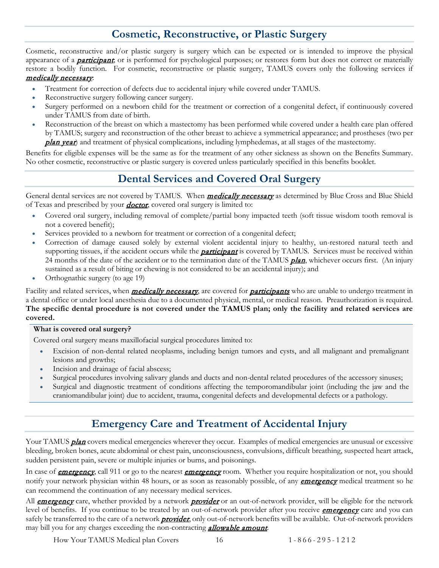# **Cosmetic, Reconstructive, or Plastic Surgery**

<span id="page-18-0"></span>Cosmetic, reconstructive and/or plastic surgery is surgery which can be expected or is intended to improve the physical appearance of a **[participant](#page-57-0)**; or is performed for psychological purposes; or restores form but does not correct or materially restore a bodily function. For cosmetic, reconstructive or plastic surgery, TAMUS covers only the following services if medically necessary:

- Treatment for correction of defects due to accidental injury while covered under TAMUS.
- Reconstructive surgery following cancer surgery.
- Surgery performed on a newborn child for the treatment or correction of a congenital defect, if continuously covered under TAMUS from date of birth.
- Reconstruction of the breast on which a mastectomy has been performed while covered under a health care plan offered by TAMUS; surgery and reconstruction of the other breast to achieve a symmetrical appearance; and prostheses (two per **plan year**) and treatment of physical complications, including lymphedemas, at all stages of the mastectomy.

<span id="page-18-1"></span>Benefits for eligible expenses will be the same as for the treatment of any other sickness as shown on the Benefits Summary. No other cosmetic, reconstructive or plastic surgery is covered unless particularly specified in this benefits booklet.

# **Dental Services and Covered Oral Surgery**

General dental services are not covered by TAMUS. When *medically necessary* as determined by Blue Cross and Blue Shield of Texas and prescribed by your *[doctor](#page-56-4)*, covered oral surgery is limited to:

- Covered oral surgery, including removal of complete/partial bony impacted teeth (soft tissue wisdom tooth removal is not a covered benefit);
- Services provided to a newborn for treatment or correction of a congenital defect;
- Correction of damage caused solely by external violent accidental injury to healthy, un-restored natural teeth and supporting tissues, if the accident occurs while the **[participant](#page-57-0)** is covered by TAMUS. Services must be received within 24 months of the date of the accident or to the termination date of the TAMUS *plan*, whichever occurs first. (An injury sustained as a result of biting or chewing is not considered to be an accidental injury); and
- Orthognathic surgery (to age 19)

Facility and related services, when *medically necessary*, are covered for *[participants](#page-57-0)* who are unable to undergo treatment in a dental office or under local anesthesia due to a documented physical, mental, or medical reason. Preauthorization is required. **The specific dental procedure is not covered under the TAMUS plan; only the facility and related services are covered.**

#### **What is covered oral surgery?**

Covered oral surgery means maxillofacial surgical procedures limited to:

- Excision of non-dental related neoplasms, including benign tumors and cysts, and all malignant and premalignant lesions and growths;
- Incision and drainage of facial abscess;
- Surgical procedures involving salivary glands and ducts and non-dental related procedures of the accessory sinuses;
- Surgical and diagnostic treatment of conditions affecting the temporomandibular joint (including the jaw and the craniomandibular joint) due to accident, trauma, congenital defects and developmental defects or a pathology.

## **Emergency Care and Treatment of Accidental Injury**

<span id="page-18-2"></span>Your TAMUS **plan** covers medical emergencies wherever they occur. Examples of medical emergencies are unusual or excessive bleeding, broken bones, acute abdominal or chest pain, unconsciousness, convulsions, difficult breathing, suspected heart attack, sudden persistent pain, severe or multiple injuries or burns, and poisonings.

In case of **[emergency](#page-56-5)**, call 911 or go to the nearest **emergency** room. Whether you require hospitalization or not, you should notify your network physician within 48 hours, or as soon as reasonably possible, of any **[emergency](#page-56-5)** medical treatment so he can recommend the continuation of any necessary medical services.

All **[emergency](#page-56-5)** care, whether provided by a network **[provider](#page-57-3)** or an out-of-network provider, will be eligible for the network level of benefits. If you continue to be treated by an out-of-network provider after you receive *[emergency](#page-56-5)* care and you can safely be transferred to the care of a network *[provider](#page-57-3)*, only out-of-network benefits will be available. Out-of-network providers may bill you for any charges exceeding the non-contracting *[allowable amount](#page-55-1)*.

How Your TAMUS Medical plan Covers 16 1 - 866 - 295 - 1 2 1 2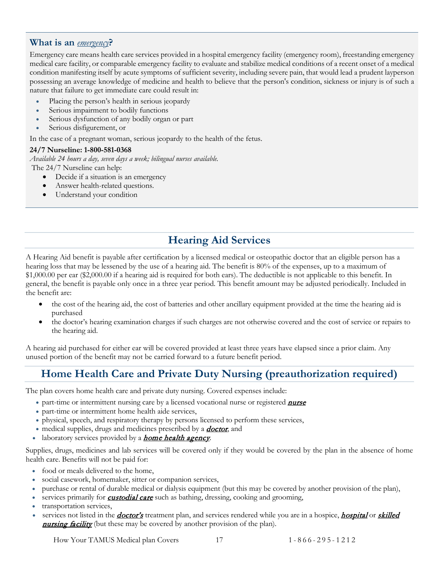#### <span id="page-19-0"></span>**What is an** *[emergency](#page-56-5)***?**

Emergency care means health care services provided in a hospital emergency facility (emergency room), freestanding emergency medical care facility, or comparable emergency facility to evaluate and stabilize medical conditions of a recent onset of a medical condition manifesting itself by acute symptoms of sufficient severity, including severe pain, that would lead a prudent layperson possessing an average knowledge of medicine and health to believe that the person's condition, sickness or injury is of such a nature that failure to get immediate care could result in:

- Placing the person's health in serious jeopardy
- Serious impairment to bodily functions
- Serious dysfunction of any bodily organ or part
- Serious disfigurement, or

In the case of a pregnant woman, serious jeopardy to the health of the fetus.

#### **24/7 Nurseline: 1-800-581-0368**

*Available 24 hours a day, seven days a week; bilingual nurses available.*  The 24/7 Nurseline can help:

- Decide if a situation is an emergency
- Answer health-related questions.
- Understand your condition

# **Hearing Aid Services**

<span id="page-19-1"></span>A Hearing Aid benefit is payable after certification by a licensed medical or osteopathic doctor that an eligible person has a hearing loss that may be lessened by the use of a hearing aid. The benefit is 80% of the expenses, up to a maximum of \$1,000.00 per ear (\$2,000.00 if a hearing aid is required for both ears). The deductible is not applicable to this benefit. In general, the benefit is payable only once in a three year period. This benefit amount may be adjusted periodically. Included in the benefit are:

- the cost of the hearing aid, the cost of batteries and other ancillary equipment provided at the time the hearing aid is purchased
- the doctor's hearing examination charges if such charges are not otherwise covered and the cost of service or repairs to the hearing aid.

A hearing aid purchased for either ear will be covered provided at least three years have elapsed since a prior claim. Any unused portion of the benefit may not be carried forward to a future benefit period.

# <span id="page-19-2"></span>**Home Health Care and Private Duty Nursing (preauthorization required)**

The plan covers home health care and private duty nursing. Covered expenses include:

- part-time or intermittent nursing care by a licensed vocational [nurse](#page-57-5) or registered **nurse**
- part-time or intermittent home health aide services,
- physical, speech, and respiratory therapy by persons licensed to perform these services,
- medical supplies, drugs and medicines prescribed by a *[doctor](#page-56-4)*, and
- laboratory services provided by a **[home health agency](#page-57-7)**.

Supplies, drugs, medicines and lab services will be covered only if they would be covered by the plan in the absence of home health care. Benefits will not be paid for:

- food or meals delivered to the home,
- social casework, homemaker, sitter or companion services,
- purchase or rental of durable medical or dialysis equipment (but this may be covered by another provision of the plan),
- services primarily for *[custodial care](#page-56-6)* such as bathing, dressing, cooking and grooming,
- transportation services,
- services not listed in the *[doctor's](#page-56-4)* treatment plan, and services rendered while you are in a hospice, *[hospital](#page-57-4)* or *skilled* **[nursing facility](#page-58-1)** (but these may be covered by another provision of the plan).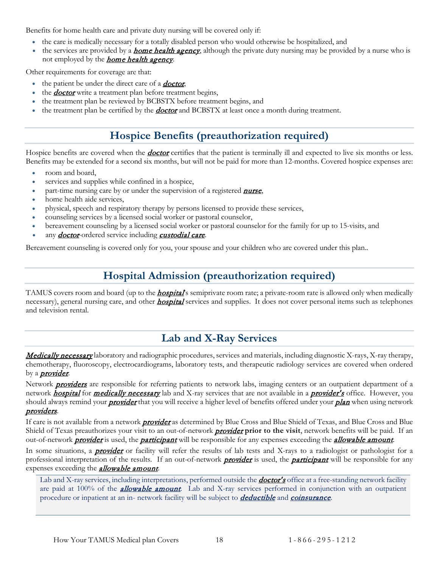Benefits for home health care and private duty nursing will be covered only if:

- the care is medically necessary for a totally disabled person who would otherwise be hospitalized, and
- the services are provided by a **[home health agency](#page-57-7)**, although the private duty nursing may be provided by a nurse who is not employed by the **[home health agency](#page-57-7)**.

Other requirements for coverage are that:

- $\bullet$  the patient be under the direct care of a **[doctor](#page-56-4)**,
- the *[doctor](#page-56-4)* write a treatment plan before treatment begins,
- the treatment plan be reviewed by BCBSTX before treatment begins, and
- <span id="page-20-0"></span>the treatment plan be certified by the **[doctor](#page-56-4)** and BCBSTX at least once a month during treatment.

# **Hospice Benefits (preauthorization required)**

Hospice benefits are covered when the **[doctor](#page-56-4)** certifies that the patient is terminally ill and expected to live six months or less. Benefits may be extended for a second six months, but will not be paid for more than 12-months. Covered hospice expenses are:

- room and board,
- services and supplies while confined in a hospice,
- part-time nursing care by or under the supervision of a registered **[nurse](#page-57-5)**,
- home health aide services,
- physical, speech and respiratory therapy by persons licensed to provide these services,
- counseling services by a licensed social worker or pastoral counselor,
- bereavement counseling by a licensed social worker or pastoral counselor for the family for up to 15-visits, and
- any **[doctor](#page-56-4)**-ordered service including **[custodial care](#page-56-6)**.

<span id="page-20-1"></span>Bereavement counseling is covered only for you, your spouse and your children who are covered under this plan..

# **Hospital Admission (preauthorization required)**

TAMUS covers room and board (up to the **[hospital](#page-57-4)'**s semiprivate room rate; a private-room rate is allowed only when medically necessary), general nursing care, and other **[hospital](#page-57-4)** services and supplies. It does not cover personal items such as telephones and television rental.

# **Lab and X-Ray Services**

<span id="page-20-2"></span>Medically necessary laboratory and radiographic procedures, services and materials, including diagnostic X-rays, X-ray therapy, chemotherapy, fluoroscopy, electrocardiograms, laboratory tests, and therapeutic radiology services are covered when ordered by a *[provider](#page-57-3)*.

Network **[providers](#page-57-3)** are responsible for referring patients to network labs, imaging centers or an outpatient department of a network **[hospital](#page-57-4)** for **medically necessary** lab and X-ray services that are not available in a **[provider's](#page-57-3)** office. However, you should always remind your *[provider](#page-57-3)* that you will receive a higher level of benefits offered under your *plan* when using network [providers](#page-57-3).

If care is not available from a network **[provider](#page-57-3)** as determined by Blue Cross and Blue Shield of Texas, and Blue Cross and Blue Shield of Texas preauthorizes your visit to an out-of-network **[provider](#page-57-3)** prior to the visit, network benefits will be paid. If an out-of-network **[provider](#page-57-3)** is used, the **[participant](#page-57-0)** will be responsible for any expenses exceeding the **[allowable amount](#page-55-1)**.

In some situations, a **[provider](#page-57-3)** or facility will refer the results of lab tests and X-rays to a radiologist or pathologist for a professional interpretation of the results. If an out-of-network **[provider](#page-57-3)** is used, the **[participant](#page-57-0)** will be responsible for any expenses exceeding the *[allowable amount](#page-55-1)*.

Lab and X-ray services, including interpretations, performed outside the **[doctor's](#page-56-4)** office at a free-standing network facility are paid at 100% of the **[allowable amount](#page-55-1)**. Lab and X-ray services performed in conjunction with an outpatient procedure or inpatient at an in- network facility will be subject to **deductible** and **[coinsurance](#page-56-2)**.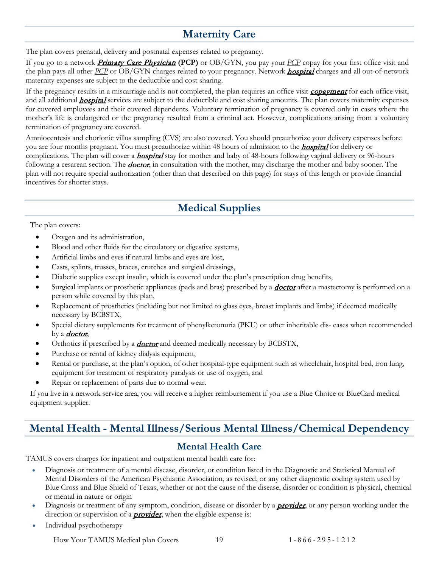# **Maternity Care**

<span id="page-21-0"></span>The plan covers prenatal, delivery and postnatal expenses related to pregnancy.

If you go to a network [Primary Care Physician](#page-57-2) **(PCP)** or OB/GYN, you pay your *[PCP](#page-57-2)* copay for your first office visit and the plan pays all other *[PCP](#page-57-2)* or OB/GYN charges related to your pregnancy. Network *[hospital](#page-57-4)* charges and all out-of-network maternity expenses are subject to the deductible and cost sharing.

If the pregnancy results in a miscarriage and is not completed, the plan requires an office visit *[copayment](#page-56-3)* for each office visit, and all additional **[hospital](#page-57-4)** services are subject to the deductible and cost sharing amounts. The plan covers maternity expenses for covered employees and their covered dependents. Voluntary termination of pregnancy is covered only in cases where the mother's life is endangered or the pregnancy resulted from a criminal act. However, complications arising from a voluntary termination of pregnancy are covered.

Amniocentesis and chorionic villus sampling (CVS) are also covered. You should preauthorize your delivery expenses before you are four months pregnant. You must preauthorize within 48 hours of admission to the **[hospital](#page-57-4)** for delivery or complications. The plan will cover a **[hospital](#page-57-4)** stay for mother and baby of 48-hours following vaginal delivery or 96-hours following a cesarean section. The **[doctor](#page-56-4)**, in consultation with the mother, may discharge the mother and baby sooner. The plan will not require special authorization (other than that described on this page) for stays of this length or provide financial incentives for shorter stays.

# **Medical Supplies**

<span id="page-21-1"></span>The plan covers:

- Oxygen and its administration,
- Blood and other fluids for the circulatory or digestive systems,
- Artificial limbs and eyes if natural limbs and eyes are lost,
- Casts, splints, trusses, braces, crutches and surgical dressings,
- Diabetic supplies except insulin, which is covered under the plan's prescription drug benefits,
- Surgical implants or prosthetic appliances (pads and bras) prescribed by a **[doctor](#page-56-4)** after a mastectomy is performed on a person while covered by this plan,
- Replacement of prosthetics (including but not limited to glass eyes, breast implants and limbs) if deemed medically necessary by BCBSTX,
- Special dietary supplements for treatment of phenylketonuria (PKU) or other inheritable dis- eases when recommended by a **[doctor](#page-56-4)**,
- Orthotics if prescribed by a *[doctor](#page-56-4)* and deemed medically necessary by BCBSTX,
- Purchase or rental of kidney dialysis equipment,
- Rental or purchase, at the plan's option, of other hospital-type equipment such as wheelchair, hospital bed, iron lung, equipment for treatment of respiratory paralysis or use of oxygen, and
- Repair or replacement of parts due to normal wear.

If you live in a network service area, you will receive a higher reimbursement if you use a Blue Choice or BlueCard medical equipment supplier.

## <span id="page-21-2"></span>**Mental Health - Mental Illness/Serious Mental Illness/Chemical Dependency**

#### **Mental Health Care**

<span id="page-21-3"></span>TAMUS covers charges for inpatient and outpatient mental health care for:

- Diagnosis or treatment of a mental disease, disorder, or condition listed in the Diagnostic and Statistical Manual of Mental Disorders of the American Psychiatric Association, as revised, or any other diagnostic coding system used by Blue Cross and Blue Shield of Texas, whether or not the cause of the disease, disorder or condition is physical, chemical or mental in nature or origin
- Diagnosis or treatment of any symptom, condition, disease or disorder by a **[provider](#page-57-3)**, or any person working under the direction or supervision of a **[provider](#page-57-3)**, when the eligible expense is:
- Individual psychotherapy

How Your TAMUS Medical plan Covers 19 1 - 866 - 295 - 1 2 1 2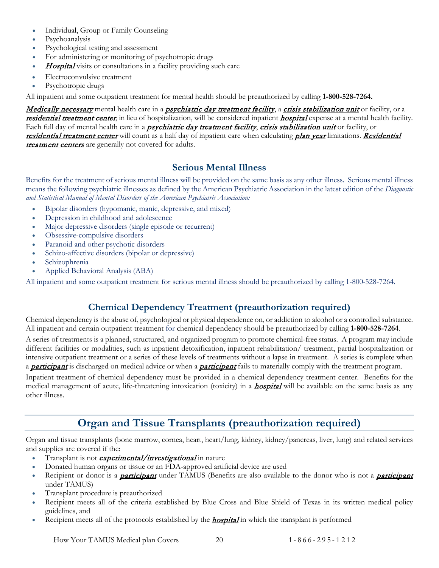- Individual, Group or Family Counseling
- Psychoanalysis
- Psychological testing and assessment
- For administering or monitoring of psychotropic drugs
- **[Hospital](#page-57-4)** visits or consultations in a facility providing such care
- Electroconvulsive treatment
- Psychotropic drugs

All inpatient and some outpatient treatment for mental health should be preauthorized by calling **1-800-528-7264.**

Medically necessary mental health care in a *psychiatric day treatment facility*, a *[crisis stabilization unit](#page-56-7)* or facility, or a [residential treatment center](#page-57-8), in lieu of [hospital](#page-57-4)ization, will be considered inpatient hospital expense at a mental health facility. Each full day of mental health care in a *psychiatric day treatment facility, [crisis stabilization unit](#page-56-7)* or facility, or [residential treatment center](#page-57-8) will count as a half day of inpatient care when calculating plan year limitations. Residential **[treatment centers](#page-57-8)** are generally not covered for adults.

### **Serious Mental Illness**

<span id="page-22-0"></span>Benefits for the treatment of serious mental illness will be provided on the same basis as any other illness. Serious mental illness means the following psychiatric illnesses as defined by the American Psychiatric Association in the latest edition of the *Diagnostic and Statistical Manual of Mental Disorders of the American Psychiatric Association:*

- Bipolar disorders (hypomanic, manic, depressive, and mixed)
- Depression in childhood and adolescence
- Major depressive disorders (single episode or recurrent)
- Obsessive-compulsive disorders
- Paranoid and other psychotic disorders
- Schizo-affective disorders (bipolar or depressive)
- Schizophrenia
- Applied Behavioral Analysis (ABA)

All inpatient and some outpatient treatment for serious mental illness should be preauthorized by calling 1-800-528-7264.

## **Chemical Dependency Treatment (preauthorization required)**

<span id="page-22-1"></span>Chemical dependency is the abuse of, psychological or physical dependence on, or addiction to alcohol or a controlled substance. All inpatient and certain outpatient treatment for chemical dependency should be preauthorized by calling **1-800-528-7264**.

A series of treatments is a planned, structured, and organized program to promote chemical-free status. A program may include different facilities or modalities, such as inpatient detoxification, inpatient rehabilitation/ treatment, partial hospitalization or intensive outpatient treatment or a series of these levels of treatments without a lapse in treatment. A series is complete when a **[participant](#page-57-0)** is discharged on medical advice or when a *participant* fails to materially comply with the treatment program.

Inpatient treatment of chemical dependency must be provided in a chemical dependency treatment center. Benefits for the medical management of acute, life-threatening intoxication (toxicity) in a **[hospital](#page-57-4)** will be available on the same basis as any other illness.

# **Organ and Tissue Transplants (preauthorization required)**

<span id="page-22-2"></span>Organ and tissue transplants (bone marrow, cornea, heart, heart/lung, kidney, kidney/pancreas, liver, lung) and related services and supplies are covered if the:

- Transplant is not *experimental/investigational* in nature
- Donated human organs or tissue or an FDA-approved artificial device are used
- Recipient or donor is a **[participant](#page-57-0)** under TAMUS (Benefits are also available to the donor who is not a **participant** under TAMUS)
- Transplant procedure is preauthorized
- Recipient meets all of the criteria established by Blue Cross and Blue Shield of Texas in its written medical policy guidelines, and
- Recipient meets all of the protocols established by the **[hospital](#page-57-4)** in which the transplant is performed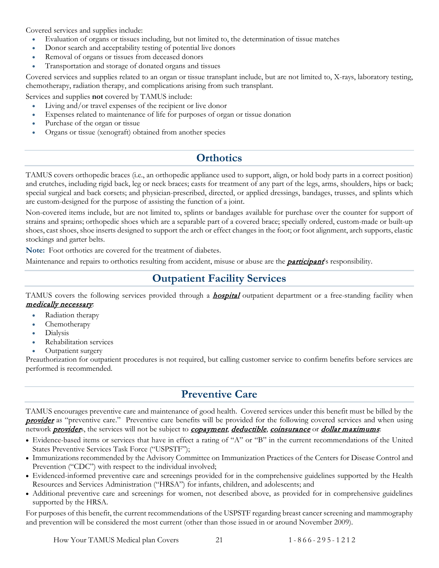Covered services and supplies include:

- Evaluation of organs or tissues including, but not limited to, the determination of tissue matches
- Donor search and acceptability testing of potential live donors
- Removal of organs or tissues from deceased donors
- Transportation and storage of donated organs and tissues

Covered services and supplies related to an organ or tissue transplant include, but are not limited to, X-rays, laboratory testing, chemotherapy, radiation therapy, and complications arising from such transplant.

Services and supplies **not** covered by TAMUS include:

- Living and/or travel expenses of the recipient or live donor
- Expenses related to maintenance of life for purposes of organ or tissue donation
- Purchase of the organ or tissue
- Organs or tissue (xenograft) obtained from another species

# **Orthotics**

<span id="page-23-0"></span>TAMUS covers orthopedic braces (i.e., an orthopedic appliance used to support, align, or hold body parts in a correct position) and crutches, including rigid back, leg or neck braces; casts for treatment of any part of the legs, arms, shoulders, hips or back; special surgical and back corsets; and physician-prescribed, directed, or applied dressings, bandages, trusses, and splints which are custom-designed for the purpose of assisting the function of a joint.

Non-covered items include, but are not limited to, splints or bandages available for purchase over the counter for support of strains and sprains; orthopedic shoes which are a separable part of a covered brace; specially ordered, custom-made or built-up shoes, cast shoes, shoe inserts designed to support the arch or effect changes in the foot; or foot alignment, arch supports, elastic stockings and garter belts.

**Note:** Foot orthotics are covered for the treatment of diabetes.

<span id="page-23-1"></span>Maintenance and repairs to orthotics resulting from accident, misuse or abuse are the **[participant](#page-57-0)**'s responsibility.

## **Outpatient Facility Services**

TAMUS covers the following services provided through a **[hospital](#page-57-4)** outpatient department or a free-standing facility when medically necessary:

- Radiation therapy
- Chemotherapy
- Dialysis
- Rehabilitation services
- Outpatient surgery

Preauthorization for outpatient procedures is not required, but calling customer service to confirm benefits before services are performed is recommended.

## **Preventive Care**

<span id="page-23-2"></span>TAMUS encourages preventive care and maintenance of good health. Covered services under this benefit must be billed by the **[provider](#page-57-3)** as "preventive care." Preventive care benefits will be provided for the following covered services and when using network *[provider](#page-57-3)s*, the services will not be subject to *[copayment](#page-56-3)*, *deductible*, *[coinsurance](#page-56-2)* or *dollar maximums*:

- Evidence-based items or services that have in effect a rating of "A" or "B" in the current recommendations of the United States Preventive Services Task Force ("USPSTF");
- Immunizations recommended by the Advisory Committee on Immunization Practices of the Centers for Disease Control and Prevention ("CDC") with respect to the individual involved;
- Evidenced-informed preventive care and screenings provided for in the comprehensive guidelines supported by the Health Resources and Services Administration ("HRSA") for infants, children, and adolescents; and
- Additional preventive care and screenings for women, not described above, as provided for in comprehensive guidelines supported by the HRSA.

For purposes of this benefit, the current recommendations of the USPSTF regarding breast cancer screening and mammography and prevention will be considered the most current (other than those issued in or around November 2009).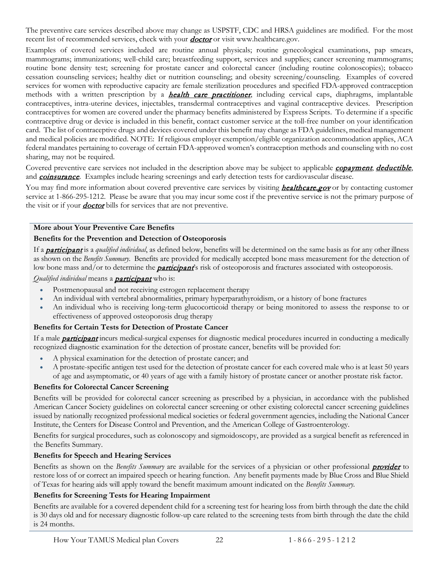The preventive care services described above may change as USPSTF, CDC and HRSA guidelines are modified. For the most recent list of recommended services, check with your **[doctor](#page-56-4)** or visit www.healthcare.gov.

Examples of covered services included are routine annual physicals; routine gynecological examinations, pap smears, mammograms; immunizations; well-child care; breastfeeding support, services and supplies; cancer screening mammograms; routine bone density test; screening for prostate cancer and colorectal cancer (including routine colonoscopies); tobacco cessation counseling services; healthy diet or nutrition counseling; and obesity screening/counseling. Examples of covered services for women with reproductive capacity are female sterilization procedures and specified FDA-approved contraception methods with a written prescription by a *health care practitioner*, including cervical caps, diaphragms, implantable contraceptives, intra-uterine devices, injectables, transdermal contraceptives and vaginal contraceptive devices. Prescription contraceptives for women are covered under the pharmacy benefits administered by Express Scripts. To determine if a specific contraceptive drug or device is included in this benefit, contact customer service at the toll-free number on your identification card. The list of contraceptive drugs and devices covered under this benefit may change as FDA guidelines, medical management and medical policies are modified. NOTE: If religious employer exemption/eligible organization accommodation applies, ACA federal mandates pertaining to coverage of certain FDA-approved women's contraception methods and counseling with no cost sharing, may not be required.

Covered preventive care services not included in the description above may be subject to applicable *[copayment](#page-56-3)*, *deductible*, and **[coinsurance](#page-56-2)**. Examples include hearing screenings and early detection tests for cardiovascular disease.

You may find more information about covered preventive care services by visiting *[healthcare.gov](http://www.healthcare.gov/news/factsheets/2010/07/preventive-services-list.html)* or by contacting customer service at 1-866-295-1212. Please be aware that you may incur some cost if the preventive service is not the primary purpose of the visit or if your **[doctor](#page-56-4)** bills for services that are not preventive.

#### **More about Your Preventive Care Benefits**

#### **Benefits for the Prevention and Detection of Osteoporosis**

If a [participant](#page-57-0) is a *qualified individual*, as defined below, benefits will be determined on the same basis as for any other illness as shown on the *Benefits Summary*. Benefits are provided for medically accepted bone mass measurement for the detection of low bone mass and/or to determine the *[participant](#page-57-0)*'s risk of osteoporosis and fractures associated with osteoporosis.

*Qualified individual* means a [participant](#page-57-0) who is:

- Postmenopausal and not receiving estrogen replacement therapy
- An individual with vertebral abnormalities, primary hyperparathyroidism, or a history of bone fractures
- An individual who is receiving long-term glucocorticoid therapy or being monitored to assess the response to or effectiveness of approved osteoporosis drug therapy

#### **Benefits for Certain Tests for Detection of Prostate Cancer**

If a male **[participant](#page-57-0)** incurs medical-surgical expenses for diagnostic medical procedures incurred in conducting a medically recognized diagnostic examination for the detection of prostate cancer, benefits will be provided for:

- A physical examination for the detection of prostate cancer; and
- A prostate-specific antigen test used for the detection of prostate cancer for each covered male who is at least 50 years of age and asymptomatic, or 40 years of age with a family history of prostate cancer or another prostate risk factor.

#### **Benefits for Colorectal Cancer Screening**

Benefits will be provided for colorectal cancer screening as prescribed by a physician, in accordance with the published American Cancer Society guidelines on colorectal cancer screening or other existing colorectal cancer screening guidelines issued by nationally recognized professional medical societies or federal government agencies, including the National Cancer Institute, the Centers for Disease Control and Prevention, and the American College of Gastroenterology.

Benefits for surgical procedures, such as colonoscopy and sigmoidoscopy, are provided as a surgical benefit as referenced in the Benefits Summary.

#### **Benefits for Speech and Hearing Services**

Benefits as shown on the *Benefits Summary* are available for the services of a physician or other professional **[provider](#page-57-3)** to restore loss of or correct an impaired speech or hearing function. Any benefit payments made by Blue Cross and Blue Shield of Texas for hearing aids will apply toward the benefit maximum amount indicated on the *Benefits Summary.*

#### **Benefits for Screening Tests for Hearing Impairment**

Benefits are available for a covered dependent child for a screening test for hearing loss from birth through the date the child is 30 days old and for necessary diagnostic follow-up care related to the screening tests from birth through the date the child is 24 months.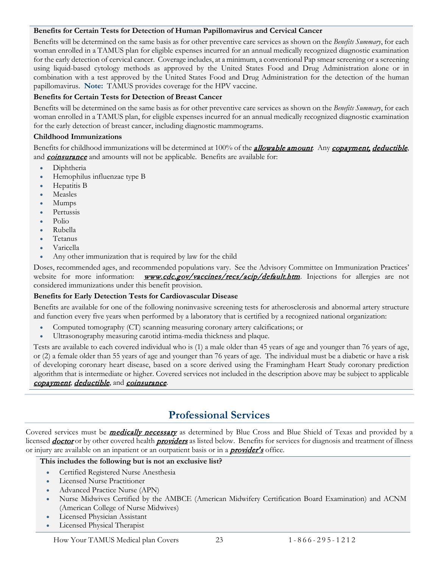#### **Benefits for Certain Tests for Detection of Human Papillomavirus and Cervical Cancer**

Benefits will be determined on the same basis as for other preventive care services as shown on the *Benefits Summary*, for each woman enrolled in a TAMUS plan for eligible expenses incurred for an annual medically recognized diagnostic examination for the early detection of cervical cancer. Coverage includes, at a minimum, a conventional Pap smear screening or a screening using liquid-based cytology methods as approved by the United States Food and Drug Administration alone or in combination with a test approved by the United States Food and Drug Administration for the detection of the human papillomavirus. **Note:** TAMUS provides coverage for the HPV vaccine.

#### **Benefits for Certain Tests for Detection of Breast Cancer**

Benefits will be determined on the same basis as for other preventive care services as shown on the *Benefits Summary*, for each woman enrolled in a TAMUS plan, for eligible expenses incurred for an annual medically recognized diagnostic examination for the early detection of breast cancer, including diagnostic mammograms.

#### **Childhood Immunizations**

Benefits for childhood immunizations will be determined at 100% of the **[allowable amount](#page-55-1)**. Any [copayment,](#page-56-3) deductible, and **[coinsurance](#page-56-2)** and amounts will not be applicable. Benefits are available for:

- Diphtheria
- Hemophilus influenzae type B
- Hepatitis B
- Measles
- Mumps
- Pertussis
- Polio
- Rubella
- Tetanus
- Varicella
- Any other immunization that is required by law for the child

Doses, recommended ages, and recommended populations vary. See the Advisory Committee on Immunization Practices' website for more information: **[www.cdc.gov/vaccines/recs/acip/default.htm](http://www.cdc.gov/vaccines/recs/acip/default.htm)**. Injections for allergies are not considered immunizations under this benefit provision.

#### **Benefits for Early Detection Tests for Cardiovascular Disease**

Benefits are available for one of the following noninvasive screening tests for atherosclerosis and abnormal artery structure and function every five years when performed by a laboratory that is certified by a recognized national organization:

- Computed tomography (CT) scanning measuring coronary artery calcifications; or
- Ultrasonography measuring carotid intima-media thickness and plaque.

Tests are available to each covered individual who is (1) a male older than 45 years of age and younger than 76 years of age, or (2) a female older than 55 years of age and younger than 76 years of age. The individual must be a diabetic or have a risk of developing coronary heart disease, based on a score derived using the Framingham Heart Study coronary prediction algorithm that is intermediate or higher. Covered services not included in the description above may be subject to applicable [copayment](#page-56-3), deductible, and [coinsurance](#page-56-2).

## **Professional Services**

<span id="page-25-0"></span>Covered services must be **medically necessary** as determined by Blue Cross and Blue Shield of Texas and provided by a licensed **[doctor](#page-56-4)** or by other covered health **[providers](#page-57-3)** as listed below. Benefits for services for diagnosis and treatment of illness or injury are available on an inpatient or an outpatient basis or in a **[provider's](#page-57-3)** office.

#### **This includes the following but is not an exclusive list?**

- Certified Registered Nurse Anesthesia
- Licensed Nurse Practitioner
- Advanced Practice Nurse (APN)
- Nurse Midwives Certified by the AMBCE (American Midwifery Certification Board Examination) and ACNM (American College of Nurse Midwives)
- Licensed Physician Assistant
- Licensed Physical Therapist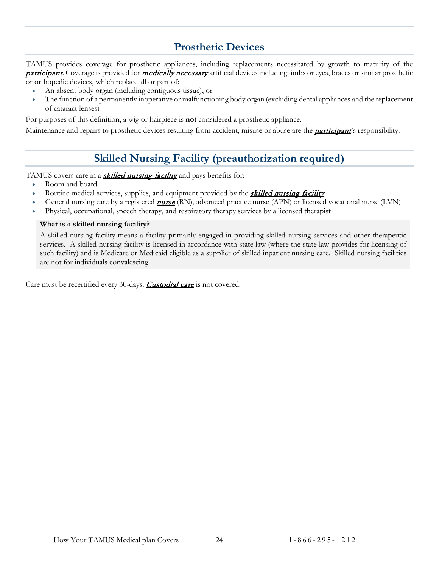# **Prosthetic Devices**

<span id="page-26-0"></span>TAMUS provides coverage for prosthetic appliances, including replacements necessitated by growth to maturity of the **[participant](#page-57-0)**. Coverage is provided for **medically necessary** artificial devices including limbs or eyes, braces or similar prosthetic or orthopedic devices, which replace all or part of:

- An absent body organ (including contiguous tissue), or
- The function of a permanently inoperative or malfunctioning body organ (excluding dental appliances and the replacement of cataract lenses)

For purposes of this definition, a wig or hairpiece is **not** considered a prosthetic appliance.

<span id="page-26-1"></span>Maintenance and repairs to prosthetic devices resulting from accident, misuse or abuse are the **[participant](#page-57-0)**'s responsibility.

# **Skilled Nursing Facility (preauthorization required)**

TAMUS covers care in a **[skilled nursing facility](#page-58-1)** and pays benefits for:

- Room and board
- Routine medical services, supplies, and equipment provided by the **[skilled nursing facility](#page-58-1)**
- General nursing care by a registered **[nurse](#page-57-5)** (RN), advanced practice nurse (APN) or licensed vocational nurse (LVN)
- Physical, occupational, speech therapy, and respiratory therapy services by a licensed therapist

#### **What is a skilled nursing facility?**

A skilled nursing facility means a facility primarily engaged in providing skilled nursing services and other therapeutic services. A skilled nursing facility is licensed in accordance with state law (where the state law provides for licensing of such facility) and is Medicare or Medicaid eligible as a supplier of skilled inpatient nursing care. Skilled nursing facilities are not for individuals convalescing.

Care must be recertified every 30-days. [Custodial care](#page-56-6) is not covered.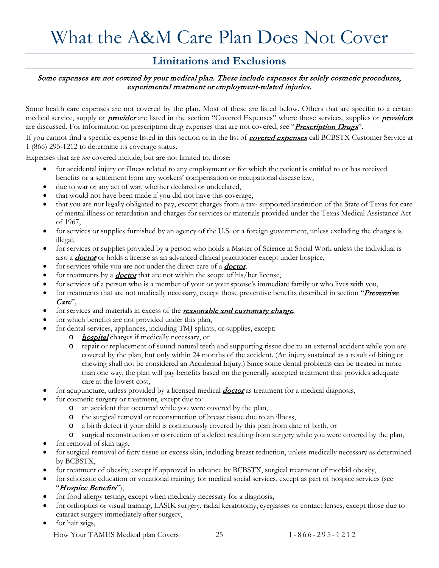# <span id="page-27-0"></span>What the A&M Care Plan Does Not Cover

### **Limitations and Exclusions**

#### <span id="page-27-1"></span>Some expenses are not covered by your medical plan. These include expenses for solely cosmetic procedures, experimental treatment or employment-related injuries.

Some health care expenses are not covered by the plan. Most of these are listed below. Others that are specific to a certain medical service, supply or *[provider](#page-57-3)* are listed in the section "Covered Expenses" where those services, supplies or *[providers](#page-57-3)* are discussed. For information on prescription drug expenses that are not covered, see "Prescription Drugs".

If you cannot find a specific expense listed in this section or in the list of **covered expenses** call BCBSTX Customer Service at 1 (866) 295-1212 to determine its coverage status.

Expenses that are *not* covered include, but are not limited to, those:

- for accidental injury or illness related to any employment or for which the patient is entitled to or has received benefits or a settlement from any workers' compensation or occupational disease law,
- due to war or any act of war, whether declared or undeclared,
- that would not have been made if you did not have this coverage,
- that you are not legally obligated to pay, except charges from a tax- supported institution of the State of Texas for care of mental illness or retardation and charges for services or materials provided under the Texas Medical Assistance Act of 1967,
- for services or supplies furnished by an agency of the U.S. or a foreign government, unless excluding the charges is illegal,
- for services or supplies provided by a person who holds a Master of Science in Social Work unless the individual is also a **[doctor](#page-56-4)** or holds a license as an advanced clinical practitioner except under hospice,
- for services while you are not under the direct care of a **[doctor](#page-56-4)**,
- for treatments by a *[doctor](#page-56-4)* that are not within the scope of his/her license,
- for services of a person who is a member of your or your spouse's immediate family or who lives with you,
- for treatments that are not medically necessary, except those preventive benefits described in section "**Preventive** Care",
- for services and materials in excess of the **[reasonable and customary charge](#page-57-6)**,
- for which benefits are not provided under this plan,
- for dental services, appliances, including TMJ splints, or supplies, except:
	- o *[hospital](#page-57-4)* charges if medically necessary, or
		- o repair or replacement of sound natural teeth and supporting tissue due to an external accident while you are covered by the plan, but only within 24 months of the accident. (An injury sustained as a result of biting or chewing shall not be considered an Accidental Injury.) Since some dental problems can be treated in more than one way, the plan will pay benefits based on the generally accepted treatment that provides adequate care at the lowest cost,
- for acupuncture, unless provided by a licensed medical *[doctor](#page-56-4)* as treatment for a medical diagnosis,
- for cosmetic surgery or treatment, except due to:
	- o an accident that occurred while you were covered by the plan,
	- o the surgical removal or reconstruction of breast tissue due to an illness,
	- o a birth defect if your child is continuously covered by this plan from date of birth, or
	- o surgical reconstruction or correction of a defect resulting from surgery while you were covered by the plan,
- for removal of skin tags,
- for surgical removal of fatty tissue or excess skin, including breast reduction, unless medically necessary as determined by BCBSTX,
- for treatment of obesity, except if approved in advance by BCBSTX, surgical treatment of morbid obesity,
- for scholastic education or vocational training, for medical social services, except as part of hospice services (see "Hospice Benefits"),
- for food allergy testing, except when medically necessary for a diagnosis,
- for orthoptics or visual training, LASIK surgery, radial keratotomy, eyeglasses or contact lenses, except those due to cataract surgery immediately after surgery,
- for hair wigs,

How Your TAMUS Medical plan Covers 25 1 - 866 - 295 - 1 2 1 2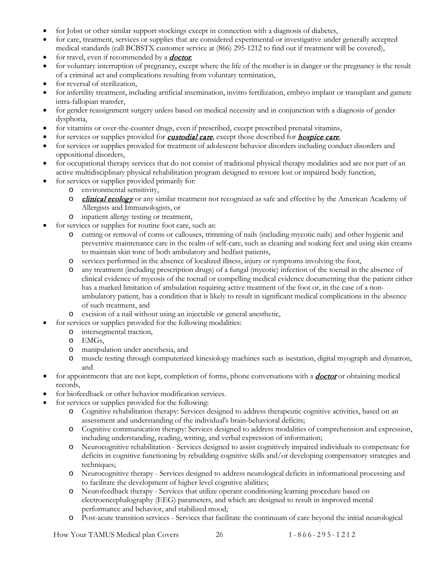- for Jobst or other similar support stockings except in connection with a diagnosis of diabetes,
- for care, treatment, services or supplies that are considered experimental or investigative under generally accepted medical standards (call BCBSTX customer service at (866) 295-1212 to find out if treatment will be covered),
- for travel, even if recommended by a **[doctor](#page-56-4)**,
- for voluntary interruption of pregnancy, except where the life of the mother is in danger or the pregnancy is the result of a criminal act and complications resulting from voluntary termination,
- for reversal of sterilization,
- for infertility treatment, including artificial insemination, invitro fertilization, embryo implant or transplant and gamete intra-fallopian transfer,
- for gender reassignment surgery unless based on medical necessity and in conjunction with a diagnosis of gender dysphoria,
- for vitamins or over-the-counter drugs, even if prescribed, except prescribed prenatal vitamins,
- for services or supplies provided for *[custodial care](#page-56-6)*, except those described for *hospice care*,
- for services or supplies provided for treatment of adolescent behavior disorders including conduct disorders and oppositional disorders,
- for occupational therapy services that do not consist of traditional physical therapy modalities and are not part of an active multidisciplinary physical rehabilitation program designed to restore lost or impaired body function,
- for services or supplies provided primarily for:
	- o environmental sensitivity,
	- o *[clinical ecology](#page-55-2)* or any similar treatment not recognized as safe and effective by the American Academy of Allergists and Immunologists, or
	- o inpatient allergy testing or treatment,
- for services or supplies for routine foot care, such as:
	- o cutting or removal of corns or callouses, trimming of nails (including mycotic nails) and other hygienic and preventive maintenance care in the realm of self-care, such as cleaning and soaking feet and using skin creams to maintain skin tone of both ambulatory and bedfast patients,
	- o services performed in the absence of localized illness, injury or symptoms involving the foot,
	- o any treatment (including prescription drugs) of a fungal (mycotic) infection of the toenail in the absence of clinical evidence of mycosis of the toenail or compelling medical evidence documenting that the patient either has a marked limitation of ambulation requiring active treatment of the foot or, in the case of a nonambulatory patient, has a condition that is likely to result in significant medical complications in the absence of such treatment, and
	- excision of a nail without using an injectable or general anesthetic,
- for services or supplies provided for the following modalities:
	- o intersegmental traction,
	- o EMGs,
	- o manipulation under anesthesia, and
	- o muscle testing through computerized kinesiology machines such as isestation, digital myograph and dynatron, and
- for appointments that are not kept, completion of forms, phone conversations with a **[doctor](#page-56-4)** or obtaining medical records,
- for biofeedback or other behavior modification services.
- for services or supplies provided for the following:
	- o Cognitive rehabilitation therapy: Services designed to address therapeutic cognitive activities, based on an assessment and understanding of the individual's brain-behavioral deficits;
	- o Cognitive communication therapy: Services designed to address modalities of comprehension and expression, including understanding, reading, writing, and verbal expression of information;
	- o Neurocognitive rehabilitation Services designed to assist cognitively impaired individuals to compensate for deficits in cognitive functioning by rebuilding cognitive skills and/or developing compensatory strategies and techniques;
	- o Neurocognitive therapy Services designed to address neurological deficits in informational processing and to facilitate the development of higher level cognitive abilities;
	- o Neurofeedback therapy Services that utilize operant conditioning learning procedure based on electroencephalography (EEG) parameters, and which are designed to result in improved mental performance and behavior, and stabilized mood;
	- o Post-acute transition services Services that facilitate the continuum of care beyond the initial neurological

How Your TAMUS Medical plan Covers 26 1 - 866 - 295 - 1 2 1 2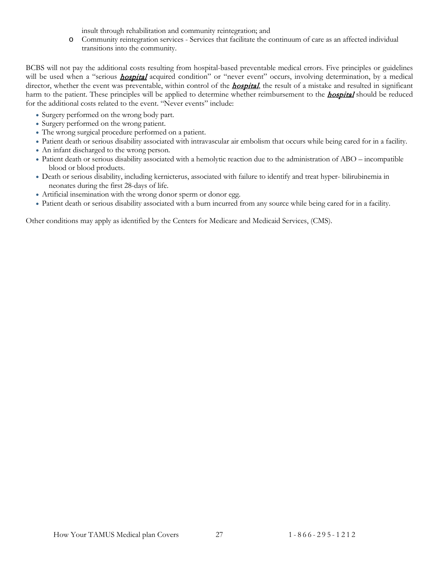insult through rehabilitation and community reintegration; and

o Community reintegration services - Services that facilitate the continuum of care as an affected individual transitions into the community.

BCBS will not pay the additional costs resulting from hospital-based preventable medical errors. Five principles or guidelines will be used when a "serious **[hospital](#page-57-4)** acquired condition" or "never event" occurs, involving determination, by a medical director, whether the event was preventable, within control of the **[hospital](#page-57-4)**, the result of a mistake and resulted in significant harm to the patient. These principles will be applied to determine whether reimbursement to the **[hospital](#page-57-4)** should be reduced for the additional costs related to the event. "Never events" include:

- Surgery performed on the wrong body part.
- Surgery performed on the wrong patient.
- The wrong surgical procedure performed on a patient.
- Patient death or serious disability associated with intravascular air embolism that occurs while being cared for in a facility.
- An infant discharged to the wrong person.
- Patient death or serious disability associated with a hemolytic reaction due to the administration of ABO incompatible blood or blood products.
- Death or serious disability, including kernicterus, associated with failure to identify and treat hyper- bilirubinemia in neonates during the first 28-days of life.
- Artificial insemination with the wrong donor sperm or donor egg.
- Patient death or serious disability associated with a burn incurred from any source while being cared for in a facility.

Other conditions may apply as identified by the Centers for Medicare and Medicaid Services, (CMS).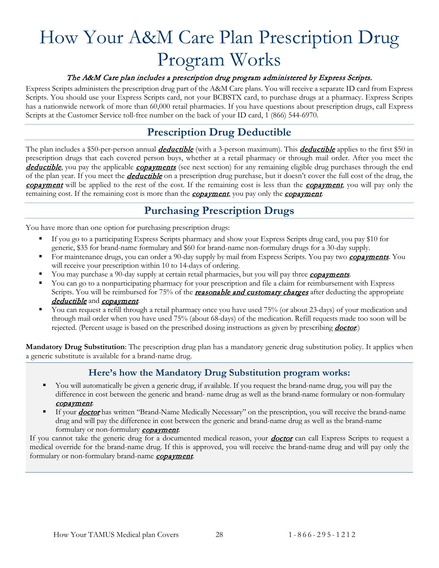# <span id="page-30-0"></span>How Your A&M Care Plan Prescription Drug Program Works

#### The A&M Care plan includes a prescription drug program administered by Express Scripts.

Express Scripts administers the prescription drug part of the A&M Care plans. You will receive a separate ID card from Express Scripts. You should use your Express Scripts card, not your BCBSTX card, to purchase drugs at a pharmacy. Express Scripts has a nationwide network of more than 60,000 retail pharmacies. If you have questions about prescription drugs, call Express Scripts at the Customer Service toll-free number on the back of your ID card, 1 (866) 544-6970.

# **Prescription Drug Deductible**

<span id="page-30-1"></span>The plan includes a \$50-per-person annual *[deductible](#page-56-1)* (with a 3-person maximum). This *deductible* applies to the first \$50 in prescription drugs that each covered person buys, whether at a retail pharmacy or through mail order. After you meet the [deductible](#page-56-1), you pay the applicable [copayments](#page-56-3) (see next section) for any remaining eligible drug purchases through the end of the plan year. If you meet the **[deductible](#page-56-1)** on a prescription drug purchase, but it doesn't cover the full cost of the drug, the [copayment](#page-56-3) will be applied to the rest of the cost. If the remaining cost is less than the copayment, you will pay only the remaining cost. If the remaining cost is more than the **[copayment](#page-56-3)**, you pay only the **copayment**.

# **Purchasing Prescription Drugs**

<span id="page-30-2"></span>You have more than one option for purchasing prescription drugs:

- If you go to a participating Express Scripts pharmacy and show your Express Scripts drug card, you pay \$10 for generic, \$35 for brand-name formulary and \$60 for brand-name non-formulary drugs for a 30-day supply.
- For maintenance drugs, you can order a 90-day supply by mail from Express Scripts. You pay two **[copayments](#page-56-3)**. You will receive your prescription within 10 to 14-days of ordering.
- You may purchase a 90-day supply at certain retail pharmacies, but you will pay three *[copayments](#page-56-3)*.
- You can go to a nonparticipating pharmacy for your prescription and file a claim for reimbursement with Express Scripts. You will be reimbursed for 75% of the *[reasonable and customary charges](#page-57-6)* after deducting the appropriate [deductible](#page-56-1) and [copayment](#page-56-3).
- You can request a refill through a retail pharmacy once you have used 75% (or about 23-days) of your medication and through mail order when you have used 75% (about 68-days) of the medication. Refill requests made too soon will be rejected. (Percent usage is based on the prescribed dosing instructions as given by prescribing **[doctor](#page-56-4)**.)

<span id="page-30-3"></span>**Mandatory Drug Substitution**: The prescription drug plan has a mandatory generic drug substitution policy. It applies when a generic substitute is available for a brand-name drug.

### **Here's how the Mandatory Drug Substitution program works:**

- You will automatically be given a generic drug, if available. If you request the brand-name drug, you will pay the difference in cost between the generic and brand- name drug as well as the brand-name formulary or non-formulary [copayment](#page-56-3).
- If your **[doctor](#page-56-4)** has written "Brand-Name Medically Necessary" on the prescription, you will receive the brand-name drug and will pay the difference in cost between the generic and brand-name drug as well as the brand-name formulary or non-formulary **[copayment](#page-56-3)**.

If you cannot take the generic drug for a documented medical reason, your **[doctor](#page-56-4)** can call Express Scripts to request a medical override for the brand-name drug. If this is approved, you will receive the brand-name drug and will pay only the formulary or non-formulary brand-name **[copayment](#page-56-3)**.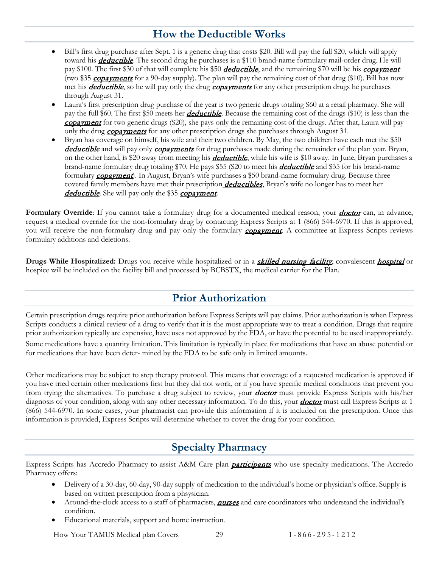# **How the Deductible Works**

- <span id="page-31-0"></span>• Bill's first drug purchase after Sept. 1 is a generic drug that costs \$20. Bill will pay the full \$20, which will apply toward his **[deductible](#page-56-1)**. The second drug he purchases is a \$110 brand-name formulary mail-order drug. He will pay \$100. The first \$30 of that will complete his \$50 *[deductible](#page-56-1)*, and the remaining \$70 will be his *[copayment](#page-56-3)* (two \$35 [copayments](#page-56-3) for a 90-day supply). The plan will pay the remaining cost of that drug (\$10). Bill has now met his **[deductible](#page-56-1)**, so he will pay only the drug **[copayments](#page-56-3)** for any other prescription drugs he purchases through August 31.
- Laura's first prescription drug purchase of the year is two generic drugs totaling \$60 at a retail pharmacy. She will pay the full \$60. The first \$50 meets her *[deductible](#page-56-1)*. Because the remaining cost of the drugs (\$10) is less than the [copayment](#page-56-3) for two generic drugs (\$20), she pays only the remaining cost of the drugs. After that, Laura will pay only the drug *[copayments](#page-56-3)* for any other prescription drugs she purchases through August 31.
- Bryan has coverage on himself, his wife and their two children. By May, the two children have each met the \$50 [deductible](#page-56-1) and will pay only [copayments](#page-56-3) for drug purchases made during the remainder of the plan year. Bryan, on the other hand, is \$20 away from meeting his *[deductible](#page-56-1)*, while his wife is \$10 away. In June, Bryan purchases a brand-name formulary drug totaling \$70. He pays \$55 (\$20 to meet his **[deductible](#page-56-1)** and \$35 for his brand-name formulary **[copayment](#page-56-3)**). In August, Bryan's wife purchases a \$50 brand-name formulary drug. Because three covered family members have met their prescription *deductibles*, Bryan's wife no longer has to meet her [deductible](#page-56-1). She will pay only the \$35 [copayment](#page-56-3).

Formulary Override: If you cannot take a formulary drug for a documented medical reason, your *[doctor](#page-56-4)* can, in advance, request a medical override for the non-formulary drug by contacting Express Scripts at 1 (866) 544-6970. If this is approved, you will receive the non-formulary drug and pay only the formulary **[copayment](#page-56-3)**. A committee at Express Scripts reviews formulary additions and deletions.

**Drugs While Hospitalized:** Drugs you receive while [hospital](#page-57-4)ized or in a **[skilled nursing facility](#page-58-1)**, convalescent **hospital** or hospice will be included on the facility bill and processed by BCBSTX, the medical carrier for the Plan.

## **Prior Authorization**

<span id="page-31-1"></span>Certain prescription drugs require prior authorization before Express Scripts will pay claims. Prior authorization is when Express Scripts conducts a clinical review of a drug to verify that it is the most appropriate way to treat a condition. Drugs that require prior authorization typically are expensive, have uses not approved by the FDA, or have the potential to be used inappropriately.

Some medications have a quantity limitation. This limitation is typically in place for medications that have an abuse potential or for medications that have been deter- mined by the FDA to be safe only in limited amounts.

Other medications may be subject to step therapy protocol. This means that coverage of a requested medication is approved if you have tried certain other medications first but they did not work, or if you have specific medical conditions that prevent you from trying the alternatives. To purchase a drug subject to review, your **[doctor](#page-56-4)** must provide Express Scripts with his/her diagnosis of your condition, along with any other necessary information. To do this, your **[doctor](#page-56-4)** must call Express Scripts at 1 (866) 544-6970. In some cases, your pharmacist can provide this information if it is included on the prescription. Once this information is provided, Express Scripts will determine whether to cover the drug for your condition.

# **Specialty Pharmacy**

<span id="page-31-2"></span>Express Scripts has Accredo Pharmacy to assist A&M Care plan **[participants](#page-57-0)** who use specialty medications. The Accredo Pharmacy offers:

- Delivery of a 30-day, 60-day, 90-day supply of medication to the individual's home or physician's office. Supply is based on written prescription from a phsysician.
- Around-the-clock access to a staff of pharmacists, **[nurses](#page-57-5)** and care coordinators who understand the individual's condition.
- Educational materials, support and home instruction.

How Your TAMUS Medical plan Covers 29 1 - 866 - 295 - 1 2 1 2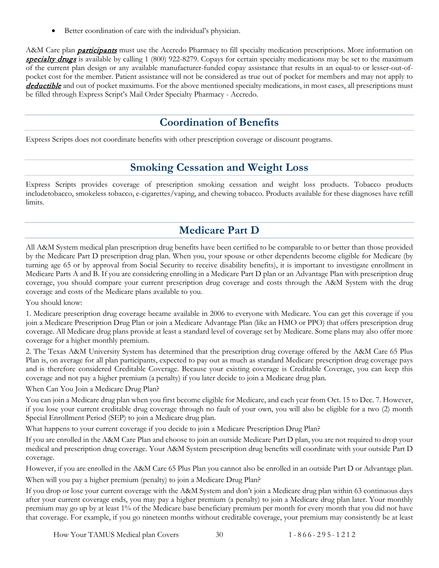• Better coordination of care with the individual's physician.

A&M Care plan **[participants](#page-57-0)** must use the Accredo Pharmacy to fill specialty medication prescriptions. More information on [specialty drugs](#page-58-2) is available by calling 1 (800) 922-8279. Copays for certain specialty medications may be set to the maximum of the current plan design or any available manufacturer-funded copay assistance that results in an equal-to or lesser-out-ofpocket cost for the member. Patient assistance will not be considered as true out of pocket for members and may not apply to [deductible](#page-56-1) and out of pocket maximums. For the above mentioned specialty medications, in most cases, all prescriptions must be filled through Express Script's Mail Order Specialty Pharmacy - Accredo.

# **Coordination of Benefits**

<span id="page-32-1"></span><span id="page-32-0"></span>Express Scripts does not coordinate benefits with other prescription coverage or discount programs.

## **Smoking Cessation and Weight Loss**

Express Scripts provides coverage of prescription smoking cessation and weight loss products. Tobacco products includetobacco, smokeless tobacco, e-cigarettes/vaping, and chewing tobacco. Products available for these diagnoses have refill limits.

# **Medicare Part D**

<span id="page-32-2"></span>All A&M System medical plan prescription drug benefits have been certified to be comparable to or better than those provided by the Medicare Part D prescription drug plan. When you, your spouse or other dependents become eligible for Medicare (by turning age 65 or by approval from Social Security to receive disability benefits), it is important to investigate enrollment in Medicare Parts A and B. If you are considering enrolling in a Medicare Part D plan or an Advantage Plan with prescription drug coverage, you should compare your current prescription drug coverage and costs through the A&M System with the drug coverage and costs of the Medicare plans available to you.

You should know:

1. Medicare prescription drug coverage became available in 2006 to everyone with Medicare. You can get this coverage if you join a Medicare Prescription Drug Plan or join a Medicare Advantage Plan (like an HMO or PPO) that offers prescription drug coverage. All Medicare drug plans provide at least a standard level of coverage set by Medicare. Some plans may also offer more coverage for a higher monthly premium.

2. The Texas A&M University System has determined that the prescription drug coverage offered by the A&M Care 65 Plus Plan is, on average for all plan participants, expected to pay out as much as standard Medicare prescription drug coverage pays and is therefore considered Creditable Coverage. Because your existing coverage is Creditable Coverage, you can keep this coverage and not pay a higher premium (a penalty) if you later decide to join a Medicare drug plan.

When Can You Join a Medicare Drug Plan?

You can join a Medicare drug plan when you first become eligible for Medicare, and each year from Oct. 15 to Dec. 7. However, if you lose your current creditable drug coverage through no fault of your own, you will also be eligible for a two (2) month Special Enrollment Period (SEP) to join a Medicare drug plan.

What happens to your current coverage if you decide to join a Medicare Prescription Drug Plan?

If you are enrolled in the A&M Care Plan and choose to join an outside Medicare Part D plan, you are not required to drop your medical and prescription drug coverage. Your A&M System prescription drug benefits will coordinate with your outside Part D coverage.

However, if you are enrolled in the A&M Care 65 Plus Plan you cannot also be enrolled in an outside Part D or Advantage plan. When will you pay a higher premium (penalty) to join a Medicare Drug Plan?

If you drop or lose your current coverage with the A&M System and don't join a Medicare drug plan within 63 continuous days after your current coverage ends, you may pay a higher premium (a penalty) to join a Medicare drug plan later. Your monthly premium may go up by at least 1% of the Medicare base beneficiary premium per month for every month that you did not have that coverage. For example, if you go nineteen months without creditable coverage, your premium may consistently be at least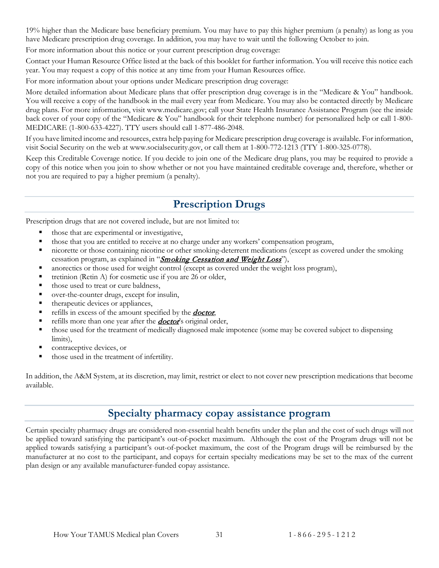19% higher than the Medicare base beneficiary premium. You may have to pay this higher premium (a penalty) as long as you have Medicare prescription drug coverage. In addition, you may have to wait until the following October to join.

For more information about this notice or your current prescription drug coverage:

Contact your Human Resource Office listed at the back of this booklet for further information. You will receive this notice each year. You may request a copy of this notice at any time from your Human Resources office.

For more information about your options under Medicare prescription drug coverage:

More detailed information about Medicare plans that offer prescription drug coverage is in the "Medicare & You" handbook. You will receive a copy of the handbook in the mail every year from Medicare. You may also be contacted directly by Medicare drug plans. For more information, visit www.medicare.gov; call your State Health Insurance Assistance Program (see the inside back cover of your copy of the "Medicare & You" handbook for their telephone number) for personalized help or call 1-800- MEDICARE (1-800-633-4227). TTY users should call 1-877-486-2048.

If you have limited income and resources, extra help paying for Medicare prescription drug coverage is available. For information, visit Social Security on the web at www.socialsecurity.gov, or call them at 1-800-772-1213 (TTY 1-800-325-0778).

Keep this Creditable Coverage notice. If you decide to join one of the Medicare drug plans, you may be required to provide a copy of this notice when you join to show whether or not you have maintained creditable coverage and, therefore, whether or not you are required to pay a higher premium (a penalty).

# **Prescription Drugs**

<span id="page-33-0"></span>Prescription drugs that are not covered include, but are not limited to:

- those that are experimental or investigative,
- those that you are entitled to receive at no charge under any workers' compensation program,
- nicorette or those containing nicotine or other smoking-deterrent medications (except as covered under the smoking cessation program, as explained in "*[Smoking Cessation and Weight Loss](#page-32-1)*"),
- anorectics or those used for weight control (except as covered under the weight loss program),
- tretinion (Retin A) for cosmetic use if you are 26 or older,
- those used to treat or cure baldness,
- over-the-counter drugs, except for insulin,
- therapeutic devices or appliances,
- refills in excess of the amount specified by the **[doctor](#page-56-4)**,
- refills more than one year after the **[doctor](#page-56-4)'s** original order,
- those used for the treatment of medically diagnosed male impotence (some may be covered subject to dispensing limits),
- contraceptive devices, or
- those used in the treatment of infertility.

In addition, the A&M System, at its discretion, may limit, restrict or elect to not cover new prescription medications that become available.

## **Specialty pharmacy copay assistance program**

<span id="page-33-1"></span>Certain specialty pharmacy drugs are considered non-essential health benefits under the plan and the cost of such drugs will not be applied toward satisfying the participant's out-of-pocket maximum. Although the cost of the Program drugs will not be applied towards satisfying a participant's out-of-pocket maximum, the cost of the Program drugs will be reimbursed by the manufacturer at no cost to the participant, and copays for certain specialty medications may be set to the max of the current plan design or any available manufacturer-funded copay assistance.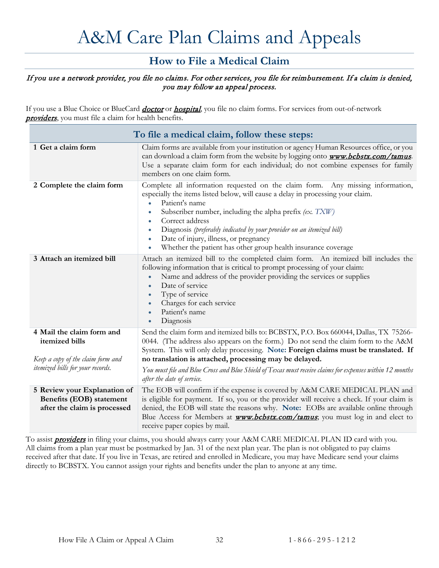# A&M Care Plan Claims and Appeals

## **How to File a Medical Claim**

#### <span id="page-34-1"></span><span id="page-34-0"></span>If you use a network provider, you file no claims. For other services, you file for reimbursement. If a claim is denied, you may follow an appeal process.

If you use a Blue Choice or BlueCard *[doctor](#page-56-4)* or *[hospital](#page-57-4)*, you file no claim forms. For services from out-of-network [providers](#page-57-3), you must file a claim for health benefits.

<span id="page-34-2"></span>

| To file a medical claim, follow these steps:                                             |                                                                                                                                                                                                                                                                                                                                                                                                                                                                                                              |  |  |
|------------------------------------------------------------------------------------------|--------------------------------------------------------------------------------------------------------------------------------------------------------------------------------------------------------------------------------------------------------------------------------------------------------------------------------------------------------------------------------------------------------------------------------------------------------------------------------------------------------------|--|--|
| 1 Get a claim form                                                                       | Claim forms are available from your institution or agency Human Resources office, or you<br>can download a claim form from the website by logging onto <b>www.bcbstx.com/tamus</b> .<br>Use a separate claim form for each individual; do not combine expenses for family<br>members on one claim form.                                                                                                                                                                                                      |  |  |
| 2 Complete the claim form                                                                | Complete all information requested on the claim form. Any missing information,<br>especially the items listed below, will cause a delay in processing your claim.<br>Patient's name<br>$\bullet$<br>Subscriber number, including the alpha prefix $(ex. TXW)$<br>$\bullet$<br>Correct address<br>٠<br>Diagnosis (preferably indicated by your provider on an itemized bill)<br>$\bullet$<br>Date of injury, illness, or pregnancy<br>۰<br>Whether the patient has other group health insurance coverage<br>٠ |  |  |
| 3 Attach an itemized bill                                                                | Attach an itemized bill to the completed claim form. An itemized bill includes the<br>following information that is critical to prompt processing of your claim:<br>Name and address of the provider providing the services or supplies<br>$\bullet$<br>Date of service<br>$\bullet$<br>Type of service<br>$\bullet$<br>Charges for each service<br>$\bullet$<br>Patient's name<br>$\bullet$<br>Diagnosis<br>$\bullet$                                                                                       |  |  |
| 4 Mail the claim form and<br>itemized bills<br>Keep a copy of the claim form and         | Send the claim form and itemized bills to: BCBSTX, P.O. Box 660044, Dallas, TX 75266-<br>0044. (The address also appears on the form.) Do not send the claim form to the A&M<br>System. This will only delay processing. Note: Foreign claims must be translated. If<br>no translation is attached, processing may be delayed.                                                                                                                                                                               |  |  |
| itemized bills for your records.                                                         | You must file and Blue Cross and Blue Shield of Texas must receive claims for expenses within 12 months<br>after the date of service.                                                                                                                                                                                                                                                                                                                                                                        |  |  |
| 5 Review your Explanation of<br>Benefits (EOB) statement<br>after the claim is processed | The EOB will confirm if the expense is covered by A&M CARE MEDICAL PLAN and<br>is eligible for payment. If so, you or the provider will receive a check. If your claim is<br>denied, the EOB will state the reasons why. Note: EOBs are available online through<br>Blue Access for Members at <b>www.bcbstx.com/tamus</b> ; you must log in and elect to<br>receive paper copies by mail.                                                                                                                   |  |  |

To assist **[providers](#page-57-3)** in filing your claims, you should always carry your A&M CARE MEDICAL PLAN ID card with you. All claims from a plan year must be postmarked by Jan. 31 of the next plan year. The plan is not obligated to pay claims received after that date. If you live in Texas, are retired and enrolled in Medicare, you may have Medicare send your claims directly to BCBSTX. You cannot assign your rights and benefits under the plan to anyone at any time.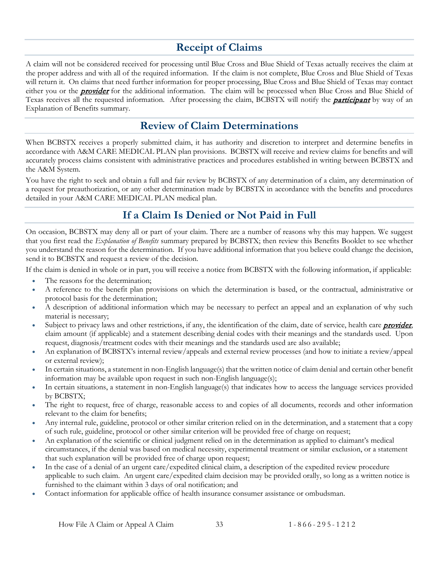# **Receipt of Claims**

<span id="page-35-0"></span>A claim will not be considered received for processing until Blue Cross and Blue Shield of Texas actually receives the claim at the proper address and with all of the required information. If the claim is not complete, Blue Cross and Blue Shield of Texas will return it. On claims that need further information for proper processing, Blue Cross and Blue Shield of Texas may contact either you or the **[provider](#page-57-3)** for the additional information. The claim will be processed when Blue Cross and Blue Shield of Texas receives all the requested information. After processing the claim, BCBSTX will notify the **[participant](#page-57-0)** by way of an Explanation of Benefits summary.

# **Review of Claim Determinations**

<span id="page-35-1"></span>When BCBSTX receives a properly submitted claim, it has authority and discretion to interpret and determine benefits in accordance with A&M CARE MEDICAL PLAN plan provisions. BCBSTX will receive and review claims for benefits and will accurately process claims consistent with administrative practices and procedures established in writing between BCBSTX and the A&M System.

You have the right to seek and obtain a full and fair review by BCBSTX of any determination of a claim, any determination of a request for preauthorization, or any other determination made by BCBSTX in accordance with the benefits and procedures detailed in your A&M CARE MEDICAL PLAN medical plan.

# **If a Claim Is Denied or Not Paid in Full**

<span id="page-35-2"></span>On occasion, BCBSTX may deny all or part of your claim. There are a number of reasons why this may happen. We suggest that you first read the *Explanation of Benefits* summary prepared by BCBSTX; then review this Benefits Booklet to see whether you understand the reason for the determination. If you have additional information that you believe could change the decision, send it to BCBSTX and request a review of the decision.

If the claim is denied in whole or in part, you will receive a notice from BCBSTX with the following information, if applicable:

- The reasons for the determination;
- A reference to the benefit plan provisions on which the determination is based, or the contractual, administrative or protocol basis for the determination;
- A description of additional information which may be necessary to perfect an appeal and an explanation of why such material is necessary;
- Subject to privacy laws and other restrictions, if any, the identification of the claim, date of service, health care **[provider](#page-57-3)**, claim amount (if applicable) and a statement describing denial codes with their meanings and the standards used. Upon request, diagnosis/treatment codes with their meanings and the standards used are also available;
- An explanation of BCBSTX's internal review/appeals and external review processes (and how to initiate a review/appeal or external review);
- In certain situations, a statement in non-English language(s) that the written notice of claim denial and certain other benefit information may be available upon request in such non-English language(s);
- In certain situations, a statement in non-English language(s) that indicates how to access the language services provided by BCBSTX;
- The right to request, free of charge, reasonable access to and copies of all documents, records and other information relevant to the claim for benefits;
- Any internal rule, guideline, protocol or other similar criterion relied on in the determination, and a statement that a copy of such rule, guideline, protocol or other similar criterion will be provided free of charge on request;
- An explanation of the scientific or clinical judgment relied on in the determination as applied to claimant's medical circumstances, if the denial was based on medical necessity, experimental treatment or similar exclusion, or a statement that such explanation will be provided free of charge upon request;
- In the case of a denial of an urgent care/expedited clinical claim, a description of the expedited review procedure applicable to such claim. An urgent care/expedited claim decision may be provided orally, so long as a written notice is furnished to the claimant within 3 days of oral notification; and
- Contact information for applicable office of health insurance consumer assistance or ombudsman.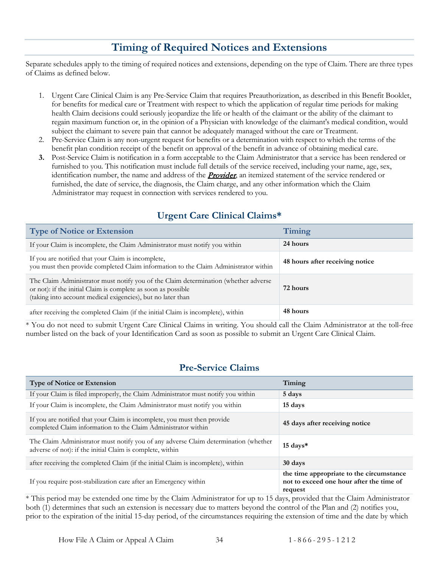# **Timing of Required Notices and Extensions**

<span id="page-36-0"></span>Separate schedules apply to the timing of required notices and extensions, depending on the type of Claim. There are three types of Claims as defined below.

- 1. Urgent Care Clinical Claim is any Pre-Service Claim that requires Preauthorization, as described in this Benefit Booklet, for benefits for medical care or Treatment with respect to which the application of regular time periods for making health Claim decisions could seriously jeopardize the life or health of the claimant or the ability of the claimant to regain maximum function or, in the opinion of a Physician with knowledge of the claimant's medical condition, would subject the claimant to severe pain that cannot be adequately managed without the care or Treatment.
- 2. Pre-Service Claim is any non-urgent request for benefits or a determination with respect to which the terms of the benefit plan condition receipt of the benefit on approval of the benefit in advance of obtaining medical care.
- **3.** Post-Service Claim is notification in a form acceptable to the Claim Administrator that a service has been rendered or furnished to you. This notification must include full details of the service received, including your name, age, sex, identification number, the name and address of the **[Provider](#page-57-3)**, an itemized statement of the service rendered or furnished, the date of service, the diagnosis, the Claim charge, and any other information which the Claim Administrator may request in connection with services rendered to you.

## **Urgent Care Clinical Claims\***

<span id="page-36-1"></span>

| <b>Type of Notice or Extension</b>                                                                                                                                                                                  | Timing                          |
|---------------------------------------------------------------------------------------------------------------------------------------------------------------------------------------------------------------------|---------------------------------|
| If your Claim is incomplete, the Claim Administrator must notify you within                                                                                                                                         | 24 hours                        |
| If you are notified that your Claim is incomplete,<br>you must then provide completed Claim information to the Claim Administrator within                                                                           | 48 hours after receiving notice |
| The Claim Administrator must notify you of the Claim determination (whether adverse<br>or not): if the initial Claim is complete as soon as possible<br>(taking into account medical exigencies), but no later than | 72 hours                        |
| after receiving the completed Claim (if the initial Claim is incomplete), within                                                                                                                                    | 48 hours                        |

\* You do not need to submit Urgent Care Clinical Claims in writing. You should call the Claim Administrator at the toll-free number listed on the back of your Identification Card as soon as possible to submit an Urgent Care Clinical Claim.

### **Pre-Service Claims**

<span id="page-36-2"></span>

| <b>Type of Notice or Extension</b>                                                                                                               | Timing                                                                                          |
|--------------------------------------------------------------------------------------------------------------------------------------------------|-------------------------------------------------------------------------------------------------|
| If your Claim is filed improperly, the Claim Administrator must notify you within                                                                | 5 days                                                                                          |
| If your Claim is incomplete, the Claim Administrator must notify you within                                                                      | 15 days                                                                                         |
| If you are notified that your Claim is incomplete, you must then provide<br>completed Claim information to the Claim Administrator within        | 45 days after receiving notice                                                                  |
| The Claim Administrator must notify you of any adverse Claim determination (whether<br>adverse of not): if the initial Claim is complete, within | $15 \text{ days}$ *                                                                             |
| after receiving the completed Claim (if the initial Claim is incomplete), within                                                                 | 30 days                                                                                         |
| If you require post-stabilization care after an Emergency within                                                                                 | the time appropriate to the circumstance<br>not to exceed one hour after the time of<br>request |

\* This period may be extended one time by the Claim Administrator for up to 15 days, provided that the Claim Administrator both (1) determines that such an extension is necessary due to matters beyond the control of the Plan and (2) notifies you, prior to the expiration of the initial 15-day period, of the circumstances requiring the extension of time and the date by which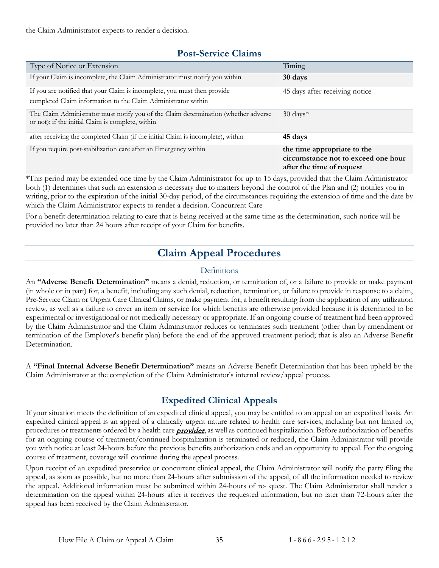the Claim Administrator expects to render a decision.

#### **Post-Service Claims**

<span id="page-37-0"></span>

| Type of Notice or Extension                                                                                                               | Timing                                                                                          |
|-------------------------------------------------------------------------------------------------------------------------------------------|-------------------------------------------------------------------------------------------------|
| If your Claim is incomplete, the Claim Administrator must notify you within                                                               | 30 days                                                                                         |
| If you are notified that your Claim is incomplete, you must then provide<br>completed Claim information to the Claim Administrator within | 45 days after receiving notice                                                                  |
| The Claim Administrator must notify you of the Claim determination (whether adverse<br>or not): if the initial Claim is complete, within  | $30 \text{ days}^*$                                                                             |
| after receiving the completed Claim (if the initial Claim is incomplete), within                                                          | 45 days                                                                                         |
| If you require post-stabilization care after an Emergency within                                                                          | the time appropriate to the<br>circumstance not to exceed one hour<br>after the time of request |

\*This period may be extended one time by the Claim Administrator for up to 15 days, provided that the Claim Administrator both (1) determines that such an extension is necessary due to matters beyond the control of the Plan and (2) notifies you in writing, prior to the expiration of the initial 30-day period, of the circumstances requiring the extension of time and the date by which the Claim Administrator expects to render a decision. Concurrent Care

<span id="page-37-1"></span>For a benefit determination relating to care that is being received at the same time as the determination, such notice will be provided no later than 24 hours after receipt of your Claim for benefits.

# **Claim Appeal Procedures**

#### Definitions

<span id="page-37-2"></span>An **"Adverse Benefit Determination"** means a denial, reduction, or termination of, or a failure to provide or make payment (in whole or in part) for, a benefit, including any such denial, reduction, termination, or failure to provide in response to a claim, Pre-Service Claim or Urgent Care Clinical Claims, or make payment for, a benefit resulting from the application of any utilization review, as well as a failure to cover an item or service for which benefits are otherwise provided because it is determined to be experimental or investigational or not medically necessary or appropriate. If an ongoing course of treatment had been approved by the Claim Administrator and the Claim Administrator reduces or terminates such treatment (other than by amendment or termination of the Employer's benefit plan) before the end of the approved treatment period; that is also an Adverse Benefit Determination.

A **"Final Internal Adverse Benefit Determination"** means an Adverse Benefit Determination that has been upheld by the Claim Administrator at the completion of the Claim Administrator's internal review/appeal process.

## **Expedited Clinical Appeals**

<span id="page-37-3"></span>If your situation meets the definition of an expedited clinical appeal, you may be entitled to an appeal on an expedited basis. An expedited clinical appeal is an appeal of a clinically urgent nature related to health care services, including but not limited to, procedures or treatments ordered by a health care **[provider](#page-57-3)**, as well as continued hospitalization. Before authorization of benefits for an ongoing course of treatment/continued hospitalization is terminated or reduced, the Claim Administrator will provide you with notice at least 24-hours before the previous benefits authorization ends and an opportunity to appeal. For the ongoing course of treatment, coverage will continue during the appeal process.

Upon receipt of an expedited preservice or concurrent clinical appeal, the Claim Administrator will notify the party filing the appeal, as soon as possible, but no more than 24-hours after submission of the appeal, of all the information needed to review the appeal. Additional information must be submitted within 24-hours of re- quest. The Claim Administrator shall render a determination on the appeal within 24-hours after it receives the requested information, but no later than 72-hours after the appeal has been received by the Claim Administrator.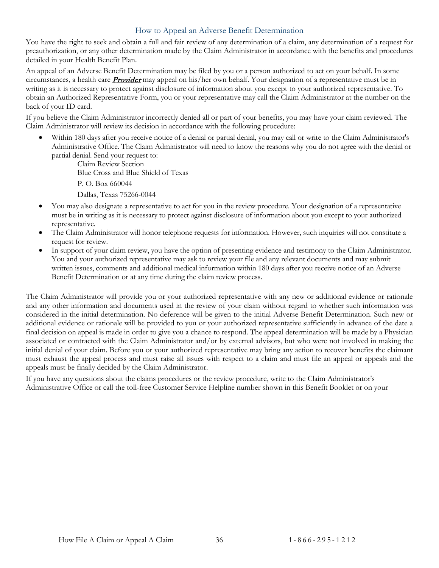#### How to Appeal an Adverse Benefit Determination

<span id="page-38-0"></span>You have the right to seek and obtain a full and fair review of any determination of a claim, any determination of a request for preauthorization, or any other determination made by the Claim Administrator in accordance with the benefits and procedures detailed in your Health Benefit Plan.

An appeal of an Adverse Benefit Determination may be filed by you or a person authorized to act on your behalf. In some circumstances, a health care **[Provider](#page-57-3)** may appeal on his/her own behalf. Your designation of a representative must be in writing as it is necessary to protect against disclosure of information about you except to your authorized representative. To obtain an Authorized Representative Form, you or your representative may call the Claim Administrator at the number on the back of your ID card.

If you believe the Claim Administrator incorrectly denied all or part of your benefits, you may have your claim reviewed. The Claim Administrator will review its decision in accordance with the following procedure:

• Within 180 days after you receive notice of a denial or partial denial, you may call or write to the Claim Administrator's Administrative Office. The Claim Administrator will need to know the reasons why you do not agree with the denial or partial denial. Send your request to:

Claim Review Section Blue Cross and Blue Shield of Texas P. O. Box 660044 Dallas, Texas 75266-0044

- You may also designate a representative to act for you in the review procedure. Your designation of a representative must be in writing as it is necessary to protect against disclosure of information about you except to your authorized representative.
- The Claim Administrator will honor telephone requests for information. However, such inquiries will not constitute a request for review.
- In support of your claim review, you have the option of presenting evidence and testimony to the Claim Administrator. You and your authorized representative may ask to review your file and any relevant documents and may submit written issues, comments and additional medical information within 180 days after you receive notice of an Adverse Benefit Determination or at any time during the claim review process.

The Claim Administrator will provide you or your authorized representative with any new or additional evidence or rationale and any other information and documents used in the review of your claim without regard to whether such information was considered in the initial determination. No deference will be given to the initial Adverse Benefit Determination. Such new or additional evidence or rationale will be provided to you or your authorized representative sufficiently in advance of the date a final decision on appeal is made in order to give you a chance to respond. The appeal determination will be made by a Physician associated or contracted with the Claim Administrator and/or by external advisors, but who were not involved in making the initial denial of your claim. Before you or your authorized representative may bring any action to recover benefits the claimant must exhaust the appeal process and must raise all issues with respect to a claim and must file an appeal or appeals and the appeals must be finally decided by the Claim Administrator.

If you have any questions about the claims procedures or the review procedure, write to the Claim Administrator's Administrative Office or call the toll-free Customer Service Helpline number shown in this Benefit Booklet or on your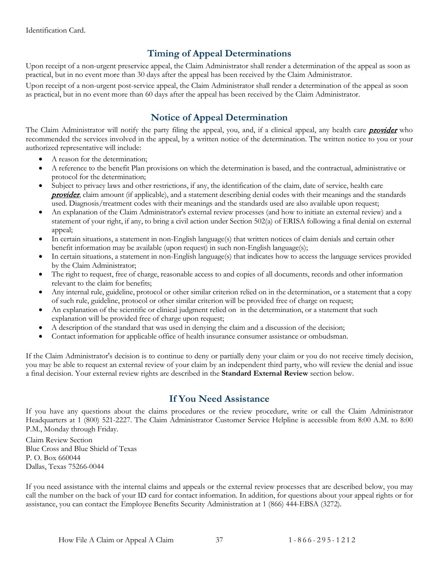## **Timing of Appeal Determinations**

<span id="page-39-0"></span>Upon receipt of a non-urgent preservice appeal, the Claim Administrator shall render a determination of the appeal as soon as practical, but in no event more than 30 days after the appeal has been received by the Claim Administrator.

Upon receipt of a non-urgent post-service appeal, the Claim Administrator shall render a determination of the appeal as soon as practical, but in no event more than 60 days after the appeal has been received by the Claim Administrator.

## **Notice of Appeal Determination**

<span id="page-39-1"></span>The Claim Administrator will notify the party filing the appeal, you, and, if a clinical appeal, any health care **[provider](#page-57-3)** who recommended the services involved in the appeal, by a written notice of the determination. The written notice to you or your authorized representative will include:

- A reason for the determination;
- A reference to the benefit Plan provisions on which the determination is based, and the contractual, administrative or protocol for the determination;
- Subject to privacy laws and other restrictions, if any, the identification of the claim, date of service, health care **[provider](#page-57-3)**, claim amount (if applicable), and a statement describing denial codes with their meanings and the standards used. Diagnosis/treatment codes with their meanings and the standards used are also available upon request;
- An explanation of the Claim Administrator's external review processes (and how to initiate an external review) and a statement of your right, if any, to bring a civil action under Section 502(a) of ERISA following a final denial on external appeal;
- In certain situations, a statement in non-English language(s) that written notices of claim denials and certain other benefit information may be available (upon request) in such non-English language(s);
- In certain situations, a statement in non-English language(s) that indicates how to access the language services provided by the Claim Administrator;
- The right to request, free of charge, reasonable access to and copies of all documents, records and other information relevant to the claim for benefits;
- Any internal rule, guideline, protocol or other similar criterion relied on in the determination, or a statement that a copy of such rule, guideline, protocol or other similar criterion will be provided free of charge on request;
- An explanation of the scientific or clinical judgment relied on in the determination, or a statement that such explanation will be provided free of charge upon request;
- A description of the standard that was used in denying the claim and a discussion of the decision;
- Contact information for applicable office of health insurance consumer assistance or ombudsman.

If the Claim Administrator's decision is to continue to deny or partially deny your claim or you do not receive timely decision, you may be able to request an external review of your claim by an independent third party, who will review the denial and issue a final decision. Your external review rights are described in the **Standard External Review** section below.

### **If You Need Assistance**

<span id="page-39-2"></span>If you have any questions about the claims procedures or the review procedure, write or call the Claim Administrator Headquarters at 1 (800) 521-2227. The Claim Administrator Customer Service Helpline is accessible from 8:00 A.M. to 8:00 P.M., Monday through Friday.

Claim Review Section Blue Cross and Blue Shield of Texas P. O. Box 660044 Dallas, Texas 75266-0044

If you need assistance with the internal claims and appeals or the external review processes that are described below, you may call the number on the back of your ID card for contact information. In addition, for questions about your appeal rights or for assistance, you can contact the Employee Benefits Security Administration at 1 (866) 444-EBSA (3272).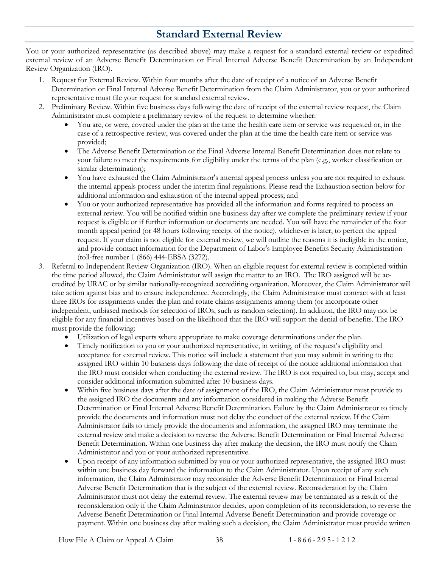# **Standard External Review**

<span id="page-40-0"></span>You or your authorized representative (as described above) may make a request for a standard external review or expedited external review of an Adverse Benefit Determination or Final Internal Adverse Benefit Determination by an Independent Review Organization (IRO).

- 1. Request for External Review. Within four months after the date of receipt of a notice of an Adverse Benefit Determination or Final Internal Adverse Benefit Determination from the Claim Administrator, you or your authorized representative must file your request for standard external review.
- 2. Preliminary Review. Within five business days following the date of receipt of the external review request, the Claim Administrator must complete a preliminary review of the request to determine whether:
	- You are, or were, covered under the plan at the time the health care item or service was requested or, in the case of a retrospective review, was covered under the plan at the time the health care item or service was provided;
	- The Adverse Benefit Determination or the Final Adverse Internal Benefit Determination does not relate to your failure to meet the requirements for eligibility under the terms of the plan (e.g., worker classification or similar determination);
	- You have exhausted the Claim Administrator's internal appeal process unless you are not required to exhaust the internal appeals process under the interim final regulations. Please read the Exhaustion section below for additional information and exhaustion of the internal appeal process; and
	- You or your authorized representative has provided all the information and forms required to process an external review. You will be notified within one business day after we complete the preliminary review if your request is eligible or if further information or documents are needed. You will have the remainder of the four month appeal period (or 48 hours following receipt of the notice), whichever is later, to perfect the appeal request. If your claim is not eligible for external review, we will outline the reasons it is ineligible in the notice, and provide contact information for the Department of Labor's Employee Benefits Security Administration (toll-free number 1 (866) 444-EBSA (3272).
- 3. Referral to Independent Review Organization (IRO). When an eligible request for external review is completed within the time period allowed, the Claim Administrator will assign the matter to an IRO. The IRO assigned will be accredited by URAC or by similar nationally-recognized accrediting organization. Moreover, the Claim Administrator will take action against bias and to ensure independence. Accordingly, the Claim Administrator must contract with at least three IROs for assignments under the plan and rotate claims assignments among them (or incorporate other independent, unbiased methods for selection of IROs, such as random selection). In addition, the IRO may not be eligible for any financial incentives based on the likelihood that the IRO will support the denial of benefits. The IRO must provide the following:
	- Utilization of legal experts where appropriate to make coverage determinations under the plan.
	- Timely notification to you or your authorized representative, in writing, of the request's eligibility and acceptance for external review. This notice will include a statement that you may submit in writing to the assigned IRO within 10 business days following the date of receipt of the notice additional information that the IRO must consider when conducting the external review. The IRO is not required to, but may, accept and consider additional information submitted after 10 business days.
	- Within five business days after the date of assignment of the IRO, the Claim Administrator must provide to the assigned IRO the documents and any information considered in making the Adverse Benefit Determination or Final Internal Adverse Benefit Determination. Failure by the Claim Administrator to timely provide the documents and information must not delay the conduct of the external review. If the Claim Administrator fails to timely provide the documents and information, the assigned IRO may terminate the external review and make a decision to reverse the Adverse Benefit Determination or Final Internal Adverse Benefit Determination. Within one business day after making the decision, the IRO must notify the Claim Administrator and you or your authorized representative.
	- Upon receipt of any information submitted by you or your authorized representative, the assigned IRO must within one business day forward the information to the Claim Administrator. Upon receipt of any such information, the Claim Administrator may reconsider the Adverse Benefit Determination or Final Internal Adverse Benefit Determination that is the subject of the external review. Reconsideration by the Claim Administrator must not delay the external review. The external review may be terminated as a result of the reconsideration only if the Claim Administrator decides, upon completion of its reconsideration, to reverse the Adverse Benefit Determination or Final Internal Adverse Benefit Determination and provide coverage or payment. Within one business day after making such a decision, the Claim Administrator must provide written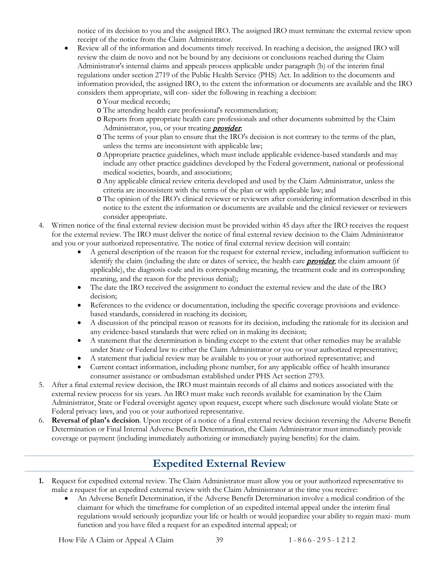notice of its decision to you and the assigned IRO. The assigned IRO must terminate the external review upon receipt of the notice from the Claim Administrator.

- Review all of the information and documents timely received. In reaching a decision, the assigned IRO will review the claim de novo and not be bound by any decisions or conclusions reached during the Claim Administrator's internal claims and appeals process applicable under paragraph (b) of the interim final regulations under section 2719 of the Public Health Service (PHS) Act. In addition to the documents and information provided, the assigned IRO, to the extent the information or documents are available and the IRO considers them appropriate, will con- sider the following in reaching a decision:
	- o Your medical records;
	- o The attending health care professional's recommendation;
	- o Reports from appropriate health care professionals and other documents submitted by the Claim Administrator, you, or your treating **[provider](#page-57-3)**;
	- o The terms of your plan to ensure that the IRO's decision is not contrary to the terms of the plan, unless the terms are inconsistent with applicable law;
	- o Appropriate practice guidelines, which must include applicable evidence-based standards and may include any other practice guidelines developed by the Federal government, national or professional medical societies, boards, and associations;
	- o Any applicable clinical review criteria developed and used by the Claim Administrator, unless the criteria are inconsistent with the terms of the plan or with applicable law; and
	- o The opinion of the IRO's clinical reviewer or reviewers after considering information described in this notice to the extent the information or documents are available and the clinical reviewer or reviewers consider appropriate.
- 4. Written notice of the final external review decision must be provided within 45 days after the IRO receives the request for the external review. The IRO must deliver the notice of final external review decision to the Claim Administrator and you or your authorized representative. The notice of final external review decision will contain:
	- A general description of the reason for the request for external review, including information sufficient to identify the claim (including the date or dates of service, the health care **[provider](#page-57-3)**, the claim amount (if applicable), the diagnosis code and its corresponding meaning, the treatment code and its corresponding meaning, and the reason for the previous denial);
	- The date the IRO received the assignment to conduct the external review and the date of the IRO decision;
	- References to the evidence or documentation, including the specific coverage provisions and evidencebased standards, considered in reaching its decision;
	- A discussion of the principal reason or reasons for its decision, including the rationale for its decision and any evidence-based standards that were relied on in making its decision;
	- A statement that the determination is binding except to the extent that other remedies may be available under State or Federal law to either the Claim Administrator or you or your authorized representative;
	- A statement that judicial review may be available to you or your authorized representative; and
	- Current contact information, including phone number, for any applicable office of health insurance consumer assistance or ombudsman established under PHS Act section 2793.
- 5. After a final external review decision, the IRO must maintain records of all claims and notices associated with the external review process for six years. An IRO must make such records available for examination by the Claim Administrator, State or Federal oversight agency upon request, except where such disclosure would violate State or Federal privacy laws, and you or your authorized representative.
- 6. **Reversal of plan's decision**. Upon receipt of a notice of a final external review decision reversing the Adverse Benefit Determination or Final Internal Adverse Benefit Determination, the Claim Administrator must immediately provide coverage or payment (including immediately authorizing or immediately paying benefits) for the claim.

## **Expedited External Review**

- <span id="page-41-0"></span>**1.** Request for expedited external review. The Claim Administrator must allow you or your authorized representative to make a request for an expedited external review with the Claim Administrator at the time you receive:
	- An Adverse Benefit Determination, if the Adverse Benefit Determination involve a medical condition of the claimant for which the timeframe for completion of an expedited internal appeal under the interim final regulations would seriously jeopardize your life or health or would jeopardize your ability to regain maxi- mum function and you have filed a request for an expedited internal appeal; or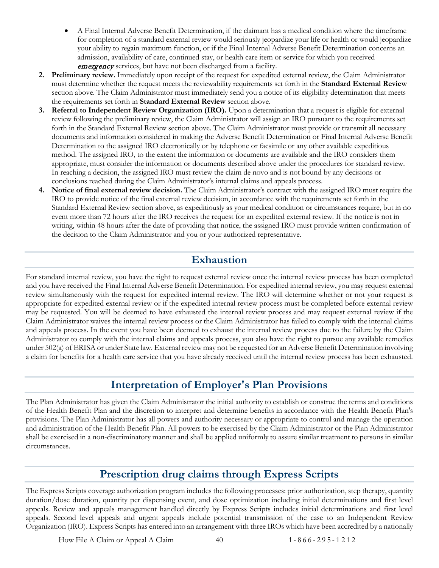- A Final Internal Adverse Benefit Determination, if the claimant has a medical condition where the timeframe for completion of a standard external review would seriously jeopardize your life or health or would jeopardize your ability to regain maximum function, or if the Final Internal Adverse Benefit Determination concerns an admission, availability of care, continued stay, or health care item or service for which you received **[emergency](#page-56-5)** services, but have not been discharged from a facility.
- **2. Preliminary review.** Immediately upon receipt of the request for expedited external review, the Claim Administrator must determine whether the request meets the reviewability requirements set forth in the **Standard External Review** section above. The Claim Administrator must immediately send you a notice of its eligibility determination that meets the requirements set forth in **Standard External Review** section above.
- **3. Referral to Independent Review Organization (IRO).** Upon a determination that a request is eligible for external review following the preliminary review, the Claim Administrator will assign an IRO pursuant to the requirements set forth in the Standard External Review section above. The Claim Administrator must provide or transmit all necessary documents and information considered in making the Adverse Benefit Determination or Final Internal Adverse Benefit Determination to the assigned IRO electronically or by telephone or facsimile or any other available expeditious method. The assigned IRO, to the extent the information or documents are available and the IRO considers them appropriate, must consider the information or documents described above under the procedures for standard review. In reaching a decision, the assigned IRO must review the claim de novo and is not bound by any decisions or conclusions reached during the Claim Administrator's internal claims and appeals process.
- **4. Notice of final external review decision.** The Claim Administrator's contract with the assigned IRO must require the IRO to provide notice of the final external review decision, in accordance with the requirements set forth in the Standard External Review section above, as expeditiously as your medical condition or circumstances require, but in no event more than 72 hours after the IRO receives the request for an expedited external review. If the notice is not in writing, within 48 hours after the date of providing that notice, the assigned IRO must provide written confirmation of the decision to the Claim Administrator and you or your authorized representative.

# **Exhaustion**

<span id="page-42-0"></span>For standard internal review, you have the right to request external review once the internal review process has been completed and you have received the Final Internal Adverse Benefit Determination. For expedited internal review, you may request external review simultaneously with the request for expedited internal review. The IRO will determine whether or not your request is appropriate for expedited external review or if the expedited internal review process must be completed before external review may be requested. You will be deemed to have exhausted the internal review process and may request external review if the Claim Administrator waives the internal review process or the Claim Administrator has failed to comply with the internal claims and appeals process. In the event you have been deemed to exhaust the internal review process due to the failure by the Claim Administrator to comply with the internal claims and appeals process, you also have the right to pursue any available remedies under 502(a) of ERISA or under State law. External review may not be requested for an Adverse Benefit Determination involving a claim for benefits for a health care service that you have already received until the internal review process has been exhausted.

## **Interpretation of Employer's Plan Provisions**

<span id="page-42-1"></span>The Plan Administrator has given the Claim Administrator the initial authority to establish or construe the terms and conditions of the Health Benefit Plan and the discretion to interpret and determine benefits in accordance with the Health Benefit Plan's provisions. The Plan Administrator has all powers and authority necessary or appropriate to control and manage the operation and administration of the Health Benefit Plan. All powers to be exercised by the Claim Administrator or the Plan Administrator shall be exercised in a non-discriminatory manner and shall be applied uniformly to assure similar treatment to persons in similar circumstances.

# **Prescription drug claims through Express Scripts**

<span id="page-42-2"></span>The Express Scripts coverage authorization program includes the following processes: prior authorization, step therapy, quantity duration/dose duration, quantity per dispensing event, and dose optimization including initial determinations and first level appeals. Review and appeals management handled directly by Express Scripts includes initial determinations and first level appeals. Second level appeals and urgent appeals include potential transmission of the case to an Independent Review Organization (IRO). Express Scripts has entered into an arrangement with three IROs which have been accredited by a nationally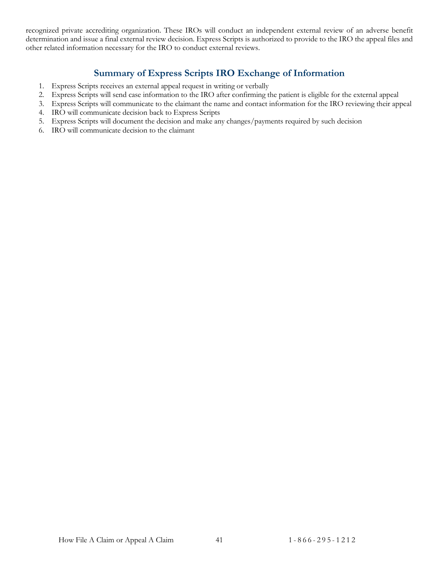recognized private accrediting organization. These IROs will conduct an independent external review of an adverse benefit determination and issue a final external review decision. Express Scripts is authorized to provide to the IRO the appeal files and other related information necessary for the IRO to conduct external reviews.

### **Summary of Express Scripts IRO Exchange of Information**

- <span id="page-43-0"></span>1. Express Scripts receives an external appeal request in writing or verbally
- 2. Express Scripts will send case information to the IRO after confirming the patient is eligible for the external appeal
- 3. Express Scripts will communicate to the claimant the name and contact information for the IRO reviewing their appeal
- 4. IRO will communicate decision back to Express Scripts
- 5. Express Scripts will document the decision and make any changes/payments required by such decision
- 6. IRO will communicate decision to the claimant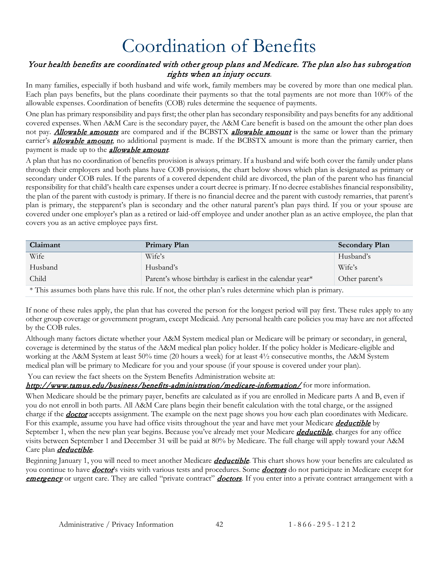# Coordination of Benefits

#### <span id="page-44-0"></span>Your health benefits are coordinated with other group plans and Medicare. The plan also has subrogation rights when an injury occurs.

In many families, especially if both husband and wife work, family members may be covered by more than one medical plan. Each plan pays benefits, but the plans coordinate their payments so that the total payments are not more than 100% of the allowable expenses. Coordination of benefits (COB) rules determine the sequence of payments.

One plan has primary responsibility and pays first; the other plan has secondary responsibility and pays benefits for any additional covered expenses. When A&M Care is the secondary payer, the A&M Care benefit is based on the amount the other plan does not pay. **[Allowable amounts](#page-55-1)** are compared and if the BCBSTX **[allowable amount](#page-55-1)** is the same or lower than the primary carrier's **[allowable amount](#page-55-1)**, no additional payment is made. If the BCBSTX amount is more than the primary carrier, then payment is made up to the **[allowable amount](#page-55-1)**.

A plan that has no coordination of benefits provision is always primary. If a husband and wife both cover the family under plans through their employers and both plans have COB provisions, the chart below shows which plan is designated as primary or secondary under COB rules. If the parents of a covered dependent child are divorced, the plan of the parent who has financial responsibility for that child's health care expenses under a court decree is primary. If no decree establishes financial responsibility, the plan of the parent with custody is primary. If there is no financial decree and the parent with custody remarries, that parent's plan is primary, the stepparent's plan is secondary and the other natural parent's plan pays third. If you or your spouse are covered under one employer's plan as a retired or laid-off employee and under another plan as an active employee, the plan that covers you as an active employee pays first.

| Claimant                                                                                                  | Primary Plan                                              | <b>Secondary Plan</b> |
|-----------------------------------------------------------------------------------------------------------|-----------------------------------------------------------|-----------------------|
| Wife                                                                                                      | Wife's                                                    | Husband's             |
| Husband                                                                                                   | Husband's                                                 | Wife's                |
| Child                                                                                                     | Parent's whose birthday is earliest in the calendar year* | Other parent's        |
| * This assumes both plans have this rule. If not, the other plan's rules determine which plan is primary. |                                                           |                       |

If none of these rules apply, the plan that has covered the person for the longest period will pay first. These rules apply to any other group coverage or government program, except Medicaid. Any personal health care policies you may have are not affected by the COB rules.

Although many factors dictate whether your A&M System medical plan or Medicare will be primary or secondary, in general, coverage is determined by the status of the A&M medical plan policy holder. If the policy holder is Medicare-eligible and working at the A&M System at least 50% time (20 hours a week) for at least 4½ consecutive months, the A&M System medical plan will be primary to Medicare for you and your spouse (if your spouse is covered under your plan).

You can review the fact sheets on the System Benefits Administration website at:

#### <http://www.tamus.edu/business/benefits-administration/medicare-information/> for more information.

When Medicare should be the primary payer, benefits are calculated as if you are enrolled in Medicare parts A and B, even if you do not enroll in both parts. All A&M Care plans begin their benefit calculation with the total charge, or the assigned charge if the **[doctor](#page-56-4)** accepts assignment. The example on the next page shows you how each plan coordinates with Medicare. For this example, assume you have had office visits throughout the year and have met your Medicare *[deductible](#page-56-1)* by September 1, when the new plan year begins. Because you've already met your Medicare *[deductible](#page-56-1)*, charges for any office visits between September 1 and December 31 will be paid at 80% by Medicare. The full charge will apply toward your A&M Care plan *[deductible](#page-56-1)*.

Beginning January 1, you will need to meet another Medicare *[deductible](#page-56-1)*. This chart shows how your benefits are calculated as you continue to have *[doctor](#page-56-4)'s* visits with various tests and procedures. Some *[doctors](#page-56-4)* do not participate in Medicare except for [emergency](#page-56-5) or urgent care. They are called "private contract" *[doctors](#page-56-4)*. If you enter into a private contract arrangement with a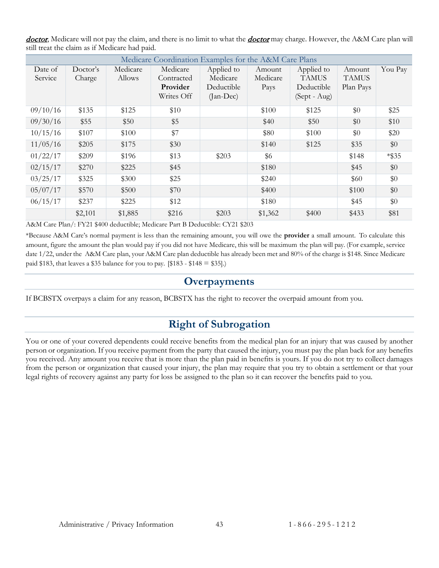| doctor, Medicare will not pay the claim, and there is no limit to what the <i>doctor</i> may charge. However, the A&M Care plan will |  |  |
|--------------------------------------------------------------------------------------------------------------------------------------|--|--|
| still treat the claim as if Medicare had paid.                                                                                       |  |  |

| Medicare Coordination Examples for the A&M Care Plans |          |          |            |             |          |              |              |          |
|-------------------------------------------------------|----------|----------|------------|-------------|----------|--------------|--------------|----------|
| Date of                                               | Doctor's | Medicare | Medicare   | Applied to  | Amount   | Applied to   | Amount       | You Pay  |
| Service                                               | Charge   | Allows   | Contracted | Medicare    | Medicare | <b>TAMUS</b> | <b>TAMUS</b> |          |
|                                                       |          |          | Provider   | Deductible  | Pays     | Deductible   | Plan Pays    |          |
|                                                       |          |          | Writes Off | $(Jan-Dec)$ |          | (Sept - Aug) |              |          |
| 09/10/16                                              | \$135    | \$125    | \$10       |             | \$100    | \$125        | \$0          | \$25     |
| 09/30/16                                              | \$55     | \$50     | \$5        |             | \$40     | \$50         | \$0          | \$10     |
| 10/15/16                                              | \$107    | \$100    | \$7        |             | \$80     | \$100        | \$0          | \$20     |
| 11/05/16                                              | \$205    | \$175    | \$30       |             | \$140    | \$125        | \$35         | \$0      |
| 01/22/17                                              | \$209    | \$196    | \$13       | \$203       | \$6      |              | \$148        | $*$ \$35 |
| 02/15/17                                              | \$270    | \$225    | \$45       |             | \$180    |              | \$45         | \$0      |
| 03/25/17                                              | \$325    | \$300    | \$25       |             | \$240    |              | \$60         | \$0      |
| 05/07/17                                              | \$570    | \$500    | \$70       |             | \$400    |              | \$100        | \$0      |
| 06/15/17                                              | \$237    | \$225    | \$12       |             | \$180    |              | \$45         | \$0      |
|                                                       | \$2,101  | \$1,885  | \$216      | \$203       | \$1,362  | \$400        | \$433        | \$81     |

A&M Care Plan/: FY21 \$400 deductible; Medicare Part B Deductible: CY21 \$203

\*Because A&M Care's normal payment is less than the remaining amount, you will owe the **provider** a small amount. To calculate this amount, figure the amount the plan would pay if you did not have Medicare, this will be maximum the plan will pay. (For example, service date 1/22, under the A&M Care plan, your A&M Care plan deductible has already been met and 80% of the charge is \$148. Since Medicare paid \$183, that leaves a \$35 balance for you to pay. [\$183 - \$148  $=$  \$35].)

#### **Overpayments**

<span id="page-45-1"></span><span id="page-45-0"></span>If BCBSTX overpays a claim for any reason, BCBSTX has the right to recover the overpaid amount from you.

## **Right of Subrogation**

You or one of your covered dependents could receive benefits from the medical plan for an injury that was caused by another person or organization. If you receive payment from the party that caused the injury, you must pay the plan back for any benefits you received. Any amount you receive that is more than the plan paid in benefits is yours. If you do not try to collect damages from the person or organization that caused your injury, the plan may require that you try to obtain a settlement or that your legal rights of recovery against any party for loss be assigned to the plan so it can recover the benefits paid to you.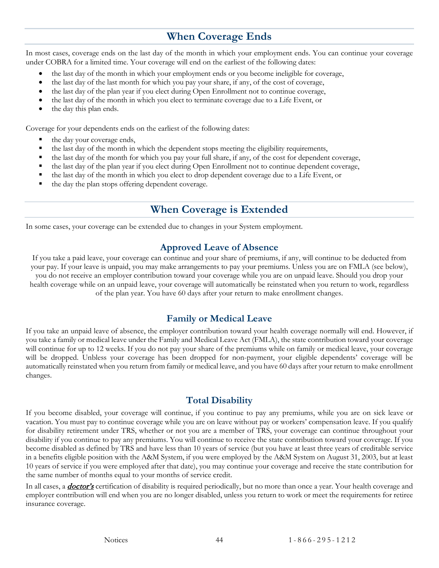# **When Coverage Ends**

<span id="page-46-0"></span>In most cases, coverage ends on the last day of the month in which your employment ends. You can continue your coverage under COBRA for a limited time. Your coverage will end on the earliest of the following dates:

- the last day of the month in which your employment ends or you become ineligible for coverage,
- the last day of the last month for which you pay your share, if any, of the cost of coverage,
- the last day of the plan year if you elect during Open Enrollment not to continue coverage,
- the last day of the month in which you elect to terminate coverage due to a Life Event, or
- the day this plan ends.

Coverage for your dependents ends on the earliest of the following dates:

- the day your coverage ends,
- the last day of the month in which the dependent stops meeting the eligibility requirements,
- the last day of the month for which you pay your full share, if any, of the cost for dependent coverage,
- the last day of the plan year if you elect during Open Enrollment not to continue dependent coverage,
- the last day of the month in which you elect to drop dependent coverage due to a Life Event, or
- <span id="page-46-1"></span>the day the plan stops offering dependent coverage.

## **When Coverage is Extended**

In some cases, your coverage can be extended due to changes in your System employment.

#### **Approved Leave of Absence**

<span id="page-46-2"></span>If you take a paid leave, your coverage can continue and your share of premiums, if any, will continue to be deducted from your pay. If your leave is unpaid, you may make arrangements to pay your premiums. Unless you are on FMLA (see below), you do not receive an employer contribution toward your coverage while you are on unpaid leave. Should you drop your health coverage while on an unpaid leave, your coverage will automatically be reinstated when you return to work, regardless of the plan year. You have 60 days after your return to make enrollment changes.

#### **Family or Medical Leave**

<span id="page-46-3"></span>If you take an unpaid leave of absence, the employer contribution toward your health coverage normally will end. However, if you take a family or medical leave under the Family and Medical Leave Act (FMLA), the state contribution toward your coverage will continue for up to 12 weeks. If you do not pay your share of the premiums while on family or medical leave, your coverage will be dropped. Unbless your coverage has been dropped for non-payment, your eligible dependents' coverage will be automatically reinstated when you return from family or medical leave, and you have 60 days after your return to make enrollment changes.

### **Total Disability**

<span id="page-46-4"></span>If you become disabled, your coverage will continue, if you continue to pay any premiums, while you are on sick leave or vacation. You must pay to continue coverage while you are on leave without pay or workers' compensation leave. If you qualify for disability retirement under TRS, whether or not you are a member of TRS, your coverage can continue throughout your disability if you continue to pay any premiums. You will continue to receive the state contribution toward your coverage. If you become disabled as defined by TRS and have less than 10 years of service (but you have at least three years of creditable service in a benefits eligible position with the A&M System, if you were employed by the A&M System on August 31, 2003, but at least 10 years of service if you were employed after that date), you may continue your coverage and receive the state contribution for the same number of months equal to your months of service credit.

In all cases, a **[doctor's](#page-56-4)** certification of disability is required periodically, but no more than once a year. Your health coverage and employer contribution will end when you are no longer disabled, unless you return to work or meet the requirements for retiree insurance coverage.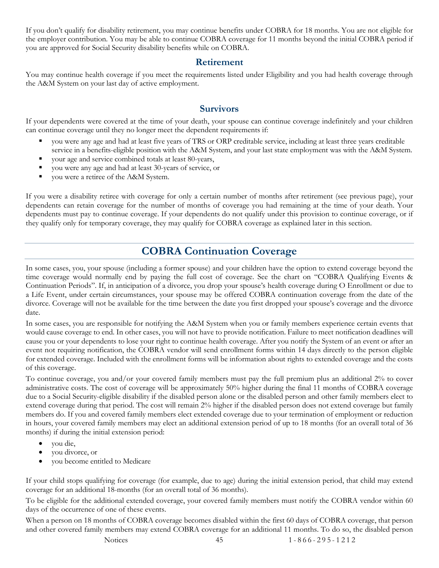If you don't qualify for disability retirement, you may continue benefits under COBRA for 18 months. You are not eligible for the employer contribution. You may be able to continue COBRA coverage for 11 months beyond the initial COBRA period if you are approved for Social Security disability benefits while on COBRA.

#### **Retirement**

<span id="page-47-0"></span>You may continue health coverage if you meet the requirements listed under Eligibility and you had health coverage through the A&M System on your last day of active employment.

#### **Survivors**

<span id="page-47-1"></span>If your dependents were covered at the time of your death, your spouse can continue coverage indefinitely and your children can continue coverage until they no longer meet the dependent requirements if:

- you were any age and had at least five years of TRS or ORP creditable service, including at least three years creditable service in a benefits-eligible position with the A&M System, and your last state employment was with the A&M System.
- your age and service combined totals at least 80-years,
- you were any age and had at least 30-years of service, or
- you were a retiree of the A&M System.

If you were a disability retiree with coverage for only a certain number of months after retirement (see previous page), your dependents can retain coverage for the number of months of coverage you had remaining at the time of your death. Your dependents must pay to continue coverage. If your dependents do not qualify under this provision to continue coverage, or if they qualify only for temporary coverage, they may qualify for COBRA coverage as explained later in this section.

## **COBRA Continuation Coverage**

<span id="page-47-2"></span>In some cases, you, your spouse (including a former spouse) and your children have the option to extend coverage beyond the time coverage would normally end by paying the full cost of coverage. See the chart on "COBRA Qualifying Events & Continuation Periods". If, in anticipation of a divorce, you drop your spouse's health coverage during O Enrollment or due to a Life Event, under certain circumstances, your spouse may be offered COBRA continuation coverage from the date of the divorce. Coverage will not be available for the time between the date you first dropped your spouse's coverage and the divorce date.

In some cases, you are responsible for notifying the A&M System when you or family members experience certain events that would cause coverage to end. In other cases, you will not have to provide notification. Failure to meet notification deadlines will cause you or your dependents to lose your right to continue health coverage. After you notify the System of an event or after an event not requiring notification, the COBRA vendor will send enrollment forms within 14 days directly to the person eligible for extended coverage. Included with the enrollment forms will be information about rights to extended coverage and the costs of this coverage.

To continue coverage, you and/or your covered family members must pay the full premium plus an additional 2% to cover administrative costs. The cost of coverage will be approximately 50% higher during the final 11 months of COBRA coverage due to a Social Security-eligible disability if the disabled person alone or the disabled person and other family members elect to extend coverage during that period. The cost will remain 2% higher if the disabled person does not extend coverage but family members do. If you and covered family members elect extended coverage due to your termination of employment or reduction in hours, your covered family members may elect an additional extension period of up to 18 months (for an overall total of 36 months) if during the initial extension period:

- you die,
- you divorce, or
- you become entitled to Medicare

If your child stops qualifying for coverage (for example, due to age) during the initial extension period, that child may extend coverage for an additional 18-months (for an overall total of 36 months).

To be eligible for the additional extended coverage, your covered family members must notify the COBRA vendor within 60 days of the occurrence of one of these events.

When a person on 18 months of COBRA coverage becomes disabled within the first 60 days of COBRA coverage, that person and other covered family members may extend COBRA coverage for an additional 11 months. To do so, the disabled person

Notices 45 1 - 866 - 295 - 1212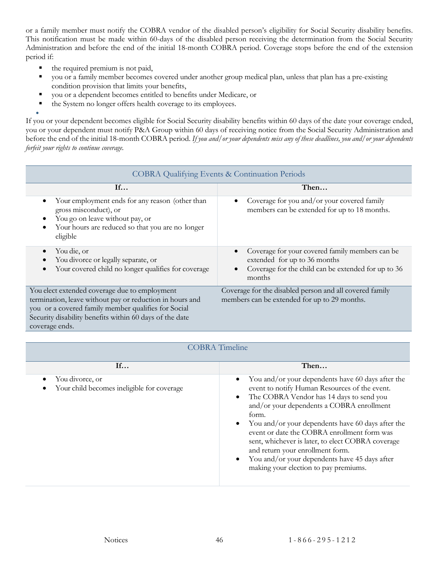or a family member must notify the COBRA vendor of the disabled person's eligibility for Social Security disability benefits. This notification must be made within 60-days of the disabled person receiving the determination from the Social Security Administration and before the end of the initial 18-month COBRA period. Coverage stops before the end of the extension period if:

- the required premium is not paid,
- you or a family member becomes covered under another group medical plan, unless that plan has a pre-existing condition provision that limits your benefits,
- you or a dependent becomes entitled to benefits under Medicare, or
- the System no longer offers health coverage to its employees.

• If you or your dependent becomes eligible for Social Security disability benefits within 60 days of the date your coverage ended, you or your dependent must notify P&A Group within 60 days of receiving notice from the Social Security Administration and before the end of the initial 18-month COBRA period. *If you and/or your dependents miss any of these deadlines, you and/or your dependents forfeit your rights to continue coverage.*

| <b>COBRA Qualifying Events &amp; Continuation Periods</b>                                                                                                                                                                                     |                                                                                                                                                  |  |  |  |
|-----------------------------------------------------------------------------------------------------------------------------------------------------------------------------------------------------------------------------------------------|--------------------------------------------------------------------------------------------------------------------------------------------------|--|--|--|
| If                                                                                                                                                                                                                                            | Then                                                                                                                                             |  |  |  |
| Your employment ends for any reason (other than<br>$\bullet$<br>gross misconduct), or<br>You go on leave without pay, or<br>٠<br>Your hours are reduced so that you are no longer<br>٠<br>eligible                                            | Coverage for you and/or your covered family<br>members can be extended for up to 18 months.                                                      |  |  |  |
| You die, or<br>$\bullet$<br>You divorce or legally separate, or<br>$\bullet$<br>Your covered child no longer qualifies for coverage<br>$\bullet$                                                                                              | Coverage for your covered family members can be<br>extended for up to 36 months<br>Coverage for the child can be extended for up to 36<br>months |  |  |  |
| You elect extended coverage due to employment<br>termination, leave without pay or reduction in hours and<br>you or a covered family member qualifies for Social<br>Security disability benefits within 60 days of the date<br>coverage ends. | Coverage for the disabled person and all covered family<br>members can be extended for up to 29 months.                                          |  |  |  |

| <b>COBRA</b> Timeline                                         |                                                                                                                                                                                                                                                                                                                                                                                                                                                                                             |  |  |
|---------------------------------------------------------------|---------------------------------------------------------------------------------------------------------------------------------------------------------------------------------------------------------------------------------------------------------------------------------------------------------------------------------------------------------------------------------------------------------------------------------------------------------------------------------------------|--|--|
| If                                                            | Then                                                                                                                                                                                                                                                                                                                                                                                                                                                                                        |  |  |
| You divorce, or<br>Your child becomes ineligible for coverage | You and/or your dependents have 60 days after the<br>event to notify Human Resources of the event.<br>The COBRA Vendor has 14 days to send you<br>and/or your dependents a COBRA enrollment<br>form.<br>You and/or your dependents have 60 days after the<br>event or date the COBRA enrollment form was<br>sent, whichever is later, to elect COBRA coverage<br>and return your enrollment form.<br>You and/or your dependents have 45 days after<br>making your election to pay premiums. |  |  |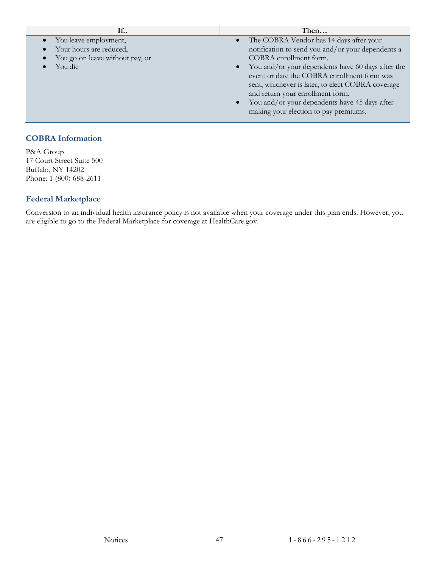| If                                                                                             | Then                                                                                                                                                                                                                                                                                                                                                                                                                       |
|------------------------------------------------------------------------------------------------|----------------------------------------------------------------------------------------------------------------------------------------------------------------------------------------------------------------------------------------------------------------------------------------------------------------------------------------------------------------------------------------------------------------------------|
| You leave employment,<br>Your hours are reduced,<br>You go on leave without pay, or<br>You die | The COBRA Vendor has 14 days after your<br>$\bullet$<br>notification to send you and/or your dependents a<br>COBRA enrollment form.<br>You and/or your dependents have 60 days after the<br>event or date the COBRA enrollment form was<br>sent, whichever is later, to elect COBRA coverage<br>and return your enrollment form.<br>You and/or your dependents have 45 days after<br>making your election to pay premiums. |
|                                                                                                |                                                                                                                                                                                                                                                                                                                                                                                                                            |

#### **COBRA Information**

P&A Group 17 Court Street Suite 500 Buffalo, NY 14202 Phone: 1 (800) 688-2611

#### **Federal Marketplace**

Conversion to an individual health insurance policy is not available when your coverage under this plan ends. However, you are eligible to go to the Federal Marketplace for coverage at HealthCare.gov.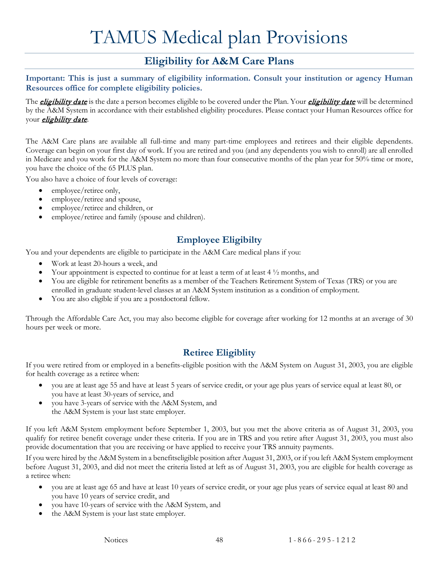# TAMUS Medical plan Provisions

# **Eligibility for A&M Care Plans**

<span id="page-50-1"></span><span id="page-50-0"></span>**Important: This is just a summary of eligibility information. Consult your institution or agency Human Resources office for complete eligibility policies.**

The *[eligibility date](#page-56-8)* is the date a person becomes eligible to be covered under the Plan. Your *eligibility date* will be determined by the A&M System in accordance with their established eligbility procedures. Please contact your Human Resources office for your *[eligbility date](#page-56-8)*.

The A&M Care plans are available all full-time and many part-time employees and retirees and their eligible dependents. Coverage can begin on your first day of work. If you are retired and you (and any dependents you wish to enroll) are all enrolled in Medicare and you work for the A&M System no more than four consecutive months of the plan year for 50% time or more, you have the choice of the 65 PLUS plan.

You also have a choice of four levels of coverage:

- employee/retiree only,
- employee/retiree and spouse,
- employee/retiree and children, or
- employee/retiree and family (spouse and children).

## **Employee Eligibilty**

<span id="page-50-2"></span>You and your dependents are eligible to participate in the A&M Care medical plans if you:

- Work at least 20-hours a week, and
- Your appointment is expected to continue for at least a term of at least 4 ½ months, and
- You are eligible for retirement benefits as a member of the Teachers Retirement System of Texas (TRS) or you are enrolled in graduate student-level classes at an A&M System institution as a condition of employment.
- You are also eligible if you are a postdoctoral fellow.

Through the Affordable Care Act, you may also become eligible for coverage after working for 12 months at an average of 30 hours per week or more.

## **Retiree Eligiblity**

<span id="page-50-3"></span>If you were retired from or employed in a benefits-eligible position with the A&M System on August 31, 2003, you are eligible for health coverage as a retiree when:

- you are at least age 55 and have at least 5 years of service credit, or your age plus years of service equal at least 80, or you have at least 30-years of service, and
- you have 3-years of service with the A&M System, and the A&M System is your last state employer.

If you left A&M System employment before September 1, 2003, but you met the above criteria as of August 31, 2003, you qualify for retiree benefit coverage under these criteria. If you are in TRS and you retire after August 31, 2003, you must also provide documentation that you are receiving or have applied to receive your TRS annuity payments.

If you were hired by the A&M System in a benefitseligible position after August 31, 2003, or if you left A&M System employment before August 31, 2003, and did not meet the criteria listed at left as of August 31, 2003, you are eligible for health coverage as a retiree when:

- you are at least age 65 and have at least 10 years of service credit, or your age plus years of service equal at least 80 and you have 10 years of service credit, and
- you have 10-years of service with the A&M System, and
- the A&M System is your last state employer.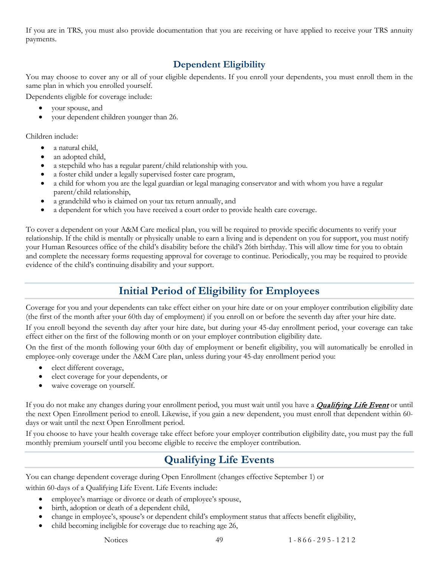If you are in TRS, you must also provide documentation that you are receiving or have applied to receive your TRS annuity payments.

## **Dependent Eligibility**

<span id="page-51-0"></span>You may choose to cover any or all of your eligible dependents. If you enroll your dependents, you must enroll them in the same plan in which you enrolled yourself.

Dependents eligible for coverage include:

- your spouse, and
- your dependent children younger than 26.

Children include:

- a natural child.
- an adopted child,
- a stepchild who has a regular parent/child relationship with you.
- a foster child under a legally supervised foster care program,
- a child for whom you are the legal guardian or legal managing conservator and with whom you have a regular parent/child relationship,
- a grandchild who is claimed on your tax return annually, and
- a dependent for which you have received a court order to provide health care coverage.

To cover a dependent on your A&M Care medical plan, you will be required to provide specific documents to verify your relationship. If the child is mentally or physically unable to earn a living and is dependent on you for support, you must notify your Human Resources office of the child's disability before the child's 26th birthday. This will allow time for you to obtain and complete the necessary forms requesting approval for coverage to continue. Periodically, you may be required to provide evidence of the child's continuing disability and your support.

# **Initial Period of Eligibility for Employees**

<span id="page-51-1"></span>Coverage for you and your dependents can take effect either on your hire date or on your employer contribution eligibility date (the first of the month after your 60th day of employment) if you enroll on or before the seventh day after your hire date.

If you enroll beyond the seventh day after your hire date, but during your 45-day enrollment period, your coverage can take effect either on the first of the following month or on your employer contribution eligibility date.

On the first of the month following your 60th day of employment or benefit eligibility, you will automatically be enrolled in employee-only coverage under the A&M Care plan, unless during your 45-day enrollment period you:

- elect different coverage,
- elect coverage for your dependents, or
- waive coverage on yourself.

If you do not make any changes during your enrollment period, you must wait until you have a **[Qualifying Life Event](#page-51-2)** or until the next Open Enrollment period to enroll. Likewise, if you gain a new dependent, you must enroll that dependent within 60 days or wait until the next Open Enrollment period.

<span id="page-51-2"></span>If you choose to have your health coverage take effect before your employer contribution eligibility date, you must pay the full monthly premium yourself until you become eligible to receive the employer contribution.

# **Qualifying Life Events**

You can change dependent coverage during Open Enrollment (changes effective September 1) or within 60-days of a Qualifying Life Event. Life Events include:

- employee's marriage or divorce or death of employee's spouse,
- birth, adoption or death of a dependent child,
- change in employee's, spouse's or dependent child's employment status that affects benefit eligibility,
- child becoming ineligible for coverage due to reaching age 26,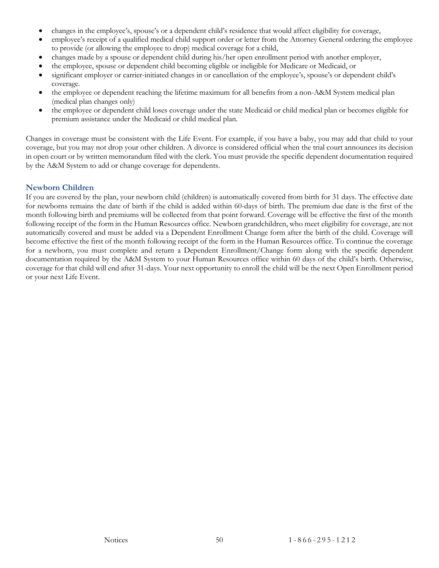- changes in the employee's, spouse's or a dependent child's residence that would affect eligibility for coverage,
- employee's receipt of a qualified medical child support order or letter from the Attorney General ordering the employee to provide (or allowing the employee to drop) medical coverage for a child,
- changes made by a spouse or dependent child during his/her open enrollment period with another employer,
- the employee, spouse or dependent child becoming eligible or ineligible for Medicare or Medicaid, or
- significant employer or carrier-initiated changes in or cancellation of the employee's, spouse's or dependent child's coverage.
- the employee or dependent reaching the lifetime maximum for all benefits from a non-A&M System medical plan (medical plan changes only)
- the employee or dependent child loses coverage under the state Medicaid or child medical plan or becomes eligible for premium assistance under the Medicaid or child medical plan.

Changes in coverage must be consistent with the Life Event. For example, if you have a baby, you may add that child to your coverage, but you may not drop your other children. A divorce is considered official when the trial court announces its decision in open court or by written memorandum filed with the clerk. You must provide the specific dependent documentation required by the A&M System to add or change coverage for dependents.

#### **Newborn Children**

If you are covered by the plan, your newborn child (children) is automatically covered from birth for 31 days. The effective date for newborns remains the date of birth if the child is added within 60-days of birth. The premium due date is the first of the month following birth and premiums will be collected from that point forward. Coverage will be effective the first of the month following receipt of the form in the Human Resources office. Newborn grandchildren, who meet eligibility for coverage, are not automatically covered and must be added via a Dependent Enrollment Change form after the birth of the child. Coverage will become effective the first of the month following receipt of the form in the Human Resources office. To continue the coverage for a newborn, you must complete and return a Dependent Enrollment/Change form along with the specific dependent documentation required by the A&M System to your Human Resources office within 60 days of the child's birth. Otherwise, coverage for that child will end after 31-days. Your next opportunity to enroll the child will be the next Open Enrollment period or your next Life Event.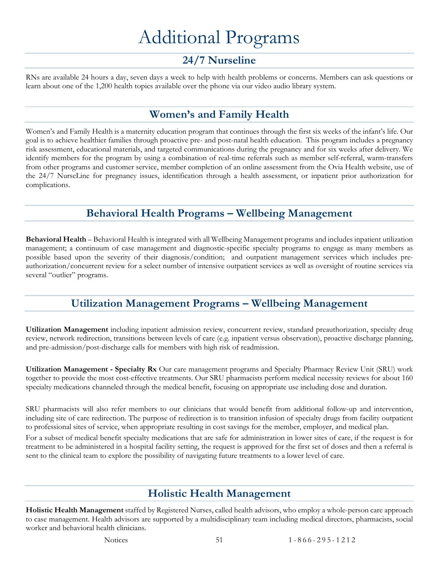# Additional Programs

# **24/7 Nurseline**

<span id="page-53-1"></span><span id="page-53-0"></span>RNs are available 24 hours a day, seven days a week to help with health problems or concerns. Members can ask questions or learn about one of the 1,200 health topics available over the phone via our video audio library system.

# **Women's and Family Health**

<span id="page-53-2"></span>Women's and Family Health is a maternity education program that continues through the first six weeks of the infant's life. Our goal is to achieve healthier families through proactive pre- and post-natal health education. This program includes a pregnancy risk assessment, educational materials, and targeted communications during the pregnancy and for six weeks after delivery. We identify members for the program by using a combination of real-time referrals such as member self-referral, warm-transfers from other programs and customer service, member completion of an online assessment from the Ovia Health website, use of the 24/7 NurseLine for pregnancy issues, identification through a health assessment, or inpatient prior authorization for complications.

## **Behavioral Health Programs – Wellbeing Management**

<span id="page-53-3"></span>**Behavioral Health** – Behavioral Health is integrated with all Wellbeing Management programs and includes inpatient utilization management; a continuum of case management and diagnostic-specific specialty programs to engage as many members as possible based upon the severity of their diagnosis/condition; and outpatient management services which includes preauthorization/concurrent review for a select number of intensive outpatient services as well as oversight of routine services via several "outlier" programs.

# **Utilization Management Programs – Wellbeing Management**

<span id="page-53-4"></span>**Utilization Management** including inpatient admission review, concurrent review, standard preauthorization, specialty drug review, network redirection, transitions between levels of care (e.g. inpatient versus observation), proactive discharge planning, and pre-admission/post-discharge calls for members with high risk of readmission.

**Utilization Management - Specialty Rx** Our care management programs and Specialty Pharmacy Review Unit (SRU) work together to provide the most cost-effective treatments. Our SRU pharmacists perform medical necessity reviews for about 160 specialty medications channeled through the medical benefit, focusing on appropriate use including dose and duration.

SRU pharmacists will also refer members to our clinicians that would benefit from additional follow-up and intervention, including site of care redirection. The purpose of redirection is to transition infusion of specialty drugs from facility outpatient to professional sites of service, when appropriate resulting in cost savings for the member, employer, and medical plan.

For a subset of medical benefit specialty medications that are safe for administration in lower sites of care, if the request is for treatment to be administered in a hospital facility setting, the request is approved for the first set of doses and then a referral is sent to the clinical team to explore the possibility of navigating future treatments to a lower level of care.

## **Holistic Health Management**

<span id="page-53-5"></span>**Holistic Health Management** staffed by Registered Nurses, called health advisors, who employ a whole-person care approach to case management. Health advisors are supported by a multidisciplinary team including medical directors, pharmacists, social worker and behavioral health clinicians.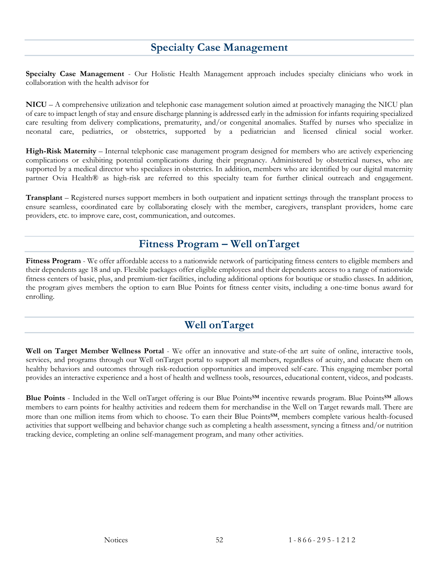## **Specialty Case Management**

<span id="page-54-0"></span>**Specialty Case Management** - Our Holistic Health Management approach includes specialty clinicians who work in collaboration with the health advisor for

**NICU** – A comprehensive utilization and telephonic case management solution aimed at proactively managing the NICU plan of care to impact length of stay and ensure discharge planning is addressed early in the admission for infants requiring specialized care resulting from delivery complications, prematurity, and/or congenital anomalies. Staffed by nurses who specialize in neonatal care, pediatrics, or obstetrics, supported by a pediatrician and licensed clinical social worker.

**High-Risk Maternity** – Internal telephonic case management program designed for members who are actively experiencing complications or exhibiting potential complications during their pregnancy. Administered by obstetrical nurses, who are supported by a medical director who specializes in obstetrics. In addition, members who are identified by our digital maternity partner Ovia Health® as high-risk are referred to this specialty team for further clinical outreach and engagement.

**Transplant** – Registered nurses support members in both outpatient and inpatient settings through the transplant process to ensure seamless, coordinated care by collaborating closely with the member, caregivers, transplant providers, home care providers, etc. to improve care, cost, communication, and outcomes.

## **Fitness Program – Well onTarget**

<span id="page-54-1"></span>**Fitness Program** - We offer affordable access to a nationwide network of participating fitness centers to eligible members and their dependents age 18 and up. Flexible packages offer eligible employees and their dependents access to a range of nationwide fitness centers of basic, plus, and premium-tier facilities, including additional options for boutique or studio classes. In addition, the program gives members the option to earn Blue Points for fitness center visits, including a one-time bonus award for enrolling.

## **Well onTarget**

<span id="page-54-2"></span>**Well on Target Member Wellness Portal** - We offer an innovative and state-of-the art suite of online, interactive tools, services, and programs through our Well onTarget portal to support all members, regardless of acuity, and educate them on healthy behaviors and outcomes through risk-reduction opportunities and improved self-care. This engaging member portal provides an interactive experience and a host of health and wellness tools, resources, educational content, videos, and podcasts.

Blue Points - Included in the Well onTarget offering is our Blue Points<sup>SM</sup> incentive rewards program. Blue Points<sup>SM</sup> allows members to earn points for healthy activities and redeem them for merchandise in the Well on Target rewards mall. There are more than one million items from which to choose. To earn their Blue Points<sup>SM</sup>, members complete various health-focused activities that support wellbeing and behavior change such as completing a health assessment, syncing a fitness and/or nutrition tracking device, completing an online self-management program, and many other activities.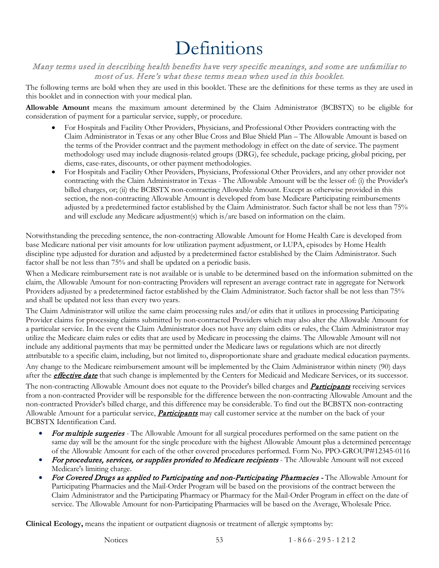# Definitions

#### <span id="page-55-0"></span>Many terms used in describing health benefits have very specific meanings, and some are unfamiliar to most of us. Here's what these terms mean when used in this booklet.

The following terms are bold when they are used in this booklet. These are the definitions for these terms as they are used in this booklet and in connection with your medical plan.

<span id="page-55-1"></span>**Allowable Amount** means the maximum amount determined by the Claim Administrator (BCBSTX) to be eligible for consideration of payment for a particular service, supply, or procedure.

- For Hospitals and Facility Other Providers, Physicians, and Professional Other Providers contracting with the Claim Administrator in Texas or any other Blue Cross and Blue Shield Plan – The Allowable Amount is based on the terms of the Provider contract and the payment methodology in effect on the date of service. The payment methodology used may include diagnosis-related groups (DRG), fee schedule, package pricing, global pricing, per diems, case-rates, discounts, or other payment methodologies.
- For Hospitals and Facility Other Providers, Physicians, Professional Other Providers, and any other provider not contracting with the Claim Administrator in Texas - The Allowable Amount will be the lesser of: (i) the Provider's billed charges, or; (ii) the BCBSTX non-contracting Allowable Amount. Except as otherwise provided in this section, the non-contracting Allowable Amount is developed from base Medicare Participating reimbursements adjusted by a predetermined factor established by the Claim Administrator. Such factor shall be not less than 75% and will exclude any Medicare adjustment(s) which is/are based on information on the claim.

Notwithstanding the preceding sentence, the non-contracting Allowable Amount for Home Health Care is developed from base Medicare national per visit amounts for low utilization payment adjustment, or LUPA, episodes by Home Health discipline type adjusted for duration and adjusted by a predetermined factor established by the Claim Administrator. Such factor shall be not less than 75% and shall be updated on a periodic basis.

When a Medicare reimbursement rate is not available or is unable to be determined based on the information submitted on the claim, the Allowable Amount for non-contracting Providers will represent an average contract rate in aggregate for Network Providers adjusted by a predetermined factor established by the Claim Administrator. Such factor shall be not less than 75% and shall be updated not less than every two years.

The Claim Administrator will utilize the same claim processing rules and/or edits that it utilizes in processing Participating Provider claims for processing claims submitted by non-contracted Providers which may also alter the Allowable Amount for a particular service. In the event the Claim Administrator does not have any claim edits or rules, the Claim Administrator may utilize the Medicare claim rules or edits that are used by Medicare in processing the claims. The Allowable Amount will not include any additional payments that may be permitted under the Medicare laws or regulations which are not directly attributable to a specific claim, including, but not limited to, disproportionate share and graduate medical education payments.

Any change to the Medicare reimbursement amount will be implemented by the Claim Administrator within ninety (90) days after the **[effective date](#page-56-0)** that such change is implemented by the Centers for Medicaid and Medicare Services, or its successor.

The non-contracting Allowable Amount does not equate to the Provider's billed charges and **[Participants](#page-57-0)** receiving services from a non-contracted Provider will be responsible for the difference between the non-contracting Allowable Amount and the non-contracted Provider's billed charge, and this difference may be considerable. To find out the BCBSTX non-contracting Allowable Amount for a particular service, **[Participants](#page-57-0)** may call customer service at the number on the back of your BCBSTX Identification Card.

- For multiple surgeries The Allowable Amount for all surgical procedures performed on the same patient on the same day will be the amount for the single procedure with the highest Allowable Amount plus a determined percentage of the Allowable Amount for each of the other covered procedures performed. Form No. PPO-GROUP#12345-0116
- For procedures, services, or supplies provided to Medicare recipients The Allowable Amount will not exceed Medicare's limiting charge.
- For Covered Drugs as applied to Participating and non-Participating Pharmacies The Allowable Amount for Participating Pharmacies and the Mail-Order Program will be based on the provisions of the contract between the Claim Administrator and the Participating Pharmacy or Pharmacy for the Mail-Order Program in effect on the date of service. The Allowable Amount for non-Participating Pharmacies will be based on the Average, Wholesale Price.

<span id="page-55-2"></span>**Clinical Ecology,** means the inpatient or outpatient diagnosis or treatment of allergic symptoms by: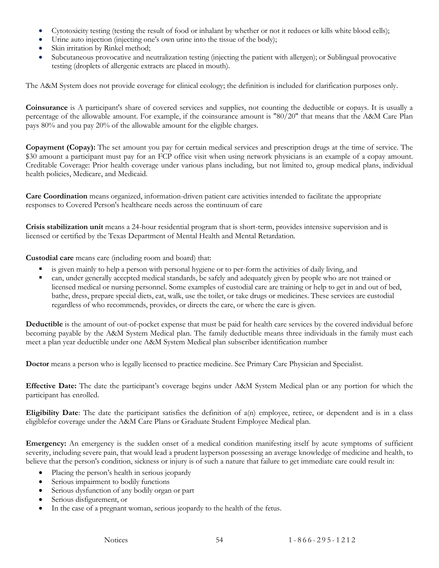- Cytotoxicity testing (testing the result of food or inhalant by whether or not it reduces or kills white blood cells);
- Urine auto injection (injecting one's own urine into the tissue of the body);
- Skin irritation by Rinkel method;
- Subcutaneous provocative and neutralization testing (injecting the patient with allergen); or Sublingual provocative testing (droplets of allergenic extracts are placed in mouth).

The A&M System does not provide coverage for clinical ecology; the definition is included for clarification purposes only.

<span id="page-56-2"></span>**Coinsurance** is A participant's share of covered services and supplies, not counting the deductible or copays. It is usually a percentage of the allowable amount. For example, if the coinsurance amount is "80/20" that means that the A&M Care Plan pays 80% and you pay 20% of the allowable amount for the eligible charges.

<span id="page-56-3"></span>**Copayment (Copay):** The set amount you pay for certain medical services and prescription drugs at the time of service. The \$30 amount a participant must pay for an FCP office visit when using network physicians is an example of a copay amount. Creditable Coverage: Prior health coverage under various plans including, but not limited to, group medical plans, individual health policies, Medicare, and Medicaid.

**Care Coordination** means organized, information-driven patient care activities intended to facilitate the appropriate responses to Covered Person's healthcare needs across the continuum of care

<span id="page-56-7"></span>**Crisis stabilization unit** means a 24-hour residential program that is short-term, provides intensive supervision and is licensed or certified by the Texas Department of Mental Health and Mental Retardation.

<span id="page-56-6"></span>**Custodial care** means care (including room and board) that:

- is given mainly to help a person with personal hygiene or to per-form the activities of daily living, and
- can, under generally accepted medical standards, be safely and adequately given by people who are not trained or licensed medical or nursing personnel. Some examples of custodial care are training or help to get in and out of bed, bathe, dress, prepare special diets, eat, walk, use the toilet, or take drugs or medicines. These services are custodial regardless of who recommends, provides, or directs the care, or where the care is given.

<span id="page-56-1"></span>**Deductible** is the amount of out-of-pocket expense that must be paid for health care services by the covered individual before becoming payable by the A&M System Medical plan. The family deductible means three individuals in the family must each meet a plan year deductible under one A&M System Medical plan subscriber identification number

<span id="page-56-4"></span>**Doctor** means a person who is legally licensed to practice medicine. See Primary Care Physician and Specialist.

<span id="page-56-0"></span>**Effective Date:** The date the participant's coverage begins under A&M System Medical plan or any portion for which the participant has enrolled.

<span id="page-56-8"></span>**Eligibility Date**: The date the participant satisfies the definition of a(n) employee, retiree, or dependent and is in a class eligiblefor coverage under the A&M Care Plans or Graduate Student Employee Medical plan.

<span id="page-56-5"></span>**Emergency:** An emergency is the sudden onset of a medical condition manifesting itself by acute symptoms of sufficient severity, including severe pain, that would lead a prudent layperson possessing an average knowledge of medicine and health, to believe that the person's condition, sickness or injury is of such a nature that failure to get immediate care could result in:

- Placing the person's health in serious jeopardy
- Serious impairment to bodily functions
- Serious dysfunction of any bodily organ or part
- Serious disfigurement, or
- In the case of a pregnant woman, serious jeopardy to the health of the fetus.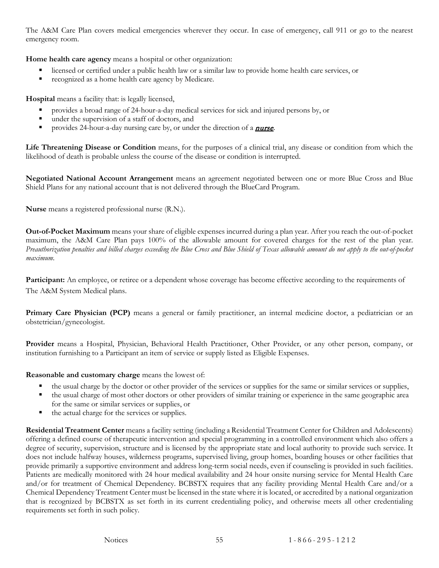The A&M Care Plan covers medical emergencies wherever they occur. In case of emergency, call 911 or go to the nearest emergency room.

<span id="page-57-7"></span>**Home health care agency** means a hospital or other organization:

- licensed or certified under a public health law or a similar law to provide home health care services, or
- recognized as a home health care agency by Medicare.

<span id="page-57-4"></span>**Hospital** means a facility that: is legally licensed,

- provides a broad range of 24-hour-a-day medical services for sick and injured persons by, or
- under the supervision of a staff of doctors, and
- provides 24-hour-a-day nursing care by, or under the direction of a **[nurse](#page-57-5)**.

**Life Threatening Disease or Condition** means, for the purposes of a clinical trial, any disease or condition from which the likelihood of death is probable unless the course of the disease or condition is interrupted.

<span id="page-57-9"></span>**Negotiated National Account Arrangement** means an agreement negotiated between one or more Blue Cross and Blue Shield Plans for any national account that is not delivered through the BlueCard Program.

<span id="page-57-5"></span>**Nurse** means a registered professional nurse (R.N.).

<span id="page-57-1"></span>**Out-of-Pocket Maximum** means your share of eligible expenses incurred during a plan year. After you reach the out-of-pocket maximum, the A&M Care Plan pays 100% of the allowable amount for covered charges for the rest of the plan year. *Preauthorization penalties and billed charges exceeding the Blue Cross and Blue Shield of Texas allowable amount do not apply to the out-of-pocket maximum.*

<span id="page-57-0"></span>**Participant:** An employee, or retiree or a dependent whose coverage has become effective according to the requirements of The A&M System Medical plans.

<span id="page-57-2"></span>**Primary Care Physician (PCP)** means a general or family practitioner, an internal medicine doctor, a pediatrician or an obstetrician/gynecologist.

<span id="page-57-3"></span>**Provider** means a Hospital, Physician, Behavioral Health Practitioner, Other Provider, or any other person, company, or institution furnishing to a Participant an item of service or supply listed as Eligible Expenses.

<span id="page-57-6"></span>**Reasonable and customary charge** means the lowest of:

- the usual charge by the doctor or other provider of the services or supplies for the same or similar services or supplies,
- the usual charge of most other doctors or other providers of similar training or experience in the same geographic area for the same or similar services or supplies, or
- the actual charge for the services or supplies.

<span id="page-57-8"></span>**Residential Treatment Center** means a facility setting (including a Residential Treatment Center for Children and Adolescents) offering a defined course of therapeutic intervention and special programming in a controlled environment which also offers a degree of security, supervision, structure and is licensed by the appropriate state and local authority to provide such service. It does not include halfway houses, wilderness programs, supervised living, group homes, boarding houses or other facilities that provide primarily a supportive environment and address long-term social needs, even if counseling is provided in such facilities. Patients are medically monitored with 24 hour medical availability and 24 hour onsite nursing service for Mental Health Care and/or for treatment of Chemical Dependency. BCBSTX requires that any facility providing Mental Health Care and/or a Chemical Dependency Treatment Center must be licensed in the state where it is located, or accredited by a national organization that is recognized by BCBSTX as set forth in its current credentialing policy, and otherwise meets all other credentialing requirements set forth in such policy.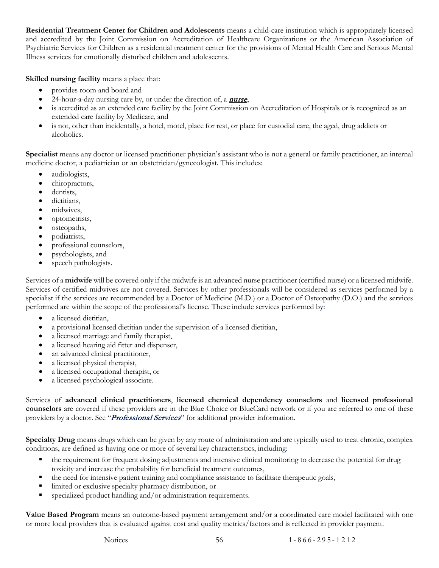**Residential Treatment Center for Children and Adolescents** means a child-care institution which is appropriately licensed and accredited by the Joint Commission on Accreditation of Healthcare Organizations or the American Association of Psychiatric Services for Children as a residential treatment center for the provisions of Mental Health Care and Serious Mental Illness services for emotionally disturbed children and adolescents.

<span id="page-58-1"></span>**Skilled nursing facility** means a place that:

- provides room and board and
- 24-hour-a-day nursing care by, or under the direction of, a **[nurse](#page-57-5)**,
- is accredited as an extended care facility by the Joint Commission on Accreditation of Hospitals or is recognized as an extended care facility by Medicare, and
- is not, other than incidentally, a hotel, motel, place for rest, or place for custodial care, the aged, drug addicts or alcoholics.

<span id="page-58-0"></span>**Specialist** means any doctor or licensed practitioner physician's assistant who is not a general or family practitioner, an internal medicine doctor, a pediatrician or an obstetrician/gynecologist. This includes:

- audiologists,
- chiropractors,
- dentists.
- dietitians.
- midwives,
- optometrists,
- osteopaths,
- podiatrists,
- professional counselors,
- psychologists, and
- speech pathologists.

Services of a **midwife** will be covered only if the midwife is an advanced nurse practitioner (certified nurse) or a licensed midwife. Services of certified midwives are not covered. Services by other professionals will be considered as services performed by a specialist if the services are recommended by a Doctor of Medicine (M.D.) or a Doctor of Osteopathy (D.O.) and the services performed are within the scope of the professional's license. These include services performed by:

- a licensed dietitian.
- a provisional licensed dietitian under the supervision of a licensed dietitian,
- a licensed marriage and family therapist,
- a licensed hearing aid fitter and dispenser,
- an advanced clinical practitioner,
- a licensed physical therapist,
- a licensed occupational therapist, or
- a licensed psychological associate.

Services of **advanced clinical practitioners**, **licensed chemical dependency counselors** and **licensed professional counselors** are covered if these providers are in the Blue Choice or BlueCard network or if you are referred to one of these providers by a doctor. See "*Professional Services*" for additional provider information.

<span id="page-58-2"></span>**Specialty Drug** means drugs which can be given by any route of administration and are typically used to treat chronic, complex conditions, are defined as having one or more of several key characteristics, including:

- the requirement for frequent dosing adjustments and intensive clinical monitoring to decrease the potential for drug toxicity and increase the probability for beneficial treatment outcomes,
- the need for intensive patient training and compliance assistance to facilitate therapeutic goals,
- limited or exclusive specialty pharmacy distribution, or
- specialized product handling and/or administration requirements.

**Value Based Program** means an outcome-based payment arrangement and/or a coordinated care model facilitated with one or more local providers that is evaluated against cost and quality metrics/factors and is reflected in provider payment.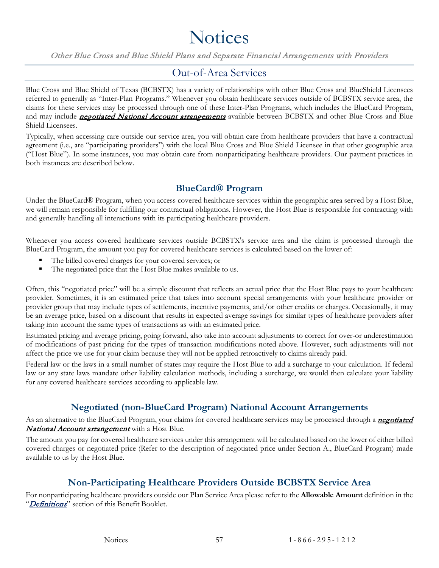# **Notices**

<span id="page-59-0"></span>Other Blue Cross and Blue Shield Plans and Separate Financial Arrangements with Providers

#### Out-of-Area Services

<span id="page-59-1"></span>Blue Cross and Blue Shield of Texas (BCBSTX) has a variety of relationships with other Blue Cross and BlueShield Licensees referred to generally as "Inter-Plan Programs." Whenever you obtain healthcare services outside of BCBSTX service area, the claims for these services may be processed through one of these Inter-Plan Programs, which includes the BlueCard Program, and may include *[negotiated National Account arrangements](#page-57-9)* available between BCBSTX and other Blue Cross and Blue Shield Licensees.

Typically, when accessing care outside our service area, you will obtain care from healthcare providers that have a contractual agreement (i.e., are "participating providers") with the local Blue Cross and Blue Shield Licensee in that other geographic area ("Host Blue"). In some instances, you may obtain care from nonparticipating healthcare providers. Our payment practices in both instances are described below.

#### **BlueCard® Program**

<span id="page-59-2"></span>Under the BlueCard® Program, when you access covered healthcare services within the geographic area served by a Host Blue, we will remain responsible for fulfilling our contractual obligations. However, the Host Blue is responsible for contracting with and generally handling all interactions with its participating healthcare providers.

Whenever you access covered healthcare services outside BCBSTX's service area and the claim is processed through the BlueCard Program, the amount you pay for covered healthcare services is calculated based on the lower of:

- The billed covered charges for your covered services; or
- The negotiated price that the Host Blue makes available to us.

Often, this "negotiated price" will be a simple discount that reflects an actual price that the Host Blue pays to your healthcare provider. Sometimes, it is an estimated price that takes into account special arrangements with your healthcare provider or provider group that may include types of settlements, incentive payments, and/or other credits or charges. Occasionally, it may be an average price, based on a discount that results in expected average savings for similar types of healthcare providers after taking into account the same types of transactions as with an estimated price.

Estimated pricing and average pricing, going forward, also take into account adjustments to correct for over-or underestimation of modifications of past pricing for the types of transaction modifications noted above. However, such adjustments will not affect the price we use for your claim because they will not be applied retroactively to claims already paid.

Federal law or the laws in a small number of states may require the Host Blue to add a surcharge to your calculation. If federal law or any state laws mandate other liability calculation methods, including a surcharge, we would then calculate your liability for any covered healthcare services according to applicable law.

### **Negotiated (non-BlueCard Program) National Account Arrangements**

<span id="page-59-3"></span>As an alternative to the BlueCard Program, your claims for covered healthcare services may be processed through a **negotiated** [National Account arrangement](#page-57-9) with a Host Blue.

The amount you pay for covered healthcare services under this arrangement will be calculated based on the lower of either billed covered charges or negotiated price (Refer to the description of negotiated price under Section A., BlueCard Program) made available to us by the Host Blue.

### **Non-Participating Healthcare Providers Outside BCBSTX Service Area**

<span id="page-59-4"></span>For nonparticipating healthcare providers outside our Plan Service Area please refer to the **Allowable Amount** definition in the "Definitions" section of this Benefit Booklet.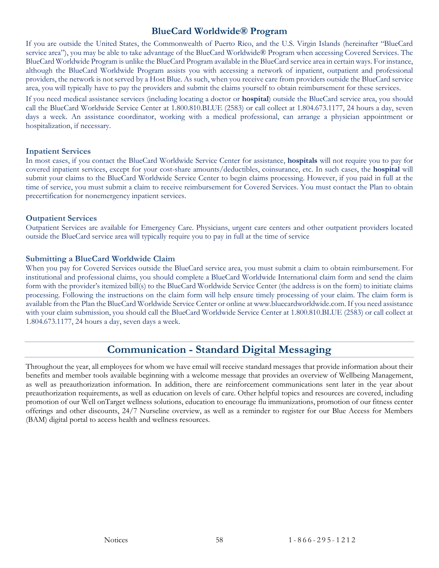#### **BlueCard Worldwide® Program**

<span id="page-60-0"></span>If you are outside the United States, the Commonwealth of Puerto Rico, and the U.S. Virgin Islands (hereinafter "BlueCard service area"), you may be able to take advantage of the BlueCard Worldwide® Program when accessing Covered Services. The BlueCard Worldwide Program is unlike the BlueCard Program available in the BlueCard service area in certain ways. For instance, although the BlueCard Worldwide Program assists you with accessing a network of inpatient, outpatient and professional providers, the network is not served by a Host Blue. As such, when you receive care from providers outside the BlueCard service area, you will typically have to pay the providers and submit the claims yourself to obtain reimbursement for these services.

If you need medical assistance services (including locating a doctor or **hospital**) outside the BlueCard service area, you should call the BlueCard Worldwide Service Center at 1.800.810.BLUE (2583) or call collect at 1.804.673.1177, 24 hours a day, seven days a week. An assistance coordinator, working with a medical professional, can arrange a physician appointment or hospitalization, if necessary.

#### **Inpatient Services**

In most cases, if you contact the BlueCard Worldwide Service Center for assistance, **hospitals** will not require you to pay for covered inpatient services, except for your cost-share amounts/deductibles, coinsurance, etc. In such cases, the **hospital** will submit your claims to the BlueCard Worldwide Service Center to begin claims processing. However, if you paid in full at the time of service, you must submit a claim to receive reimbursement for Covered Services. You must contact the Plan to obtain precertification for nonemergency inpatient services.

#### **Outpatient Services**

Outpatient Services are available for Emergency Care. Physicians, urgent care centers and other outpatient providers located outside the BlueCard service area will typically require you to pay in full at the time of service

#### **Submitting a BlueCard Worldwide Claim**

When you pay for Covered Services outside the BlueCard service area, you must submit a claim to obtain reimbursement. For institutional and professional claims, you should complete a BlueCard Worldwide International claim form and send the claim form with the provider's itemized bill(s) to the BlueCard Worldwide Service Center (the address is on the form) to initiate claims processing. Following the instructions on the claim form will help ensure timely processing of your claim. The claim form is available from the Plan the BlueCard Worldwide Service Center or online at www.bluecardworldwide.com. If you need assistance with your claim submission, you should call the BlueCard Worldwide Service Center at 1.800.810.BLUE (2583) or call collect at 1.804.673.1177, 24 hours a day, seven days a week.

## **Communication - Standard Digital Messaging**

<span id="page-60-1"></span>Throughout the year, all employees for whom we have email will receive standard messages that provide information about their benefits and member tools available beginning with a welcome message that provides an overview of Wellbeing Management, as well as preauthorization information. In addition, there are reinforcement communications sent later in the year about preauthorization requirements, as well as education on levels of care. Other helpful topics and resources are covered, including promotion of our Well onTarget wellness solutions, education to encourage flu immunizations, promotion of our fitness center offerings and other discounts, 24/7 Nurseline overview, as well as a reminder to register for our Blue Access for Members (BAM) digital portal to access health and wellness resources.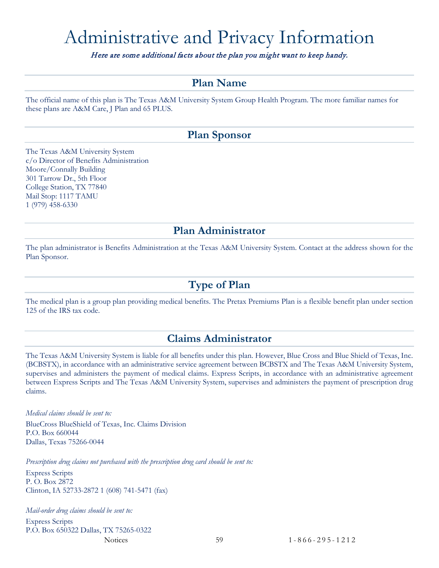# <span id="page-61-0"></span>Administrative and Privacy Information

Here are some additional facts about the plan you might want to keep handy.

## **Plan Name**

<span id="page-61-1"></span>The official name of this plan is The Texas A&M University System Group Health Program. The more familiar names for these plans are A&M Care, J Plan and 65 PLUS.

### **Plan Sponsor**

<span id="page-61-2"></span>The Texas A&M University System c/o Director of Benefits Administration Moore/Connally Building 301 Tarrow Dr., 5th Floor College Station, TX 77840 Mail Stop: 1117 TAMU 1 (979) 458-6330

### **Plan Administrator**

<span id="page-61-3"></span>The plan administrator is Benefits Administration at the Texas A&M University System. Contact at the address shown for the Plan Sponsor.

### **Type of Plan**

<span id="page-61-4"></span>The medical plan is a group plan providing medical benefits. The Pretax Premiums Plan is a flexible benefit plan under section 125 of the IRS tax code.

## **Claims Administrator**

<span id="page-61-5"></span>The Texas A&M University System is liable for all benefits under this plan. However, Blue Cross and Blue Shield of Texas, Inc. (BCBSTX), in accordance with an administrative service agreement between BCBSTX and The Texas A&M University System, supervises and administers the payment of medical claims. Express Scripts, in accordance with an administrative agreement between Express Scripts and The Texas A&M University System, supervises and administers the payment of prescription drug claims.

#### *Medical claims should be sent to:*

BlueCross BlueShield of Texas, Inc. Claims Division P.O. Box 660044 Dallas, Texas 75266-0044

*Prescription drug claims not purchased with the prescription drug card should be sent to:*

Express Scripts P. O. Box 2872 Clinton, IA 52733-2872 1 (608) 741-5471 (fax)

*Mail-order drug claims should be sent to:* Express Scripts P.O. Box 650322 Dallas, TX 75265-0322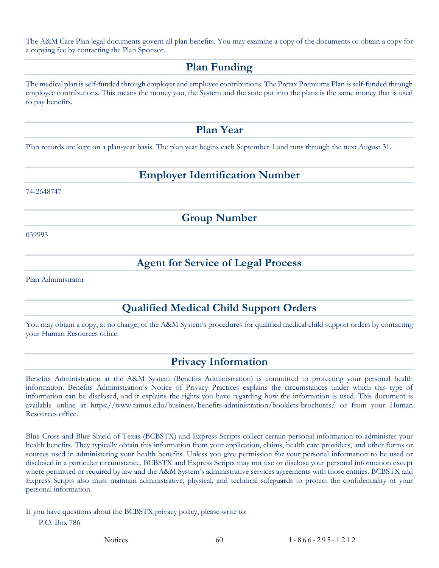<span id="page-62-0"></span>The A&M Care Plan legal documents govern all plan benefits. You may examine a copy of the documents or obtain a copy for a copying fee by contacting the Plan Sponsor.

### **Plan Funding**

The medical plan is self-funded through employer and employee contributions. The Pretax Premiums Plan is self-funded through employee contributions. This means the money you, the System and the state put into the plans is the same money that is used to pay benefits.

### **Plan Year**

<span id="page-62-2"></span><span id="page-62-1"></span>Plan records are kept on a plan-year basis. The plan year begins each September 1 and runs through the next August 31.

## **Employer Identification Number**

<span id="page-62-3"></span>74-2648747

**Group Number**

<span id="page-62-4"></span>039993

### **Agent for Service of Legal Process**

<span id="page-62-5"></span>Plan Administrator

## **Qualified Medical Child Support Orders**

You may obtain a copy, at no charge, of the A&M System's procedures for qualified medical child support orders by contacting your Human Resources office.

## **Privacy Information**

<span id="page-62-6"></span>Benefits Administration at the A&M System (Benefits Administration) is committed to protecting your personal health information. Benefits Administration's Notice of Privacy Practices explains the circumstances under which this type of information can be disclosed, and it explains the rights you have regarding how the information is used. This document is available online at https://www.tamus.edu/business/benefits-administration/booklets-brochures/ or from your Human Resources office.

Blue Cross and Blue Shield of Texas (BCBSTX) and Express Scripts collect certain personal information to administer your health benefits. They typically obtain this information from your application, claims, health care providers, and other forms or sources used in administering your health benefits. Unless you give permission for your personal information to be used or disclosed in a particular circumstance, BCBSTX and Express Scripts may not use or disclose your personal information except where permitted or required by law and the A&M System's administrative services agreements with those entities. BCBSTX and Express Scripts also must maintain administrative, physical, and technical safeguards to protect the confidentiality of your personal information.

If you have questions about the BCBSTX privacy policy, please write to: P.O. Box 786